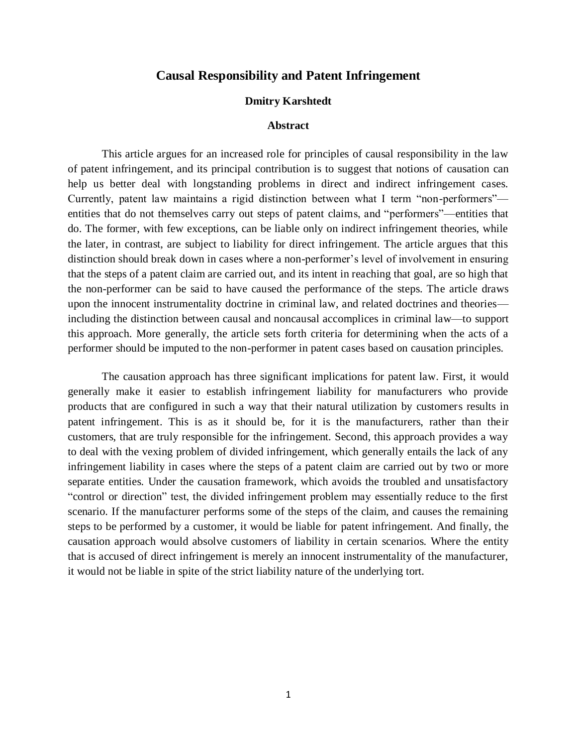# **Causal Responsibility and Patent Infringement**

### **Dmitry Karshtedt**

### **Abstract**

This article argues for an increased role for principles of causal responsibility in the law of patent infringement, and its principal contribution is to suggest that notions of causation can help us better deal with longstanding problems in direct and indirect infringement cases. Currently, patent law maintains a rigid distinction between what I term "non-performers" entities that do not themselves carry out steps of patent claims, and "performers"—entities that do. The former, with few exceptions, can be liable only on indirect infringement theories, while the later, in contrast, are subject to liability for direct infringement. The article argues that this distinction should break down in cases where a non-performer's level of involvement in ensuring that the steps of a patent claim are carried out, and its intent in reaching that goal, are so high that the non-performer can be said to have caused the performance of the steps. The article draws upon the innocent instrumentality doctrine in criminal law, and related doctrines and theories including the distinction between causal and noncausal accomplices in criminal law—to support this approach. More generally, the article sets forth criteria for determining when the acts of a performer should be imputed to the non-performer in patent cases based on causation principles.

The causation approach has three significant implications for patent law. First, it would generally make it easier to establish infringement liability for manufacturers who provide products that are configured in such a way that their natural utilization by customers results in patent infringement. This is as it should be, for it is the manufacturers, rather than their customers, that are truly responsible for the infringement. Second, this approach provides a way to deal with the vexing problem of divided infringement, which generally entails the lack of any infringement liability in cases where the steps of a patent claim are carried out by two or more separate entities. Under the causation framework, which avoids the troubled and unsatisfactory "control or direction" test, the divided infringement problem may essentially reduce to the first scenario. If the manufacturer performs some of the steps of the claim, and causes the remaining steps to be performed by a customer, it would be liable for patent infringement. And finally, the causation approach would absolve customers of liability in certain scenarios. Where the entity that is accused of direct infringement is merely an innocent instrumentality of the manufacturer, it would not be liable in spite of the strict liability nature of the underlying tort.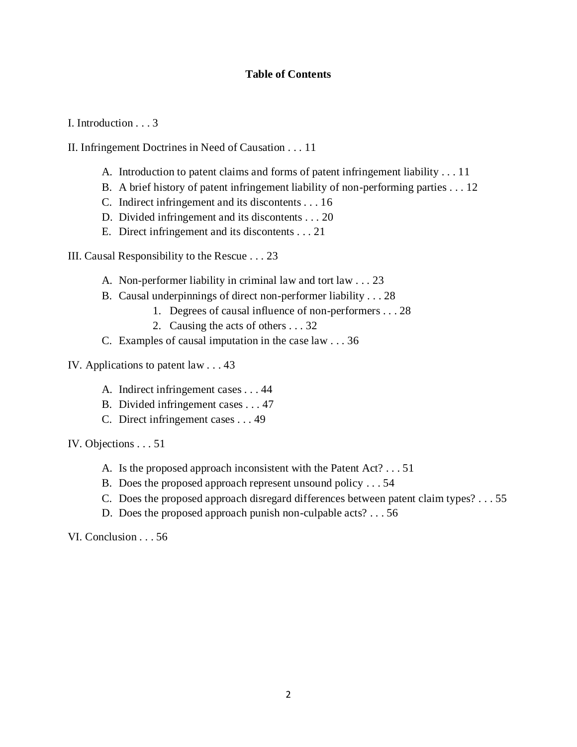# **Table of Contents**

I. Introduction . . . 3

II. Infringement Doctrines in Need of Causation . . . 11

- A. Introduction to patent claims and forms of patent infringement liability . . . 11
- B. A brief history of patent infringement liability of non-performing parties . . . 12
- C. Indirect infringement and its discontents . . . 16
- D. Divided infringement and its discontents . . . 20
- E. Direct infringement and its discontents . . . 21

III. Causal Responsibility to the Rescue . . . 23

- A. Non-performer liability in criminal law and tort law . . . 23
- B. Causal underpinnings of direct non-performer liability . . . 28
	- 1. Degrees of causal influence of non-performers . . . 28
	- 2. Causing the acts of others . . . 32
- C. Examples of causal imputation in the case law . . . 36
- IV. Applications to patent law . . . 43
	- A. Indirect infringement cases . . . 44
	- B. Divided infringement cases . . . 47
	- C. Direct infringement cases . . . 49

IV. Objections . . . 51

- A. Is the proposed approach inconsistent with the Patent Act? . . . 51
- B. Does the proposed approach represent unsound policy . . . 54
- C. Does the proposed approach disregard differences between patent claim types? . . . 55
- D. Does the proposed approach punish non-culpable acts? . . . 56

VI. Conclusion . . . 56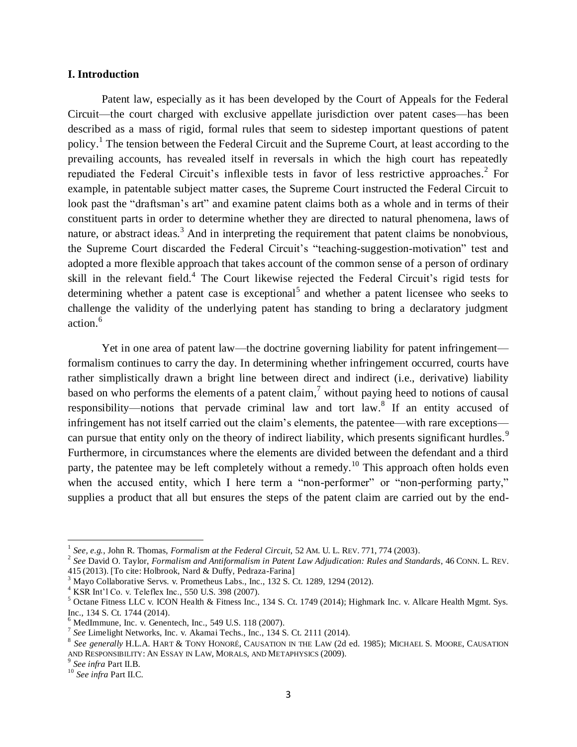### **I. Introduction**

Patent law, especially as it has been developed by the Court of Appeals for the Federal Circuit—the court charged with exclusive appellate jurisdiction over patent cases—has been described as a mass of rigid, formal rules that seem to sidestep important questions of patent policy.<sup>1</sup> The tension between the Federal Circuit and the Supreme Court, at least according to the prevailing accounts, has revealed itself in reversals in which the high court has repeatedly repudiated the Federal Circuit's inflexible tests in favor of less restrictive approaches.<sup>2</sup> For example, in patentable subject matter cases, the Supreme Court instructed the Federal Circuit to look past the "draftsman's art" and examine patent claims both as a whole and in terms of their constituent parts in order to determine whether they are directed to natural phenomena, laws of nature, or abstract ideas.<sup>3</sup> And in interpreting the requirement that patent claims be nonobvious, the Supreme Court discarded the Federal Circuit's "teaching-suggestion-motivation" test and adopted a more flexible approach that takes account of the common sense of a person of ordinary skill in the relevant field.<sup>4</sup> The Court likewise rejected the Federal Circuit's rigid tests for determining whether a patent case is exceptional<sup>5</sup> and whether a patent licensee who seeks to challenge the validity of the underlying patent has standing to bring a declaratory judgment action.<sup>6</sup>

Yet in one area of patent law—the doctrine governing liability for patent infringement formalism continues to carry the day. In determining whether infringement occurred, courts have rather simplistically drawn a bright line between direct and indirect (i.e., derivative) liability based on who performs the elements of a patent claim,<sup>7</sup> without paying heed to notions of causal responsibility—notions that pervade criminal law and tort law.<sup>8</sup> If an entity accused of infringement has not itself carried out the claim's elements, the patentee—with rare exceptions can pursue that entity only on the theory of indirect liability, which presents significant hurdles.<sup>9</sup> Furthermore, in circumstances where the elements are divided between the defendant and a third party, the patentee may be left completely without a remedy.<sup>10</sup> This approach often holds even when the accused entity, which I here term a "non-performer" or "non-performing party," supplies a product that all but ensures the steps of the patent claim are carried out by the end-

<sup>1</sup> *See, e.g.*, John R. Thomas, *Formalism at the Federal Circuit*, 52 AM. U. L. REV. 771, 774 (2003).

<sup>2</sup> *See* David O. Taylor, *Formalism and Antiformalism in Patent Law Adjudication: Rules and Standards*, 46 CONN. L. REV. 415 (2013). [To cite: Holbrook, Nard & Duffy, Pedraza-Farina]

 $3$  Mayo Collaborative Servs. v. Prometheus Labs., Inc., 132 S. Ct. 1289, 1294 (2012).

<sup>4</sup> KSR Int'l Co. v. Teleflex Inc., 550 U.S. 398 (2007).

<sup>5</sup> Octane Fitness LLC v. ICON Health & Fitness Inc., 134 S. Ct. 1749 (2014); Highmark Inc. v. Allcare Health Mgmt. Sys. Inc., 134 S. Ct. 1744 (2014).

 $<sup>6</sup>$  MedImmune, Inc. v. Genentech, Inc., 549 U.S. 118 (2007).</sup>

<sup>7</sup> *See* Limelight Networks, Inc. v. Akamai Techs., Inc., 134 S. Ct. 2111 (2014).

<sup>8</sup> *See generally* H.L.A. HART & TONY HONORÉ, CAUSATION IN THE LAW (2d ed. 1985); MICHAEL S. MOORE, CAUSATION AND RESPONSIBILITY: AN ESSAY IN LAW, MORALS, AND METAPHYSICS (2009).

<sup>9</sup> *See infra* Part II.B.

<sup>10</sup> *See infra* Part II.C.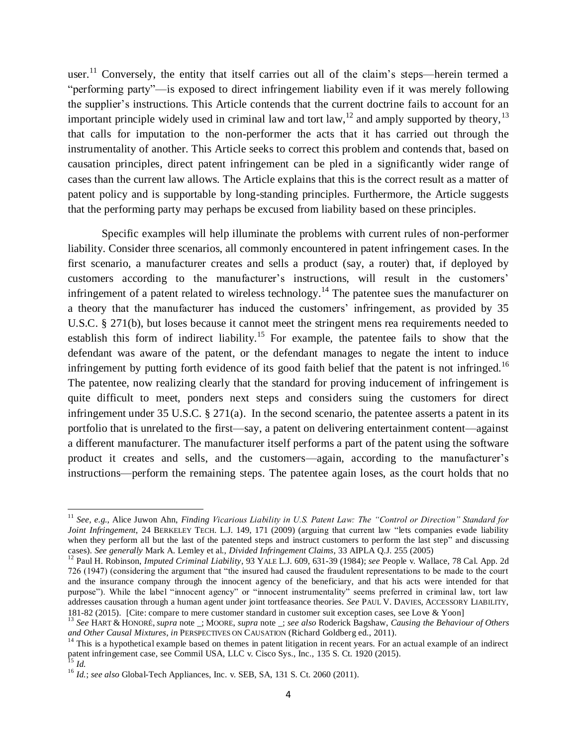<span id="page-3-1"></span>user.<sup>11</sup> Conversely, the entity that itself carries out all of the claim's steps—herein termed a "performing party"—is exposed to direct infringement liability even if it was merely following the supplier's instructions. This Article contends that the current doctrine fails to account for an important principle widely used in criminal law and tort law,  $^{12}$  and amply supported by theory,  $^{13}$ that calls for imputation to the non-performer the acts that it has carried out through the instrumentality of another. This Article seeks to correct this problem and contends that, based on causation principles, direct patent infringement can be pled in a significantly wider range of cases than the current law allows. The Article explains that this is the correct result as a matter of patent policy and is supportable by long-standing principles. Furthermore, the Article suggests that the performing party may perhaps be excused from liability based on these principles.

<span id="page-3-0"></span>Specific examples will help illuminate the problems with current rules of non-performer liability. Consider three scenarios, all commonly encountered in patent infringement cases. In the first scenario, a manufacturer creates and sells a product (say, a router) that, if deployed by customers according to the manufacturer's instructions, will result in the customers' infringement of a patent related to wireless technology.<sup>14</sup> The patentee sues the manufacturer on a theory that the manufacturer has induced the customers' infringement, as provided by 35 U.S.C. § 271(b), but loses because it cannot meet the stringent mens rea requirements needed to establish this form of indirect liability.<sup>15</sup> For example, the patentee fails to show that the defendant was aware of the patent, or the defendant manages to negate the intent to induce infringement by putting forth evidence of its good faith belief that the patent is not infringed.<sup>16</sup> The patentee, now realizing clearly that the standard for proving inducement of infringement is quite difficult to meet, ponders next steps and considers suing the customers for direct infringement under 35 U.S.C. § 271(a). In the second scenario, the patentee asserts a patent in its portfolio that is unrelated to the first—say, a patent on delivering entertainment content—against a different manufacturer. The manufacturer itself performs a part of the patent using the software product it creates and sells, and the customers—again, according to the manufacturer's instructions—perform the remaining steps. The patentee again loses, as the court holds that no

 $\overline{\phantom{a}}$ 

<sup>&</sup>lt;sup>11</sup> See, e.g., Alice Juwon Ahn, *Finding Vicarious Liability in U.S. Patent Law: The "Control or Direction" Standard for Joint Infringement*, 24 BERKELEY TECH. L.J. 149, 171 (2009) (arguing that current law "lets companies evade liability when they perform all but the last of the patented steps and instruct customers to perform the last step" and discussing cases). *See generally* Mark A. Lemley et al., *Divided Infringement Claims*, 33 AIPLA Q.J. 255 (2005)

<sup>12</sup> Paul H. Robinson, *Imputed Criminal Liability*, 93 YALE L.J. 609, 631-39 (1984); *see* People v. Wallace, 78 Cal. App. 2d 726 (1947) (considering the argument that "the insured had caused the fraudulent representations to be made to the court and the insurance company through the innocent agency of the beneficiary, and that his acts were intended for that purpose"). While the label "innocent agency" or "innocent instrumentality" seems preferred in criminal law, tort law addresses causation through a human agent under joint tortfeasance theories. *See* PAUL V. DAVIES, ACCESSORY LIABILITY, 181-82 (2015). [Cite: compare to mere customer standard in customer suit exception cases, see Love & Yoon]

<sup>13</sup> *See* HART & HONORÉ, *supra* note \_; MOORE, *supra* note \_; *see also* Roderick Bagshaw, *Causing the Behaviour of Others and Other Causal Mixtures*, *in* PERSPECTIVES ON CAUSATION (Richard Goldberg ed., 2011).

 $14$  This is a hypothetical example based on themes in patent litigation in recent years. For an actual example of an indirect patent infringement case, see Commil USA, LLC v. Cisco Sys., Inc., 135 S. Ct. 1920 (2015).

<sup>15</sup> *Id.*

<sup>&</sup>lt;sup>16</sup> *Id.*; *see also* Global-Tech Appliances, Inc. v. SEB, SA, 131 S. Ct. 2060 (2011).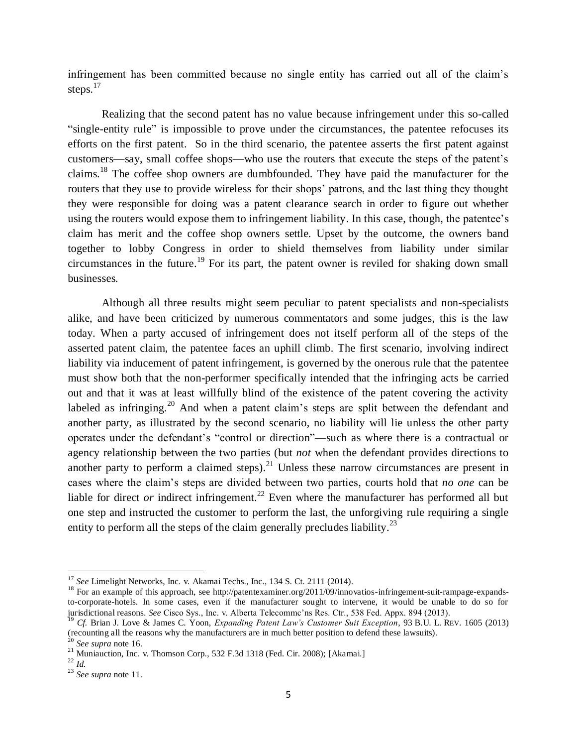infringement has been committed because no single entity has carried out all of the claim's steps. 17

Realizing that the second patent has no value because infringement under this so-called "single-entity rule" is impossible to prove under the circumstances, the patentee refocuses its efforts on the first patent. So in the third scenario, the patentee asserts the first patent against customers—say, small coffee shops—who use the routers that execute the steps of the patent's claims.<sup>18</sup> The coffee shop owners are dumbfounded. They have paid the manufacturer for the routers that they use to provide wireless for their shops' patrons, and the last thing they thought they were responsible for doing was a patent clearance search in order to figure out whether using the routers would expose them to infringement liability. In this case, though, the patentee's claim has merit and the coffee shop owners settle. Upset by the outcome, the owners band together to lobby Congress in order to shield themselves from liability under similar circumstances in the future. <sup>19</sup> For its part, the patent owner is reviled for shaking down small businesses.

Although all three results might seem peculiar to patent specialists and non-specialists alike, and have been criticized by numerous commentators and some judges, this is the law today. When a party accused of infringement does not itself perform all of the steps of the asserted patent claim, the patentee faces an uphill climb. The first scenario, involving indirect liability via inducement of patent infringement, is governed by the onerous rule that the patentee must show both that the non-performer specifically intended that the infringing acts be carried out and that it was at least willfully blind of the existence of the patent covering the activity labeled as infringing.<sup>20</sup> And when a patent claim's steps are split between the defendant and another party, as illustrated by the second scenario, no liability will lie unless the other party operates under the defendant's "control or direction"—such as where there is a contractual or agency relationship between the two parties (but *not* when the defendant provides directions to another party to perform a claimed steps).<sup>21</sup> Unless these narrow circumstances are present in cases where the claim's steps are divided between two parties, courts hold that *no one* can be liable for direct *or* indirect infringement.<sup>22</sup> Even where the manufacturer has performed all but one step and instructed the customer to perform the last, the unforgiving rule requiring a single entity to perform all the steps of the claim generally precludes liability.<sup>23</sup>

<span id="page-4-0"></span>l

<sup>&</sup>lt;sup>17</sup> *See* Limelight Networks, Inc. v. Akamai Techs., Inc., 134 S. Ct. 2111 (2014).

<sup>&</sup>lt;sup>18</sup> For an example of this approach, see http://patentexaminer.org/2011/09/innovatios-infringement-suit-rampage-expandsto-corporate-hotels. In some cases, even if the manufacturer sought to intervene, it would be unable to do so for jurisdictional reasons. *See* Cisco Sys., Inc. v. Alberta Telecommc'ns Res. Ctr., 538 Fed. Appx. 894 (2013).

<sup>19</sup> *Cf.* Brian J. Love & James C. Yoon, *Expanding Patent Law's Customer Suit Exception*, 93 B.U. L. REV. 1605 (2013) (recounting all the reasons why the manufacturers are in much better position to defend these lawsuits).

<sup>20</sup> *See supra* not[e 16.](#page-3-0)

<sup>&</sup>lt;sup>21</sup> Muniauction, Inc. v. Thomson Corp., 532 F.3d 1318 (Fed. Cir. 2008); [Akamai.]

 $\stackrel{1}{2}$   $\stackrel{1}{Id}.$ 

<sup>23</sup> *See supra* not[e 11.](#page-3-1)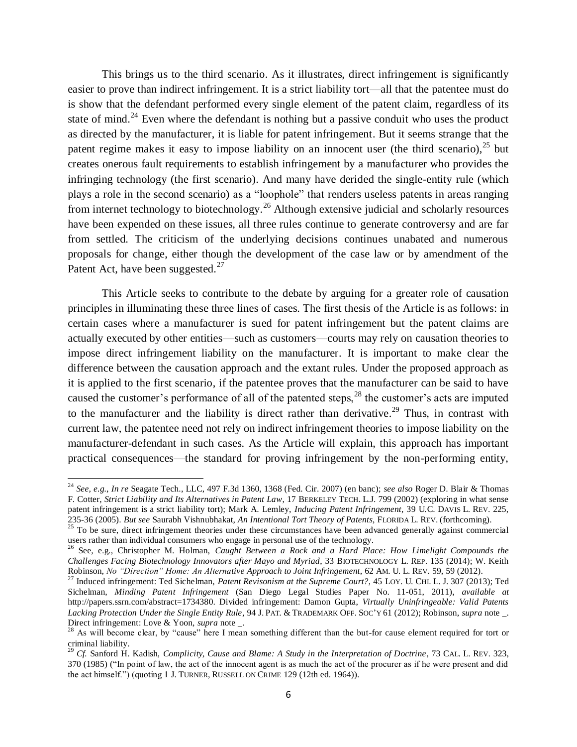This brings us to the third scenario. As it illustrates, direct infringement is significantly easier to prove than indirect infringement. It is a strict liability tort—all that the patentee must do is show that the defendant performed every single element of the patent claim, regardless of its state of mind.<sup>24</sup> Even where the defendant is nothing but a passive conduit who uses the product as directed by the manufacturer, it is liable for patent infringement. But it seems strange that the patent regime makes it easy to impose liability on an innocent user (the third scenario),<sup>25</sup> but creates onerous fault requirements to establish infringement by a manufacturer who provides the infringing technology (the first scenario). And many have derided the single-entity rule (which plays a role in the second scenario) as a "loophole" that renders useless patents in areas ranging from internet technology to biotechnology.<sup>26</sup> Although extensive judicial and scholarly resources have been expended on these issues, all three rules continue to generate controversy and are far from settled. The criticism of the underlying decisions continues unabated and numerous proposals for change, either though the development of the case law or by amendment of the Patent Act, have been suggested. $27$ 

<span id="page-5-0"></span>This Article seeks to contribute to the debate by arguing for a greater role of causation principles in illuminating these three lines of cases. The first thesis of the Article is as follows: in certain cases where a manufacturer is sued for patent infringement but the patent claims are actually executed by other entities—such as customers—courts may rely on causation theories to impose direct infringement liability on the manufacturer. It is important to make clear the difference between the causation approach and the extant rules. Under the proposed approach as it is applied to the first scenario, if the patentee proves that the manufacturer can be said to have caused the customer's performance of all of the patented steps, $^{28}$  the customer's acts are imputed to the manufacturer and the liability is direct rather than derivative.<sup>29</sup> Thus, in contrast with current law, the patentee need not rely on indirect infringement theories to impose liability on the manufacturer-defendant in such cases. As the Article will explain, this approach has important practical consequences—the standard for proving infringement by the non-performing entity,

<sup>24</sup> *See, e.g.*, *In re* Seagate Tech., LLC, 497 F.3d 1360, 1368 (Fed. Cir. 2007) (en banc); *see also* Roger D. Blair & Thomas F. Cotter, *Strict Liability and Its Alternatives in Patent Law*, 17 BERKELEY TECH. L.J. 799 (2002) (exploring in what sense patent infringement is a strict liability tort); Mark A. Lemley, *Inducing Patent Infringement*, 39 U.C. DAVIS L. REV. 225, 235-36 (2005). *But see* Saurabh Vishnubhakat, *An Intentional Tort Theory of Patents*, FLORIDA L. REV. (forthcoming).

 $25$  To be sure, direct infringement theories under these circumstances have been advanced generally against commercial users rather than individual consumers who engage in personal use of the technology.

<sup>26</sup> See, e.g., Christopher M. Holman, *Caught Between a Rock and a Hard Place: How Limelight Compounds the Challenges Facing Biotechnology Innovators after Mayo and Myriad*, 33 BIOTECHNOLOGY L. REP. 135 (2014); W. Keith Robinson, *No "Direction" Home: An Alternative Approach to Joint Infringement*, 62 AM. U. L. REV. 59, 59 (2012).

<sup>27</sup> Induced infringement: Ted Sichelman, *Patent Revisonism at the Supreme Court?*, 45 LOY. U. CHI. L. J. 307 (2013); Ted Sichelman, *Minding Patent Infringement* (San Diego Legal Studies Paper No. 11-051, 2011), *available at*  http://papers.ssrn.com/abstract=1734380. Divided infringement: Damon Gupta, *Virtually Uninfringeable: Valid Patents Lacking Protection Under the Single Entity Rule*, 94 J. PAT. & TRADEMARK OFF. SOC'Y 61 (2012); Robinson, *supra* note \_. Direct infringement: Love & Yoon, *supra* note \_.

<sup>&</sup>lt;sup>28</sup> As will become clear, by "cause" here I mean something different than the but-for cause element required for tort or criminal liability.

<sup>29</sup> *Cf.* Sanford H. Kadish, *Complicity, Cause and Blame: A Study in the Interpretation of Doctrine*, 73 CAL. L. REV. 323, 370 (1985) ("In point of law, the act of the innocent agent is as much the act of the procurer as if he were present and did the act himself.") (quoting 1 J. TURNER, RUSSELL ON CRIME 129 (12th ed. 1964)).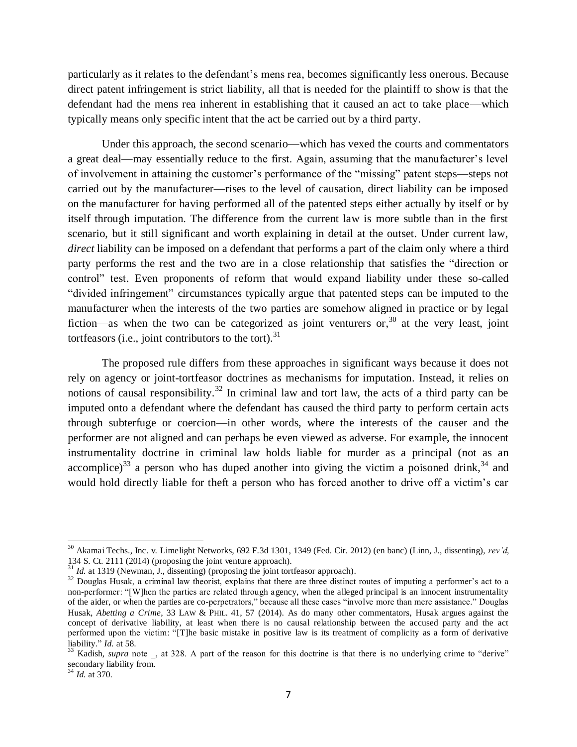particularly as it relates to the defendant's mens rea, becomes significantly less onerous. Because direct patent infringement is strict liability, all that is needed for the plaintiff to show is that the defendant had the mens rea inherent in establishing that it caused an act to take place—which typically means only specific intent that the act be carried out by a third party.

Under this approach, the second scenario—which has vexed the courts and commentators a great deal—may essentially reduce to the first. Again, assuming that the manufacturer's level of involvement in attaining the customer's performance of the "missing" patent steps—steps not carried out by the manufacturer—rises to the level of causation, direct liability can be imposed on the manufacturer for having performed all of the patented steps either actually by itself or by itself through imputation. The difference from the current law is more subtle than in the first scenario, but it still significant and worth explaining in detail at the outset. Under current law, *direct* liability can be imposed on a defendant that performs a part of the claim only where a third party performs the rest and the two are in a close relationship that satisfies the "direction or control" test. Even proponents of reform that would expand liability under these so-called "divided infringement" circumstances typically argue that patented steps can be imputed to the manufacturer when the interests of the two parties are somehow aligned in practice or by legal fiction—as when the two can be categorized as joint venturers or,<sup>30</sup> at the very least, joint tortfeasors (i.e., joint contributors to the tort). $31$ 

The proposed rule differs from these approaches in significant ways because it does not rely on agency or joint-tortfeasor doctrines as mechanisms for imputation. Instead, it relies on notions of causal responsibility.<sup>32</sup> In criminal law and tort law, the acts of a third party can be imputed onto a defendant where the defendant has caused the third party to perform certain acts through subterfuge or coercion—in other words, where the interests of the causer and the performer are not aligned and can perhaps be even viewed as adverse. For example, the innocent instrumentality doctrine in criminal law holds liable for murder as a principal (not as an accomplice)<sup>33</sup> a person who has duped another into giving the victim a poisoned drink,<sup>34</sup> and would hold directly liable for theft a person who has forced another to drive off a victim's car

<sup>30</sup> Akamai Techs., Inc. v. Limelight Networks, 692 F.3d 1301, 1349 (Fed. Cir. 2012) (en banc) (Linn, J., dissenting), *rev'd*, 134 S. Ct. 2111 (2014) (proposing the joint venture approach).

<sup>&</sup>lt;sup>31</sup> *Id.* at 1319 (Newman, J., dissenting) (proposing the joint tortfeasor approach).

<sup>&</sup>lt;sup>32</sup> Douglas Husak, a criminal law theorist, explains that there are three distinct routes of imputing a performer's act to a non-performer: "[W]hen the parties are related through agency, when the alleged principal is an innocent instrumentality of the aider, or when the parties are co-perpetrators," because all these cases "involve more than mere assistance." Douglas Husak, *Abetting a Crime*, 33 LAW & PHIL. 41, 57 (2014). As do many other commentators, Husak argues against the concept of derivative liability, at least when there is no causal relationship between the accused party and the act performed upon the victim: "[T]he basic mistake in positive law is its treatment of complicity as a form of derivative liability." *Id.* at 58.

 $33$  Kadish, *supra* note, at 328. A part of the reason for this doctrine is that there is no underlying crime to "derive" secondary liability from.

 $^{4}$  *Id.* at 370.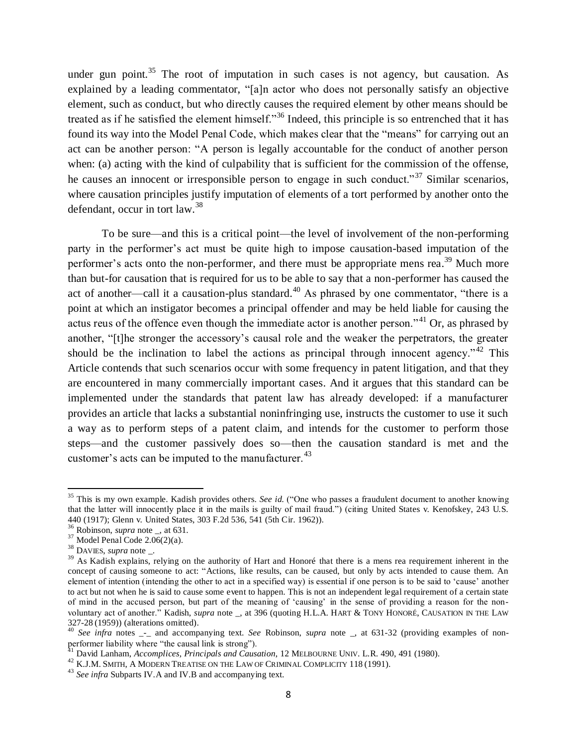under gun point.<sup>35</sup> The root of imputation in such cases is not agency, but causation. As explained by a leading commentator, "[a]n actor who does not personally satisfy an objective element, such as conduct, but who directly causes the required element by other means should be treated as if he satisfied the element himself."<sup>36</sup> Indeed, this principle is so entrenched that it has found its way into the Model Penal Code, which makes clear that the "means" for carrying out an act can be another person: "A person is legally accountable for the conduct of another person when: (a) acting with the kind of culpability that is sufficient for the commission of the offense, he causes an innocent or irresponsible person to engage in such conduct.<sup>37</sup> Similar scenarios, where causation principles justify imputation of elements of a tort performed by another onto the defendant, occur in tort law.<sup>38</sup>

<span id="page-7-0"></span>To be sure—and this is a critical point—the level of involvement of the non-performing party in the performer's act must be quite high to impose causation-based imputation of the performer's acts onto the non-performer, and there must be appropriate mens rea.<sup>39</sup> Much more than but-for causation that is required for us to be able to say that a non-performer has caused the act of another—call it a causation-plus standard.<sup>40</sup> As phrased by one commentator, "there is a point at which an instigator becomes a principal offender and may be held liable for causing the actus reus of the offence even though the immediate actor is another person."<sup>41</sup> Or, as phrased by another, "[t]he stronger the accessory's causal role and the weaker the perpetrators, the greater should be the inclination to label the actions as principal through innocent agency."<sup>42</sup> This Article contends that such scenarios occur with some frequency in patent litigation, and that they are encountered in many commercially important cases. And it argues that this standard can be implemented under the standards that patent law has already developed: if a manufacturer provides an article that lacks a substantial noninfringing use, instructs the customer to use it such a way as to perform steps of a patent claim, and intends for the customer to perform those steps—and the customer passively does so—then the causation standard is met and the customer's acts can be imputed to the manufacturer.<sup>43</sup>

<sup>&</sup>lt;sup>35</sup> This is my own example. Kadish provides others. *See id.* ("One who passes a fraudulent document to another knowing that the latter will innocently place it in the mails is guilty of mail fraud.") (citing United States v. Kenofskey, 243 U.S. 440 (1917); Glenn v. United States, 303 F.2d 536, 541 (5th Cir. 1962)).

<sup>36</sup> Robinson, *supra* note \_, at 631.

 $37$  Model Penal Code 2.06(2)(a).

<sup>38</sup> DAVIES, *supra* note \_.

<sup>&</sup>lt;sup>39</sup> As Kadish explains, relying on the authority of Hart and Honoré that there is a mens rea requirement inherent in the concept of causing someone to act: "Actions, like results, can be caused, but only by acts intended to cause them. An element of intention (intending the other to act in a specified way) is essential if one person is to be said to 'cause' another to act but not when he is said to cause some event to happen. This is not an independent legal requirement of a certain state of mind in the accused person, but part of the meaning of 'causing' in the sense of providing a reason for the nonvoluntary act of another." Kadish, *supra* note \_, at 396 (quoting H.L.A. HART & TONY HONORÉ, CAUSATION IN THE LAW 327-28 (1959)) (alterations omitted).

<sup>40</sup> *See infra* notes \_-\_ and accompanying text. *See* Robinson, *supra* note \_, at 631-32 (providing examples of nonperformer liability where "the causal link is strong").

<sup>41</sup> David Lanham, *Accomplices, Principals and Causation*, 12 MELBOURNE UNIV. L.R. 490, 491 (1980).

<sup>42</sup> K.J.M. SMITH, A MODERN TREATISE ON THE LAW OF CRIMINAL COMPLICITY 118 (1991).

<sup>43</sup> *See infra* Subparts IV.A and IV.B and accompanying text.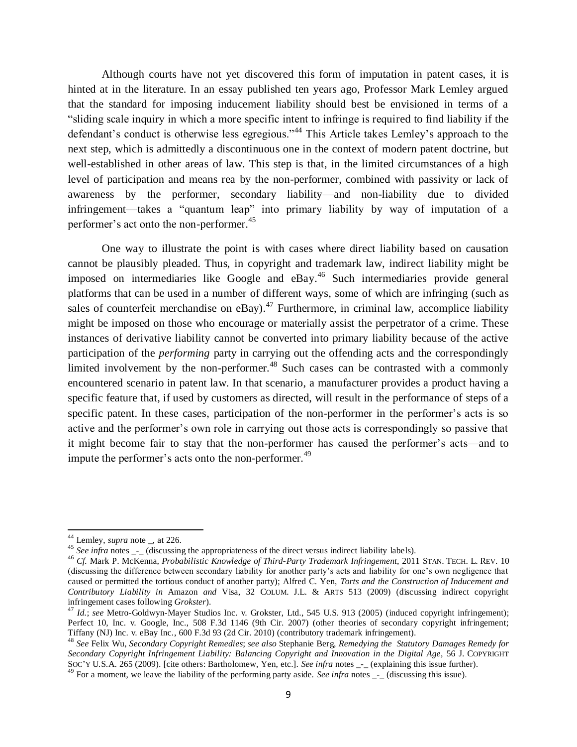Although courts have not yet discovered this form of imputation in patent cases, it is hinted at in the literature. In an essay published ten years ago, Professor Mark Lemley argued that the standard for imposing inducement liability should best be envisioned in terms of a "sliding scale inquiry in which a more specific intent to infringe is required to find liability if the defendant's conduct is otherwise less egregious."<sup>44</sup> This Article takes Lemley's approach to the next step, which is admittedly a discontinuous one in the context of modern patent doctrine, but well-established in other areas of law. This step is that, in the limited circumstances of a high level of participation and means rea by the non-performer, combined with passivity or lack of awareness by the performer, secondary liability—and non-liability due to divided infringement—takes a "quantum leap" into primary liability by way of imputation of a performer's act onto the non-performer. 45

One way to illustrate the point is with cases where direct liability based on causation cannot be plausibly pleaded. Thus, in copyright and trademark law, indirect liability might be imposed on intermediaries like Google and eBay. <sup>46</sup> Such intermediaries provide general platforms that can be used in a number of different ways, some of which are infringing (such as sales of counterfeit merchandise on eBay).<sup>47</sup> Furthermore, in criminal law, accomplice liability might be imposed on those who encourage or materially assist the perpetrator of a crime. These instances of derivative liability cannot be converted into primary liability because of the active participation of the *performing* party in carrying out the offending acts and the correspondingly limited involvement by the non-performer.<sup>48</sup> Such cases can be contrasted with a commonly encountered scenario in patent law. In that scenario, a manufacturer provides a product having a specific feature that, if used by customers as directed, will result in the performance of steps of a specific patent. In these cases, participation of the non-performer in the performer's acts is so active and the performer's own role in carrying out those acts is correspondingly so passive that it might become fair to stay that the non-performer has caused the performer's acts—and to impute the performer's acts onto the non-performer.<sup>49</sup>

<sup>44</sup> Lemley, *supra* note \_, at 226.

<sup>&</sup>lt;sup>45</sup> See infra notes <sub>--</sub> (discussing the appropriateness of the direct versus indirect liability labels).

<sup>46</sup> *Cf.* Mark P. McKenna, *Probabilistic Knowledge of Third-Party Trademark Infringement*, 2011 STAN. TECH. L. REV. 10 (discussing the difference between secondary liability for another party's acts and liability for one's own negligence that caused or permitted the tortious conduct of another party); Alfred C. Yen, *Torts and the Construction of Inducement and Contributory Liability in* Amazon *and* Visa, 32 COLUM. J.L. & ARTS 513 (2009) (discussing indirect copyright infringement cases following *Grokster*).

<sup>47</sup> *Id.*; *see* Metro-Goldwyn-Mayer Studios Inc. v. Grokster, Ltd., 545 U.S. 913 (2005) (induced copyright infringement); Perfect 10, Inc. v. Google, Inc., 508 F.3d 1146 (9th Cir. 2007) (other theories of secondary copyright infringement; Tiffany (NJ) Inc. v. eBay Inc*.*, 600 F.3d 93 (2d Cir. 2010) (contributory trademark infringement).

<sup>48</sup> *See* Felix Wu, *Secondary Copyright Remedies*; *see also* Stephanie Berg, *Remedying the Statutory Damages Remedy for Secondary Copyright Infringement Liability: Balancing Copyright and Innovation in the Digital Age*, 56 J. COPYRIGHT SOC'Y U.S.A. 265 (2009). [cite others: Bartholomew, Yen, etc.]. *See infra* notes \_-\_ (explaining this issue further).

For a moment, we leave the liability of the performing party aside. *See infra* notes  $\frac{1}{2}$  (discussing this issue).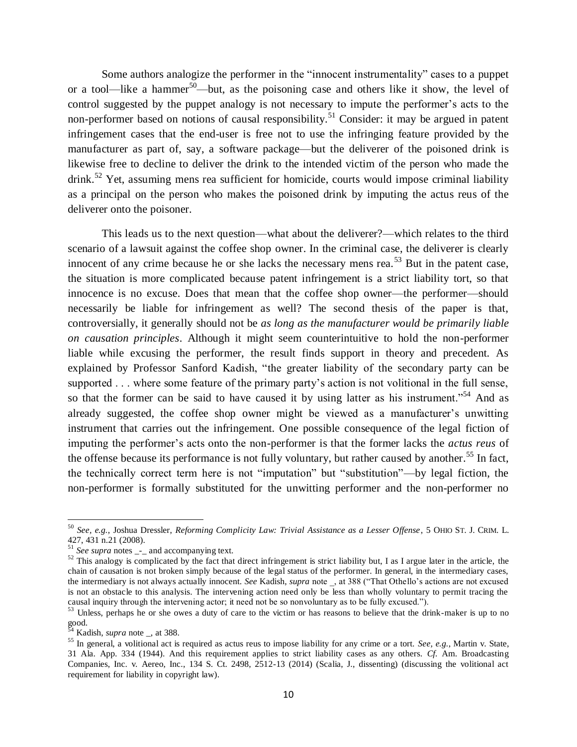<span id="page-9-1"></span><span id="page-9-0"></span>Some authors analogize the performer in the "innocent instrumentality" cases to a puppet or a tool—like a hammer<sup>50</sup>—but, as the poisoning case and others like it show, the level of control suggested by the puppet analogy is not necessary to impute the performer's acts to the non-performer based on notions of causal responsibility.<sup>51</sup> Consider: it may be argued in patent infringement cases that the end-user is free not to use the infringing feature provided by the manufacturer as part of, say, a software package—but the deliverer of the poisoned drink is likewise free to decline to deliver the drink to the intended victim of the person who made the drink.<sup>52</sup> Yet, assuming mens rea sufficient for homicide, courts would impose criminal liability as a principal on the person who makes the poisoned drink by imputing the actus reus of the deliverer onto the poisoner.

This leads us to the next question—what about the deliverer?—which relates to the third scenario of a lawsuit against the coffee shop owner. In the criminal case, the deliverer is clearly innocent of any crime because he or she lacks the necessary mens rea.<sup>53</sup> But in the patent case, the situation is more complicated because patent infringement is a strict liability tort, so that innocence is no excuse. Does that mean that the coffee shop owner—the performer—should necessarily be liable for infringement as well? The second thesis of the paper is that, controversially, it generally should not be *as long as the manufacturer would be primarily liable on causation principles*. Although it might seem counterintuitive to hold the non-performer liable while excusing the performer, the result finds support in theory and precedent. As explained by Professor Sanford Kadish, "the greater liability of the secondary party can be supported . . . where some feature of the primary party's action is not volitional in the full sense, so that the former can be said to have caused it by using latter as his instrument."<sup>54</sup> And as already suggested, the coffee shop owner might be viewed as a manufacturer's unwitting instrument that carries out the infringement. One possible consequence of the legal fiction of imputing the performer's acts onto the non-performer is that the former lacks the *actus reus* of the offense because its performance is not fully voluntary, but rather caused by another.<sup>55</sup> In fact, the technically correct term here is not "imputation" but "substitution"—by legal fiction, the non-performer is formally substituted for the unwitting performer and the non-performer no

<sup>50</sup> *See, e.g.*, Joshua Dressler, *Reforming Complicity Law: Trivial Assistance as a Lesser Offense*, 5 OHIO ST. J. CRIM. L. 427, 431 n.21 (2008).

<sup>&</sup>lt;sup>51</sup> *See supra* notes \_-\_ and accompanying text.

 $52$  This analogy is complicated by the fact that direct infringement is strict liability but, I as I argue later in the article, the chain of causation is not broken simply because of the legal status of the performer. In general, in the intermediary cases, the intermediary is not always actually innocent. *See* Kadish, *supra* note \_, at 388 ("That Othello's actions are not excused is not an obstacle to this analysis. The intervening action need only be less than wholly voluntary to permit tracing the causal inquiry through the intervening actor; it need not be so nonvoluntary as to be fully excused.").

<sup>&</sup>lt;sup>53</sup> Unless, perhaps he or she owes a duty of care to the victim or has reasons to believe that the drink-maker is up to no good.

<sup>54</sup> Kadish, *supra* note \_, at 388.

<sup>55</sup> In general, a volitional act is required as actus reus to impose liability for any crime or a tort. *See, e.g.*, Martin v. State, 31 Ala. App. 334 (1944). And this requirement applies to strict liability cases as any others. *Cf.* Am. Broadcasting Companies, Inc. v. Aereo, Inc., 134 S. Ct. 2498, 2512-13 (2014) (Scalia, J., dissenting) (discussing the volitional act requirement for liability in copyright law).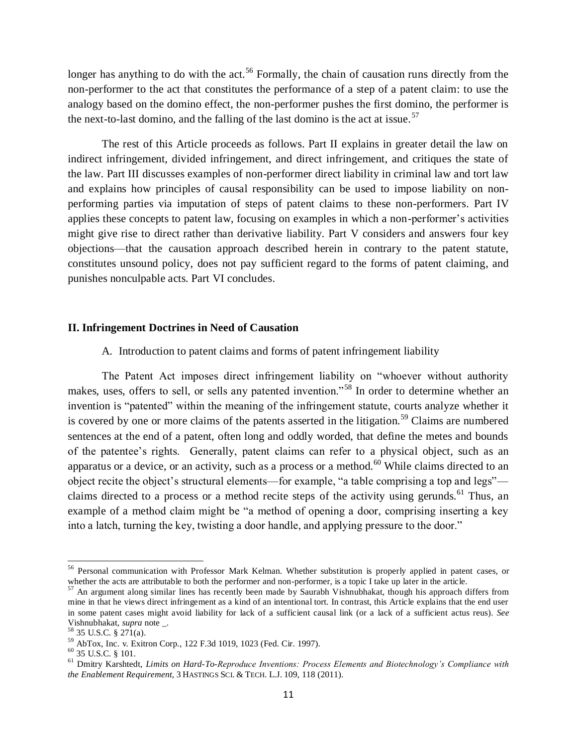<span id="page-10-0"></span>longer has anything to do with the act.<sup>56</sup> Formally, the chain of causation runs directly from the non-performer to the act that constitutes the performance of a step of a patent claim: to use the analogy based on the domino effect, the non-performer pushes the first domino, the performer is the next-to-last domino, and the falling of the last domino is the act at issue.<sup>57</sup>

The rest of this Article proceeds as follows. Part II explains in greater detail the law on indirect infringement, divided infringement, and direct infringement, and critiques the state of the law. Part III discusses examples of non-performer direct liability in criminal law and tort law and explains how principles of causal responsibility can be used to impose liability on nonperforming parties via imputation of steps of patent claims to these non-performers. Part IV applies these concepts to patent law, focusing on examples in which a non-performer's activities might give rise to direct rather than derivative liability. Part V considers and answers four key objections—that the causation approach described herein in contrary to the patent statute, constitutes unsound policy, does not pay sufficient regard to the forms of patent claiming, and punishes nonculpable acts. Part VI concludes.

### **II. Infringement Doctrines in Need of Causation**

## A. Introduction to patent claims and forms of patent infringement liability

The Patent Act imposes direct infringement liability on "whoever without authority makes, uses, offers to sell, or sells any patented invention."<sup>58</sup> In order to determine whether an invention is "patented" within the meaning of the infringement statute, courts analyze whether it is covered by one or more claims of the patents asserted in the litigation.<sup>59</sup> Claims are numbered sentences at the end of a patent, often long and oddly worded, that define the metes and bounds of the patentee's rights. Generally, patent claims can refer to a physical object, such as an apparatus or a device, or an activity, such as a process or a method.<sup>60</sup> While claims directed to an object recite the object's structural elements—for example, "a table comprising a top and legs" claims directed to a process or a method recite steps of the activity using gerunds.<sup>61</sup> Thus, an example of a method claim might be "a method of opening a door, comprising inserting a key into a latch, turning the key, twisting a door handle, and applying pressure to the door."

 $\overline{\phantom{a}}$ 

<sup>&</sup>lt;sup>56</sup> Personal communication with Professor Mark Kelman. Whether substitution is properly applied in patent cases, or whether the acts are attributable to both the performer and non-performer, is a topic I take up later in the article.

 $57$  An argument along similar lines has recently been made by Saurabh Vishnubhakat, though his approach differs from mine in that he views direct infringement as a kind of an intentional tort. In contrast, this Article explains that the end user in some patent cases might avoid liability for lack of a sufficient causal link (or a lack of a sufficient actus reus). *See*  Vishnubhakat, *supra* note \_.

 $58$  35 U.S.C. § 271(a).

<sup>59</sup> AbTox, Inc. v. Exitron Corp., 122 F.3d 1019, 1023 (Fed. Cir. 1997).

 $^{60}$  35 U.S.C. § 101.

<sup>61</sup> Dmitry Karshtedt, *Limits on Hard-To-Reproduce Inventions: Process Elements and Biotechnology's Compliance with the Enablement Requirement*, 3 HASTINGS SCI. & TECH. L.J. 109, 118 (2011).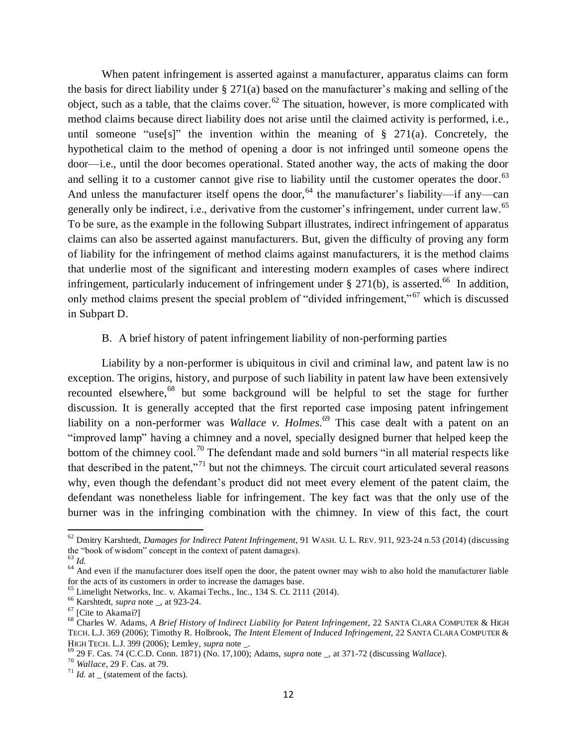When patent infringement is asserted against a manufacturer, apparatus claims can form the basis for direct liability under § 271(a) based on the manufacturer's making and selling of the object, such as a table, that the claims cover.<sup>62</sup> The situation, however, is more complicated with method claims because direct liability does not arise until the claimed activity is performed, i.e., until someone "use[s]" the invention within the meaning of  $\S$  271(a). Concretely, the hypothetical claim to the method of opening a door is not infringed until someone opens the door—i.e., until the door becomes operational. Stated another way, the acts of making the door and selling it to a customer cannot give rise to liability until the customer operates the door.<sup>63</sup> And unless the manufacturer itself opens the door,  $64$  the manufacturer's liability—if any—can generally only be indirect, i.e., derivative from the customer's infringement, under current law.<sup>65</sup> To be sure, as the example in the following Subpart illustrates, indirect infringement of apparatus claims can also be asserted against manufacturers. But, given the difficulty of proving any form of liability for the infringement of method claims against manufacturers, it is the method claims that underlie most of the significant and interesting modern examples of cases where indirect infringement, particularly inducement of infringement under  $\S 271(b)$ , is asserted.<sup>66</sup> In addition, only method claims present the special problem of "divided infringement," <sup>67</sup> which is discussed in Subpart D.

# B. A brief history of patent infringement liability of non-performing parties

Liability by a non-performer is ubiquitous in civil and criminal law, and patent law is no exception. The origins, history, and purpose of such liability in patent law have been extensively recounted elsewhere,<sup>68</sup> but some background will be helpful to set the stage for further discussion. It is generally accepted that the first reported case imposing patent infringement liability on a non-performer was *Wallace v. Holmes.*<sup>69</sup> This case dealt with a patent on an "improved lamp" having a chimney and a novel, specially designed burner that helped keep the bottom of the chimney cool.<sup>70</sup> The defendant made and sold burners "in all material respects like that described in the patent,"<sup>71</sup> but not the chimneys. The circuit court articulated several reasons why, even though the defendant's product did not meet every element of the patent claim, the defendant was nonetheless liable for infringement. The key fact was that the only use of the burner was in the infringing combination with the chimney. In view of this fact, the court

<sup>62</sup> Dmitry Karshtedt, *Damages for Indirect Patent Infringement*, 91 WASH. U. L. REV. 911, 923-24 n.53 (2014) (discussing the "book of wisdom" concept in the context of patent damages).

<sup>63</sup> *Id.*

 $\frac{1}{64}$  And even if the manufacturer does itself open the door, the patent owner may wish to also hold the manufacturer liable for the acts of its customers in order to increase the damages base.

<sup>&</sup>lt;sup>65</sup> Limelight Networks, Inc. v. Akamai Techs., Inc., 134 S. Ct. 2111 (2014).

<sup>66</sup> Karshtedt, *supra* note \_, at 923-24.

<sup>&</sup>lt;sup>67</sup> [Cite to Akamai?]

<sup>68</sup> Charles W. Adams, *A Brief History of Indirect Liability for Patent Infringement*, 22 SANTA CLARA COMPUTER & HIGH TECH. L.J. 369 (2006); Timothy R. Holbrook, *The Intent Element of Induced Infringement*, 22 SANTA CLARA COMPUTER & HIGH TECH. L.J. 399 (2006); Lemley, *supra* note \_.

<sup>69</sup> 29 F. Cas. 74 (C.C.D. Conn. 1871) (No. 17,100); Adams, *supra* note \_, at 371-72 (discussing *Wallace*).

<sup>70</sup> *Wallace*, 29 F. Cas. at 79.

 $^{71}$  *Id.* at  $\angle$  (statement of the facts).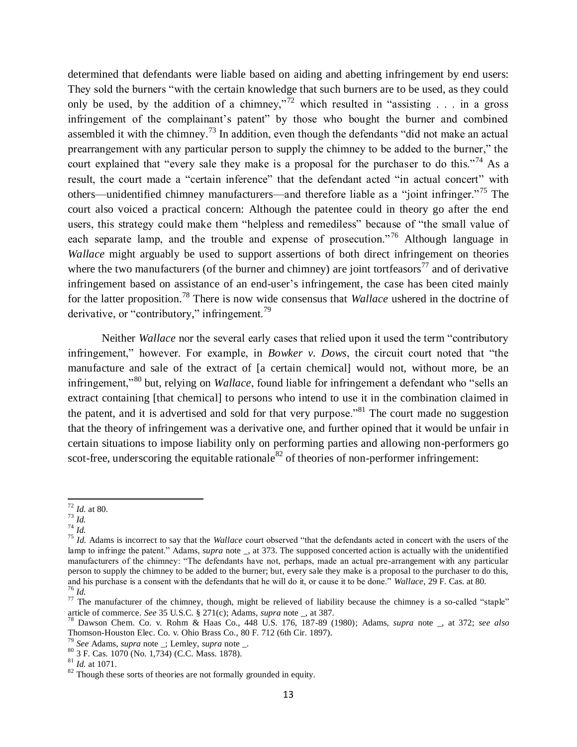determined that defendants were liable based on aiding and abetting infringement by end users: They sold the burners "with the certain knowledge that such burners are to be used, as they could only be used, by the addition of a chimney,"<sup>72</sup> which resulted in "assisting  $\ldots$  in a gross infringement of the complainant's patent" by those who bought the burner and combined assembled it with the chimney.<sup>73</sup> In addition, even though the defendants "did not make an actual prearrangement with any particular person to supply the chimney to be added to the burner," the court explained that "every sale they make is a proposal for the purchaser to do this."<sup>74</sup> As a result, the court made a "certain inference" that the defendant acted "in actual concert" with others—unidentified chimney manufacturers—and therefore liable as a "joint infringer."<sup>75</sup> The court also voiced a practical concern: Although the patentee could in theory go after the end users, this strategy could make them "helpless and remediless" because of "the small value of each separate lamp, and the trouble and expense of prosecution.<sup>76</sup> Although language in *Wallace* might arguably be used to support assertions of both direct infringement on theories where the two manufacturers (of the burner and chimney) are joint tortfeasors<sup>77</sup> and of derivative infringement based on assistance of an end-user's infringement, the case has been cited mainly for the latter proposition. <sup>78</sup> There is now wide consensus that *Wallace* ushered in the doctrine of derivative, or "contributory," infringement.<sup>79</sup>

Neither *Wallace* nor the several early cases that relied upon it used the term "contributory infringement," however. For example, in *Bowker v. Dows*, the circuit court noted that "the manufacture and sale of the extract of [a certain chemical] would not, without more, be an infringement,"<sup>80</sup> but, relying on *Wallace*, found liable for infringement a defendant who "sells an extract containing [that chemical] to persons who intend to use it in the combination claimed in the patent, and it is advertised and sold for that very purpose.<sup> $31$ </sup> The court made no suggestion that the theory of infringement was a derivative one, and further opined that it would be unfair in certain situations to impose liability only on performing parties and allowing non-performers go scot-free, underscoring the equitable rationale<sup>82</sup> of theories of non-performer infringement:

<sup>74</sup> *Id.*

 $\overline{a}$ <sup>72</sup> *Id.* at 80.

<sup>73</sup> *Id.*

<sup>75</sup> *Id.* Adams is incorrect to say that the *Wallace* court observed "that the defendants acted in concert with the users of the lamp to infringe the patent." Adams, *supra* note \_, at 373. The supposed concerted action is actually with the unidentified manufacturers of the chimney: "The defendants have not, perhaps, made an actual pre-arrangement with any particular person to supply the chimney to be added to the burner; but, every sale they make is a proposal to the purchaser to do this, and his purchase is a consent with the defendants that he will do it, or cause it to be done." *Wallace*, 29 F. Cas. at 80. <sup>76</sup> *Id.*

 $77$  The manufacturer of the chimney, though, might be relieved of liability because the chimney is a so-called "staple" article of commerce. *See* 35 U.S.C. § 271(c); Adams, *supra* note \_, at 387.

<sup>78</sup> Dawson Chem. Co. v. Rohm & Haas Co., 448 U.S. 176, 187-89 (1980); Adams, *supra* note \_, at 372; *see also* Thomson-Houston Elec. Co. v. Ohio Brass Co., 80 F. 712 (6th Cir. 1897).

<sup>79</sup> *See* Adams, *supra* note \_; Lemley, *supra* note \_.

<sup>80</sup> 3 F. Cas. 1070 (No. 1,734) (C.C. Mass. 1878).

 $81 \over 1d$ . at 1071.

<sup>&</sup>lt;sup>82</sup> Though these sorts of theories are not formally grounded in equity.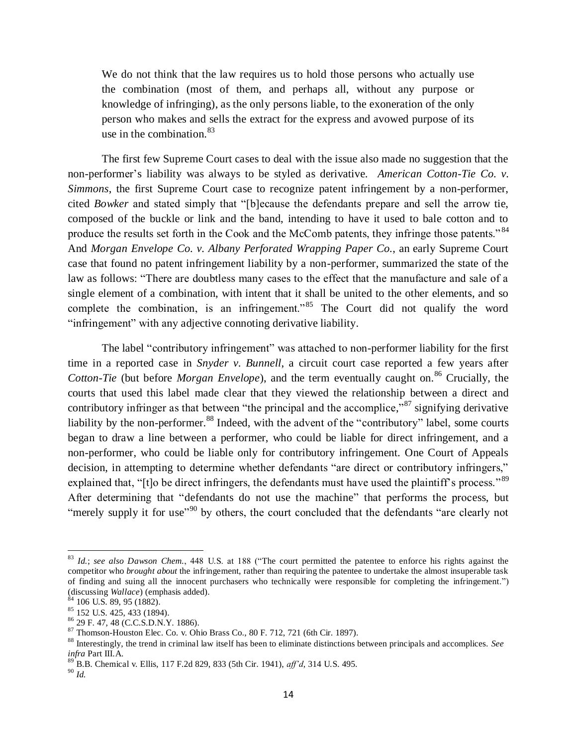We do not think that the law requires us to hold those persons who actually use the combination (most of them, and perhaps all, without any purpose or knowledge of infringing), as the only persons liable, to the exoneration of the only person who makes and sells the extract for the express and avowed purpose of its use in the combination.  $83$ 

The first few Supreme Court cases to deal with the issue also made no suggestion that the non-performer's liability was always to be styled as derivative. *American Cotton-Tie Co. v. Simmons*, the first Supreme Court case to recognize patent infringement by a non-performer, cited *Bowker* and stated simply that "[b]ecause the defendants prepare and sell the arrow tie, composed of the buckle or link and the band, intending to have it used to bale cotton and to produce the results set forth in the Cook and the McComb patents, they infringe those patents." <sup>84</sup> And *Morgan Envelope Co. v. Albany Perforated Wrapping Paper Co.*, an early Supreme Court case that found no patent infringement liability by a non-performer, summarized the state of the law as follows: "There are doubtless many cases to the effect that the manufacture and sale of a single element of a combination, with intent that it shall be united to the other elements, and so complete the combination, is an infringement.<sup> $85$ </sup> The Court did not qualify the word "infringement" with any adjective connoting derivative liability.

The label "contributory infringement" was attached to non-performer liability for the first time in a reported case in *Snyder v. Bunnell*, a circuit court case reported a few years after *Cotton-Tie* (but before *Morgan Envelope*), and the term eventually caught on.<sup>86</sup> Crucially, the courts that used this label made clear that they viewed the relationship between a direct and contributory infringer as that between "the principal and the accomplice,"<sup>87</sup> signifying derivative liability by the non-performer.<sup>88</sup> Indeed, with the advent of the "contributory" label, some courts began to draw a line between a performer, who could be liable for direct infringement, and a non-performer, who could be liable only for contributory infringement. One Court of Appeals decision, in attempting to determine whether defendants "are direct or contributory infringers," explained that, "[t]o be direct infringers, the defendants must have used the plaintiff's process."<sup>89</sup> After determining that "defendants do not use the machine" that performs the process, but "merely supply it for use"<sup>90</sup> by others, the court concluded that the defendants "are clearly not

<sup>83</sup> *Id.*; *see also Dawson Chem.*, 448 U.S. at 188 ("The court permitted the patentee to enforce his rights against the competitor who *brought about* the infringement, rather than requiring the patentee to undertake the almost insuperable task of finding and suing all the innocent purchasers who technically were responsible for completing the infringement.") (discussing *Wallace*) (emphasis added).

 $84$  106 U.S. 89, 95 (1882).

 $85 \overline{)152 \overline{)153 \overline{)152 \overline{)151 \overline{05 \overline{)151 \overline{0}}}}}$  (1894).

<sup>86</sup> 29 F. 47, 48 (C.C.S.D.N.Y. 1886).

<sup>87</sup> Thomson-Houston Elec. Co. v. Ohio Brass Co., 80 F. 712, 721 (6th Cir. 1897).

<sup>88</sup> Interestingly, the trend in criminal law itself has been to eliminate distinctions between principals and accomplices. *See infra* Part III.A.

<sup>89</sup> B.B. Chemical v. Ellis, 117 F.2d 829, 833 (5th Cir. 1941), *aff'd*, 314 U.S. 495.

 $^{90}$   $\overline{Id}$ .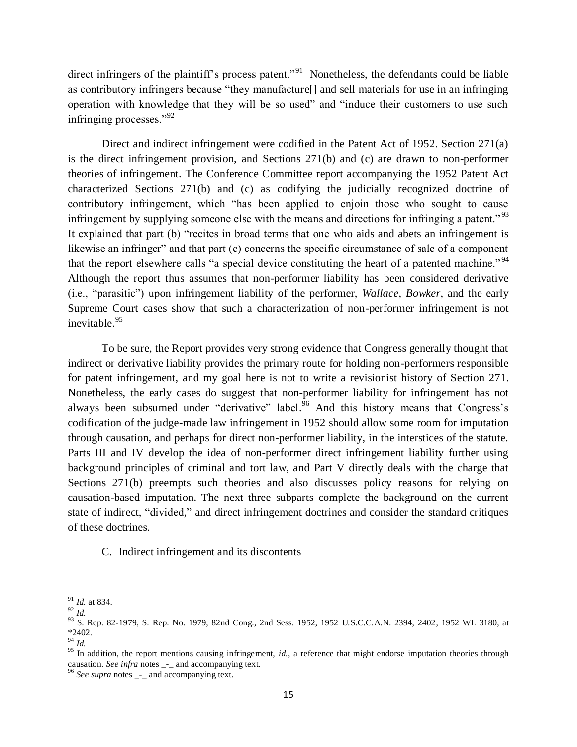direct infringers of the plaintiff's process patent."<sup>91</sup> Nonetheless, the defendants could be liable as contributory infringers because "they manufacture[] and sell materials for use in an infringing operation with knowledge that they will be so used" and "induce their customers to use such infringing processes."<sup>92</sup>

Direct and indirect infringement were codified in the Patent Act of 1952. Section 271(a) is the direct infringement provision, and Sections 271(b) and (c) are drawn to non-performer theories of infringement. The Conference Committee report accompanying the 1952 Patent Act characterized Sections 271(b) and (c) as codifying the judicially recognized doctrine of contributory infringement, which "has been applied to enjoin those who sought to cause infringement by supplying someone else with the means and directions for infringing a patent."<sup>93</sup> It explained that part (b) "recites in broad terms that one who aids and abets an infringement is likewise an infringer" and that part (c) concerns the specific circumstance of sale of a component that the report elsewhere calls "a special device constituting the heart of a patented machine."<sup>94</sup> Although the report thus assumes that non-performer liability has been considered derivative (i.e., "parasitic") upon infringement liability of the performer, *Wallace*, *Bowker*, and the early Supreme Court cases show that such a characterization of non-performer infringement is not inevitable.<sup>95</sup>

To be sure, the Report provides very strong evidence that Congress generally thought that indirect or derivative liability provides the primary route for holding non-performers responsible for patent infringement, and my goal here is not to write a revisionist history of Section 271. Nonetheless, the early cases do suggest that non-performer liability for infringement has not always been subsumed under "derivative" label.<sup>96</sup> And this history means that Congress's codification of the judge-made law infringement in 1952 should allow some room for imputation through causation, and perhaps for direct non-performer liability, in the interstices of the statute. Parts III and IV develop the idea of non-performer direct infringement liability further using background principles of criminal and tort law, and Part V directly deals with the charge that Sections 271(b) preempts such theories and also discusses policy reasons for relying on causation-based imputation. The next three subparts complete the background on the current state of indirect, "divided," and direct infringement doctrines and consider the standard critiques of these doctrines.

C. Indirect infringement and its discontents

 $\overline{a}$ <sup>91</sup> *Id.* at 834.

<sup>92</sup> *Id.*

<sup>&</sup>lt;sup>93</sup> S. Rep. 82-1979, S. Rep. No. 1979, 82nd Cong., 2nd Sess. 1952, 1952 U.S.C.C.A.N. 2394, 2402, 1952 WL 3180, at \*2402.

<sup>94</sup> *Id.*

<sup>&</sup>lt;sup>95</sup> In addition, the report mentions causing infringement, *id.*, a reference that might endorse imputation theories through causation. *See infra* notes \_-\_ and accompanying text.

 $\frac{1}{2}$  *See supra* notes  $\frac{1}{2}$  and accompanying text.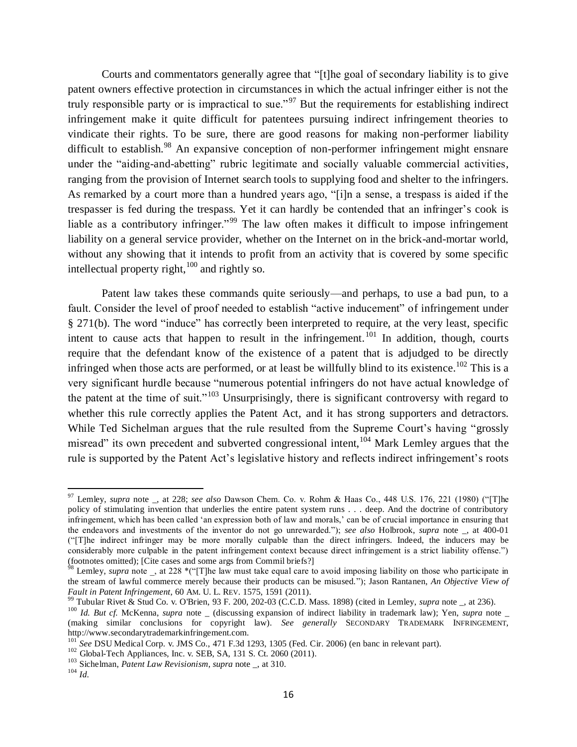<span id="page-15-0"></span>Courts and commentators generally agree that "[t]he goal of secondary liability is to give patent owners effective protection in circumstances in which the actual infringer either is not the truly responsible party or is impractical to sue."<sup>97</sup> But the requirements for establishing indirect infringement make it quite difficult for patentees pursuing indirect infringement theories to vindicate their rights. To be sure, there are good reasons for making non-performer liability difficult to establish.<sup>98</sup> An expansive conception of non-performer infringement might ensnare under the "aiding-and-abetting" rubric legitimate and socially valuable commercial activities, ranging from the provision of Internet search tools to supplying food and shelter to the infringers. As remarked by a court more than a hundred years ago, "[i]n a sense, a trespass is aided if the trespasser is fed during the trespass. Yet it can hardly be contended that an infringer's cook is liable as a contributory infringer."<sup>99</sup> The law often makes it difficult to impose infringement liability on a general service provider, whether on the Internet on in the brick-and-mortar world, without any showing that it intends to profit from an activity that is covered by some specific intellectual property right, $100$  and rightly so.

<span id="page-15-2"></span><span id="page-15-1"></span>Patent law takes these commands quite seriously—and perhaps, to use a bad pun, to a fault. Consider the level of proof needed to establish "active inducement" of infringement under § 271(b). The word "induce" has correctly been interpreted to require, at the very least, specific intent to cause acts that happen to result in the infringement.<sup>101</sup> In addition, though, courts require that the defendant know of the existence of a patent that is adjudged to be directly infringed when those acts are performed, or at least be willfully blind to its existence.<sup>102</sup> This is a very significant hurdle because "numerous potential infringers do not have actual knowledge of the patent at the time of suit."<sup>103</sup> Unsurprisingly, there is significant controversy with regard to whether this rule correctly applies the Patent Act, and it has strong supporters and detractors. While Ted Sichelman argues that the rule resulted from the Supreme Court's having "grossly misread" its own precedent and subverted congressional intent,<sup>104</sup> Mark Lemley argues that the rule is supported by the Patent Act's legislative history and reflects indirect infringement's roots

<sup>97</sup> Lemley, *supra* note \_, at 228; *see also* Dawson Chem. Co. v. Rohm & Haas Co., 448 U.S. 176, 221 (1980) ("[T]he policy of stimulating invention that underlies the entire patent system runs . . . deep. And the doctrine of contributory infringement, which has been called 'an expression both of law and morals,' can be of crucial importance in ensuring that the endeavors and investments of the inventor do not go unrewarded."); *see also* Holbrook, *supra* note \_, at 400-01 ("[T]he indirect infringer may be more morally culpable than the direct infringers. Indeed, the inducers may be considerably more culpable in the patent infringement context because direct infringement is a strict liability offense.") (footnotes omitted); [Cite cases and some args from Commil briefs?]

<sup>&</sup>lt;sup>98</sup> Lemley, *supra* note \_, at 228 \*("[T]he law must take equal care to avoid imposing liability on those who participate in the stream of lawful commerce merely because their products can be misused."); Jason Rantanen, *An Objective View of Fault in Patent Infringement*, 60 AM. U. L. REV. 1575, 1591 (2011).

<sup>99</sup> Tubular Rivet & Stud Co. v. O'Brien, [93 F. 200, 202-03 \(C.C.D. Mass. 1898\)](https://a.next.westlaw.com/Link/Document/FullText?findType=Y&serNum=1899148144&pubNum=348&originatingDoc=I332cadb14b2911db99a18fc28eb0d9ae&refType=RP&fi=co_pp_sp_348_202&originationContext=document&transitionType=DocumentItem&contextData=%28sc.Search%29#co_pp_sp_348_202) (cited in Lemley, *supra* note \_, at 236).

<sup>&</sup>lt;sup>100</sup> *Id. But cf.* McKenna, *supra* note \_ (discussing expansion of indirect liability in trademark law); Yen, *supra* note \_ (making similar conclusions for copyright law). *See generally* SECONDARY TRADEMARK INFRINGEMENT, http://www.secondarytrademarkinfringement.com.

<sup>101</sup> *See* DSU Medical Corp. v. JMS Co., 471 F.3d 1293, 1305 (Fed. Cir. 2006) (en banc in relevant part).

 $102$  Global-Tech Appliances, Inc. v. SEB, SA, 131 S. Ct. 2060 (2011).

<sup>103</sup> Sichelman, *Patent Law Revisionism*, *supra* note \_, at 310.  $104 \overline{Id}$ .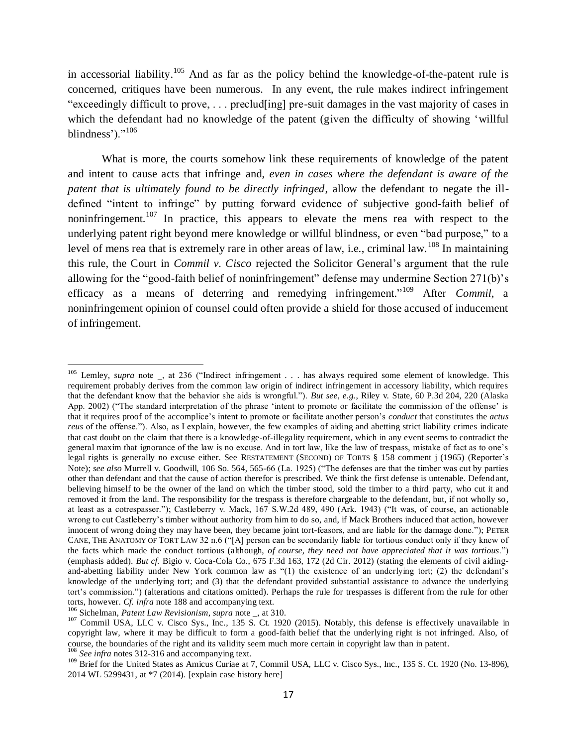<span id="page-16-0"></span>in accessorial liability.<sup>105</sup> And as far as the policy behind the knowledge-of-the-patent rule is concerned, critiques have been numerous. In any event, the rule makes indirect infringement "exceedingly difficult to prove, . . . preclud[ing] pre-suit damages in the vast majority of cases in which the defendant had no knowledge of the patent (given the difficulty of showing 'willful blindness')." $^{106}$ 

What is more, the courts somehow link these requirements of knowledge of the patent and intent to cause acts that infringe and, *even in cases where the defendant is aware of the patent that is ultimately found to be directly infringed*, allow the defendant to negate the illdefined "intent to infringe" by putting forward evidence of subjective good-faith belief of noninfringement.<sup>107</sup> In practice, this appears to elevate the mens rea with respect to the underlying patent right beyond mere knowledge or willful blindness, or even "bad purpose," to a level of mens rea that is extremely rare in other areas of law, i.e., criminal law.<sup>108</sup> In maintaining this rule, the Court in *Commil v. Cisco* rejected the Solicitor General's argument that the rule allowing for the "good-faith belief of noninfringement" defense may undermine Section 271(b)'s efficacy as a means of deterring and remedying infringement." <sup>109</sup> After *Commil*, a noninfringement opinion of counsel could often provide a shield for those accused of inducement of infringement.

<span id="page-16-1"></span>l

<sup>&</sup>lt;sup>105</sup> Lemley, *supra* note, at 236 ("Indirect infringement . . . has always required some element of knowledge. This requirement probably derives from the common law origin of indirect infringement in accessory liability, which requires that the defendant know that the behavior she aids is wrongful."). *But see, e.g.*, Riley v. State, 60 P.3d 204, 220 (Alaska App. 2002) ("The standard interpretation of the phrase 'intent to promote or facilitate the commission of the offense' is that it requires proof of the accomplice's intent to promote or facilitate another person's *conduct* that constitutes the *actus reus* of the offense."). Also, as I explain, however, the few examples of aiding and abetting strict liability crimes indicate that cast doubt on the claim that there is a knowledge-of-illegality requirement, which in any event seems to contradict the general maxim that ignorance of the law is no excuse. And in tort law, like the law of trespass, mistake of fact as to one's legal rights is generally no excuse either. See RESTATEMENT (SECOND) OF TORTS § 158 comment j (1965) (Reporter's Note); *see also* Murrell v. Goodwill, 106 So. 564, 565-66 (La. 1925) ("The defenses are that the timber was cut by parties other than defendant and that the cause of action therefor is prescribed. We think the first defense is untenable. Defendant, believing himself to be the owner of the land on which the timber stood, sold the timber to a third party, who cut it and removed it from the land. The responsibility for the trespass is therefore chargeable to the defendant, but, if not wholly so, at least as a cotrespasser."); Castleberry v. Mack, 167 S.W.2d 489, 490 (Ark. 1943) ("It was, of course, an actionable wrong to cut Castleberry's timber without authority from him to do so, and, if Mack Brothers induced that action, however innocent of wrong doing they may have been, they became joint tort-feasors, and are liable for the damage done."); PETER CANE, THE ANATOMY OF TORT LAW 32 n.6 ("[A] person can be secondarily liable for tortious conduct only if they knew of the facts which made the conduct tortious (although, *of course, they need not have appreciated that it was tortious*.") (emphasis added). *But cf.* Bigio v. Coca-Cola Co., 675 F.3d 163, 172 (2d Cir. 2012) (stating the elements of civil aidingand-abetting liability under New York common law as "(1) the existence of an underlying tort; (2) the defendant's knowledge of the underlying tort; and (3) that the defendant provided substantial assistance to advance the underlying tort's commission.") (alterations and citations omitted). Perhaps the rule for trespasses is different from the rule for other torts, however. *Cf. infra* note [188](#page-28-0) and accompanying text.

<sup>106</sup> Sichelman, *Patent Law Revisionism*, *supra* note \_, at 310.

<sup>&</sup>lt;sup>107</sup> Commil USA, LLC v. Cisco Sys., Inc., 135 S. Ct. 1920 (2015). Notably, this defense is effectively unavailable in copyright law, where it may be difficult to form a good-faith belief that the underlying right is not infringed. Also, of course, the boundaries of the right and its validity seem much more certain in copyright law than in patent. <sup>108</sup> See infra note[s 312](#page-43-0)[-316](#page-44-0) and accompanying text.

<sup>109</sup> Bre *infru* hotes 312-310 and accompanying text.<br><sup>109</sup> Brief for the United States as Amicus Curiae at 7, Commil USA, LLC v. Cisco Sys., Inc., 135 S. Ct. 1920 (No. 13-896), 2014 WL 5299431, at \*7 (2014). [explain case history here]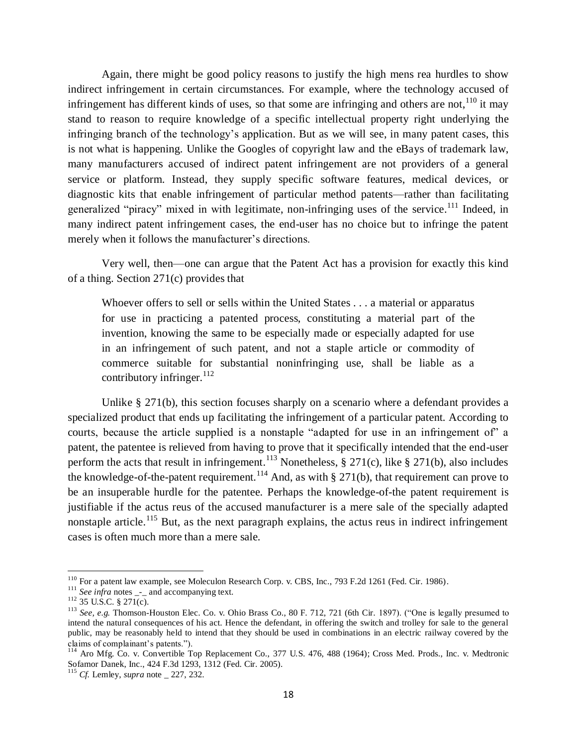<span id="page-17-0"></span>Again, there might be good policy reasons to justify the high mens rea hurdles to show indirect infringement in certain circumstances. For example, where the technology accused of infringement has different kinds of uses, so that some are infringing and others are not,  $^{110}$  it may stand to reason to require knowledge of a specific intellectual property right underlying the infringing branch of the technology's application. But as we will see, in many patent cases, this is not what is happening. Unlike the Googles of copyright law and the eBays of trademark law, many manufacturers accused of indirect patent infringement are not providers of a general service or platform. Instead, they supply specific software features, medical devices, or diagnostic kits that enable infringement of particular method patents—rather than facilitating generalized "piracy" mixed in with legitimate, non-infringing uses of the service.<sup>111</sup> Indeed, in many indirect patent infringement cases, the end-user has no choice but to infringe the patent merely when it follows the manufacturer's directions.

Very well, then—one can argue that the Patent Act has a provision for exactly this kind of a thing. Section 271(c) provides that

Whoever offers to sell or sells within the United States . . . a material or apparatus for use in practicing a patented process, constituting a material part of the invention, knowing the same to be especially made or especially adapted for use in an infringement of such patent, and not a staple article or commodity of commerce suitable for substantial noninfringing use, shall be liable as a contributory infringer. $^{112}$ 

Unlike § 271(b), this section focuses sharply on a scenario where a defendant provides a specialized product that ends up facilitating the infringement of a particular patent. According to courts, because the article supplied is a nonstaple "adapted for use in an infringement of" a patent, the patentee is relieved from having to prove that it specifically intended that the end-user perform the acts that result in infringement.<sup>113</sup> Nonetheless,  $\S 271(c)$ , like  $\S 271(b)$ , also includes the knowledge-of-the-patent requirement.<sup>114</sup> And, as with  $\S 271(b)$ , that requirement can prove to be an insuperable hurdle for the patentee. Perhaps the knowledge-of-the patent requirement is justifiable if the actus reus of the accused manufacturer is a mere sale of the specially adapted nonstaple article.<sup>115</sup> But, as the next paragraph explains, the actus reus in indirect infringement cases is often much more than a mere sale.

l

<sup>&</sup>lt;sup>110</sup> For a patent law example, see Moleculon Research Corp. v. CBS, Inc., 793 F.2d 1261 (Fed. Cir. 1986).

 $\frac{1}{111}$  *See infra* notes  $\frac{1}{11}$  and accompanying text.

 $112$  35 U.S.C. § 271(c).

<sup>113</sup> *See, e.g.* Thomson-Houston Elec. Co. v. Ohio Brass Co., 80 F. 712, 721 (6th Cir. 1897). ("One is legally presumed to intend the natural consequences of his act. Hence the defendant, in offering the switch and trolley for sale to the general public, may be reasonably held to intend that they should be used in combinations in an electric railway covered by the claims of complainant's patents.").

<sup>&</sup>lt;sup>114</sup> Aro Mfg. Co. v. Convertible Top Replacement Co., 377 U.S. 476, 488 (1964); Cross Med. Prods., Inc. v. Medtronic Sofamor Danek, Inc., 424 F.3d 1293, 1312 (Fed. Cir. 2005).

<sup>115</sup> *Cf.* Lemley, *supra* note \_ 227, 232.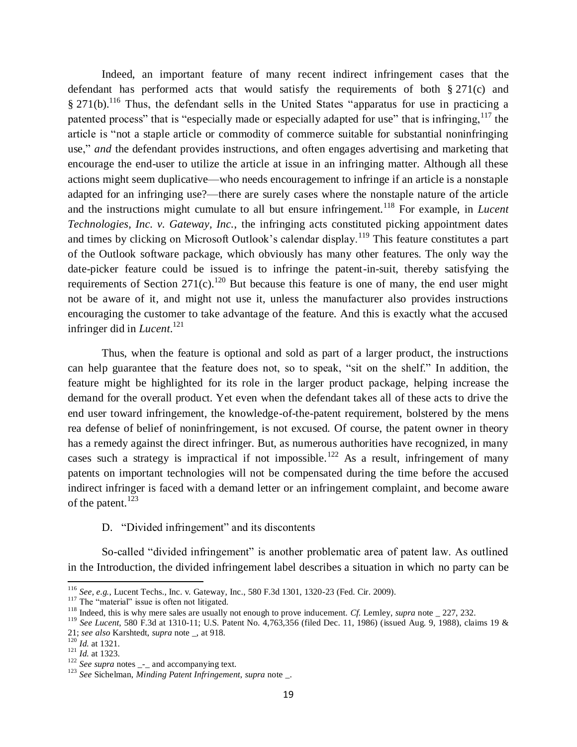<span id="page-18-0"></span>Indeed, an important feature of many recent indirect infringement cases that the defendant has performed acts that would satisfy the requirements of both § 271(c) and  $\S 271(b)$ .<sup>116</sup> Thus, the defendant sells in the United States "apparatus for use in practicing a patented process" that is "especially made or especially adapted for use" that is infringing,  $117$  the article is "not a staple article or commodity of commerce suitable for substantial noninfringing use," *and* the defendant provides instructions, and often engages advertising and marketing that encourage the end-user to utilize the article at issue in an infringing matter. Although all these actions might seem duplicative—who needs encouragement to infringe if an article is a nonstaple adapted for an infringing use?—there are surely cases where the nonstaple nature of the article and the instructions might cumulate to all but ensure infringement.<sup>118</sup> For example, in *Lucent Technologies, Inc. v. Gateway, Inc.*, the infringing acts constituted picking appointment dates and times by clicking on Microsoft Outlook's calendar display.<sup>119</sup> This feature constitutes a part of the Outlook software package, which obviously has many other features. The only way the date-picker feature could be issued is to infringe the patent-in-suit, thereby satisfying the requirements of Section 271(c).<sup>120</sup> But because this feature is one of many, the end user might not be aware of it, and might not use it, unless the manufacturer also provides instructions encouraging the customer to take advantage of the feature. And this is exactly what the accused infringer did in *Lucent*. 121

Thus, when the feature is optional and sold as part of a larger product, the instructions can help guarantee that the feature does not, so to speak, "sit on the shelf." In addition, the feature might be highlighted for its role in the larger product package, helping increase the demand for the overall product. Yet even when the defendant takes all of these acts to drive the end user toward infringement, the knowledge-of-the-patent requirement, bolstered by the mens rea defense of belief of noninfringement, is not excused. Of course, the patent owner in theory has a remedy against the direct infringer. But, as numerous authorities have recognized, in many cases such a strategy is impractical if not impossible.<sup>122</sup> As a result, infringement of many patents on important technologies will not be compensated during the time before the accused indirect infringer is faced with a demand letter or an infringement complaint, and become aware of the patent.<sup>123</sup>

<span id="page-18-1"></span>D. "Divided infringement" and its discontents

So-called "divided infringement" is another problematic area of patent law. As outlined in the Introduction, the divided infringement label describes a situation in which no party can be

<sup>116</sup> *See, e.g.*, Lucent Techs., Inc. v. Gateway, Inc., 580 F.3d 1301, 1320-23 (Fed. Cir. 2009).

<sup>&</sup>lt;sup>117</sup> The "material" issue is often not litigated.

<sup>&</sup>lt;sup>118</sup> Indeed, this is why mere sales are usually not enough to prove inducement. *Cf.* Lemley, *supra* note \_ 227, 232.

<sup>119</sup> *See Lucent*, 580 F.3d at 1310-11; U.S. Patent No. 4,763,356 (filed Dec. 11, 1986) (issued Aug. 9, 1988), claims 19 & 21; *see also* Karshtedt, *supra* note \_, at 918.

<sup>120</sup> *Id.* at 1321.

 $\frac{121}{1d}$ . at 1323.

<sup>&</sup>lt;sup>122</sup> *See supra* notes \_-\_ and accompanying text.

<sup>123</sup> *See* Sichelman, *Minding Patent Infringement*, *supra* note \_.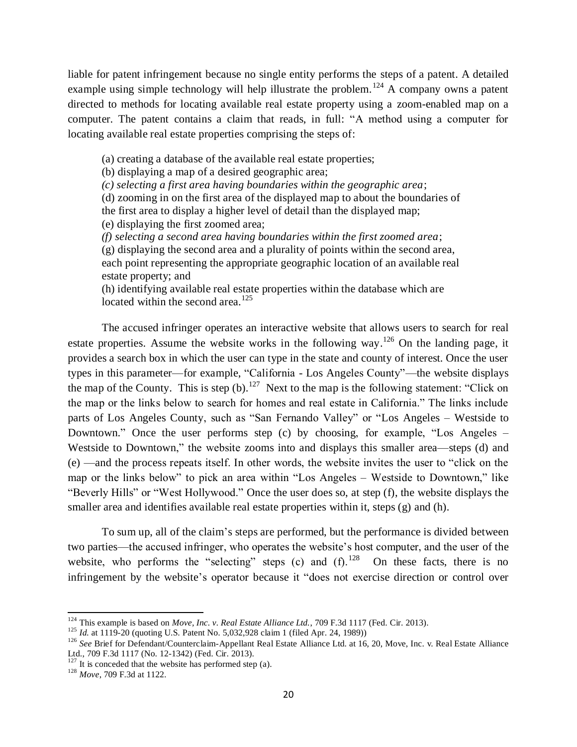liable for patent infringement because no single entity performs the steps of a patent. A detailed example using simple technology will help illustrate the problem.<sup>124</sup> A company owns a patent directed to methods for locating available real estate property using a zoom-enabled map on a computer. The patent contains a claim that reads, in full: "A method using a computer for locating available real estate properties comprising the steps of:

<span id="page-19-0"></span>(a) creating a database of the available real estate properties;

(b) displaying a map of a desired geographic area;

*(c) selecting a first area having boundaries within the geographic area*;

(d) zooming in on the first area of the displayed map to about the boundaries of

the first area to display a higher level of detail than the displayed map;

(e) displaying the first zoomed area;

*(f) selecting a second area having boundaries within the first zoomed area*;

(g) displaying the second area and a plurality of points within the second area, each point representing the appropriate geographic location of an available real estate property; and

(h) identifying available real estate properties within the database which are located within the second area.<sup>125</sup>

The accused infringer operates an interactive website that allows users to search for real estate properties. Assume the website works in the following way.<sup>126</sup> On the landing page, it provides a search box in which the user can type in the state and county of interest. Once the user types in this parameter—for example, "California - Los Angeles County"—the website displays the map of the County. This is step  $(b)$ .<sup>127</sup> Next to the map is the following statement: "Click on the map or the links below to search for homes and real estate in California." The links include parts of Los Angeles County, such as "San Fernando Valley" or "Los Angeles – Westside to Downtown." Once the user performs step (c) by choosing, for example, "Los Angeles – Westside to Downtown," the website zooms into and displays this smaller area—steps (d) and (e) —and the process repeats itself. In other words, the website invites the user to "click on the map or the links below" to pick an area within "Los Angeles – Westside to Downtown," like "Beverly Hills" or "West Hollywood." Once the user does so, at step (f), the website displays the smaller area and identifies available real estate properties within it, steps (g) and (h).

To sum up, all of the claim's steps are performed, but the performance is divided between two parties—the accused infringer, who operates the website's host computer, and the user of the website, who performs the "selecting" steps (c) and  $(f)$ .<sup>128</sup> On these facts, there is no infringement by the website's operator because it "does not exercise direction or control over

 $\overline{\phantom{a}}$ 

<sup>&</sup>lt;sup>124</sup> This example is based on *Move, Inc. v. Real Estate Alliance Ltd.*, 709 F.3d 1117 (Fed. Cir. 2013).

<sup>125</sup> *Id.* at 1119-20 (quoting U.S. Patent No. 5,032,928 claim 1 (filed Apr. 24, 1989))

<sup>&</sup>lt;sup>126</sup> See Brief for Defendant/Counterclaim-Appellant Real Estate Alliance Ltd. at 16, 20, Move, Inc. v. Real Estate Alliance Ltd., 709 F.3d 1117 (No. 12-1342) (Fed. Cir. 2013).

 $127$  It is conceded that the website has performed step (a).

<sup>128</sup> *Move*, 709 F.3d at 1122.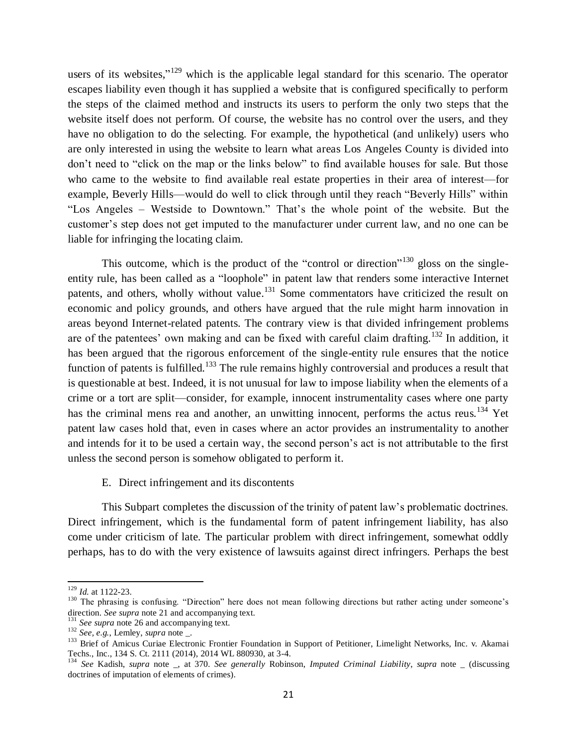users of its websites,"<sup>129</sup> which is the applicable legal standard for this scenario. The operator escapes liability even though it has supplied a website that is configured specifically to perform the steps of the claimed method and instructs its users to perform the only two steps that the website itself does not perform. Of course, the website has no control over the users, and they have no obligation to do the selecting. For example, the hypothetical (and unlikely) users who are only interested in using the website to learn what areas Los Angeles County is divided into don't need to "click on the map or the links below" to find available houses for sale. But those who came to the website to find available real estate properties in their area of interest—for example, Beverly Hills—would do well to click through until they reach "Beverly Hills" within "Los Angeles – Westside to Downtown." That's the whole point of the website. But the customer's step does not get imputed to the manufacturer under current law, and no one can be liable for infringing the locating claim.

<span id="page-20-0"></span>This outcome, which is the product of the "control or direction"<sup>130</sup> gloss on the singleentity rule, has been called as a "loophole" in patent law that renders some interactive Internet patents, and others, wholly without value.<sup>131</sup> Some commentators have criticized the result on economic and policy grounds, and others have argued that the rule might harm innovation in areas beyond Internet-related patents. The contrary view is that divided infringement problems are of the patentees' own making and can be fixed with careful claim drafting.<sup>132</sup> In addition, it has been argued that the rigorous enforcement of the single-entity rule ensures that the notice function of patents is fulfilled.<sup>133</sup> The rule remains highly controversial and produces a result that is questionable at best. Indeed, it is not unusual for law to impose liability when the elements of a crime or a tort are split—consider, for example, innocent instrumentality cases where one party has the criminal mens rea and another, an unwitting innocent, performs the actus reus.<sup>134</sup> Yet patent law cases hold that, even in cases where an actor provides an instrumentality to another and intends for it to be used a certain way, the second person's act is not attributable to the first unless the second person is somehow obligated to perform it.

## <span id="page-20-1"></span>E. Direct infringement and its discontents

This Subpart completes the discussion of the trinity of patent law's problematic doctrines. Direct infringement, which is the fundamental form of patent infringement liability, has also come under criticism of late. The particular problem with direct infringement, somewhat oddly perhaps, has to do with the very existence of lawsuits against direct infringers. Perhaps the best

<sup>129</sup> *Id.* at 1122-23.

<sup>&</sup>lt;sup>130</sup> The phrasing is confusing. "Direction" here does not mean following directions but rather acting under someone's direction. *See supra* note [21](#page-4-0) and accompanying text.

<sup>&</sup>lt;sup>131</sup> See supra not[e 26](#page-5-0) and accompanying text.

<sup>132</sup> *See, e.g.*, Lemley, *supra* note \_.

<sup>&</sup>lt;sup>133</sup> Brief of Amicus Curiae Electronic Frontier Foundation in Support of Petitioner, Limelight Networks, Inc. v. Akamai Techs., Inc., 134 S. Ct. 2111 (2014), 2014 WL 880930, at 3-4.

<sup>134</sup> *See* Kadish, *supra* note \_, at 370. *See generally* Robinson, *Imputed Criminal Liability*, *supra* note \_ (discussing doctrines of imputation of elements of crimes).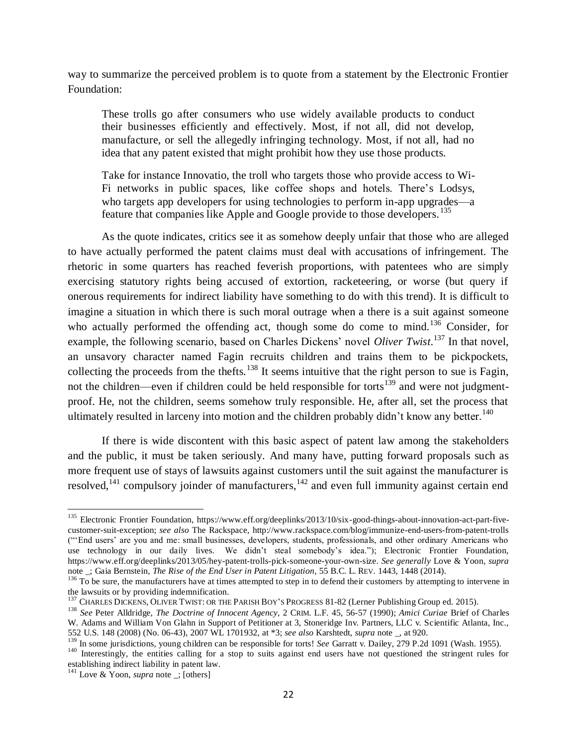way to summarize the perceived problem is to quote from a statement by the Electronic Frontier Foundation:

These trolls go after consumers who use widely available products to conduct their businesses efficiently and effectively. Most, if not all, did not develop, manufacture, or sell the allegedly infringing technology. Most, if not all, had no idea that any patent existed that might prohibit how they use those products.

<span id="page-21-1"></span>Take for instance Innovatio, the troll who targets those who provide access to Wi-Fi networks in public spaces, like coffee shops and hotels. There's Lodsys, who targets app developers for using technologies to perform in-app upgrades—a feature that companies like Apple and Google provide to those developers.<sup>135</sup>

As the quote indicates, critics see it as somehow deeply unfair that those who are alleged to have actually performed the patent claims must deal with accusations of infringement. The rhetoric in some quarters has reached feverish proportions, with patentees who are simply exercising statutory rights being accused of extortion, racketeering, or worse (but query if onerous requirements for indirect liability have something to do with this trend). It is difficult to imagine a situation in which there is such moral outrage when a there is a suit against someone who actually performed the offending act, though some do come to mind.<sup>136</sup> Consider, for example, the following scenario, based on Charles Dickens' novel *Oliver Twist*. <sup>137</sup> In that novel, an unsavory character named Fagin recruits children and trains them to be pickpockets, collecting the proceeds from the thefts.<sup>138</sup> It seems intuitive that the right person to sue is Fagin, not the children—even if children could be held responsible for torts<sup>139</sup> and were not judgmentproof. He, not the children, seems somehow truly responsible. He, after all, set the process that ultimately resulted in larceny into motion and the children probably didn't know any better.<sup>140</sup>

<span id="page-21-2"></span><span id="page-21-0"></span>If there is wide discontent with this basic aspect of patent law among the stakeholders and the public, it must be taken seriously. And many have, putting forward proposals such as more frequent use of stays of lawsuits against customers until the suit against the manufacturer is resolved,  $141$  compulsory joinder of manufacturers,  $142$  and even full immunity against certain end

 $\overline{\phantom{a}}$ <sup>135</sup> Electronic Frontier Foundation, https://www.eff.org/deeplinks/2013/10/six-good-things-about-innovation-act-part-fivecustomer-suit-exception; *see also* The Rackspace, http://www.rackspace.com/blog/immunize-end-users-from-patent-trolls ("'End users' are you and me: small businesses, developers, students, professionals, and other ordinary Americans who use technology in our daily lives. We didn't steal somebody's idea."); Electronic Frontier Foundation, https://www.eff.org/deeplinks/2013/05/hey-patent-trolls-pick-someone-your-own-size. *See generally* Love & Yoon, *supra* note \_; Gaia Bernstein, *The Rise of the End User in Patent Litigation*, 55 B.C. L. REV. 1443, 1448 (2014).

 $136$  To be sure, the manufacturers have at times attempted to step in to defend their customers by attempting to intervene in the lawsuits or by providing indemnification.

<sup>&</sup>lt;sup>137</sup> CHARLES DICKENS, OLIVER TWIST: OR THE PARISH BOY'S PROGRESS 81-82 (Lerner Publishing Group ed. 2015).

<sup>138</sup> *See* Peter Alldridge, *The Doctrine of Innocent Agency*, 2 CRIM. L.F. 45, 56-57 (1990); *Amici Curiae* Brief of Charles W. Adams and William Von Glahn in Support of Petitioner at 3, Stoneridge Inv. Partners, LLC v. Scientific Atlanta, Inc., 552 U.S. 148 (2008) (No. 06-43), 2007 WL 1701932, at \*3; *see also* Karshtedt, *supra* note \_, at 920.

<sup>&</sup>lt;sup>139</sup> In some jurisdictions, young children can be responsible for torts! *See* Garratt v. Dailey, 279 P.2d 1091 (Wash. 1955).

<sup>&</sup>lt;sup>140</sup> Interestingly, the entities calling for a stop to suits against end users have not questioned the stringent rules for establishing indirect liability in patent law.

<sup>141</sup> Love & Yoon, *supra* note \_; [others]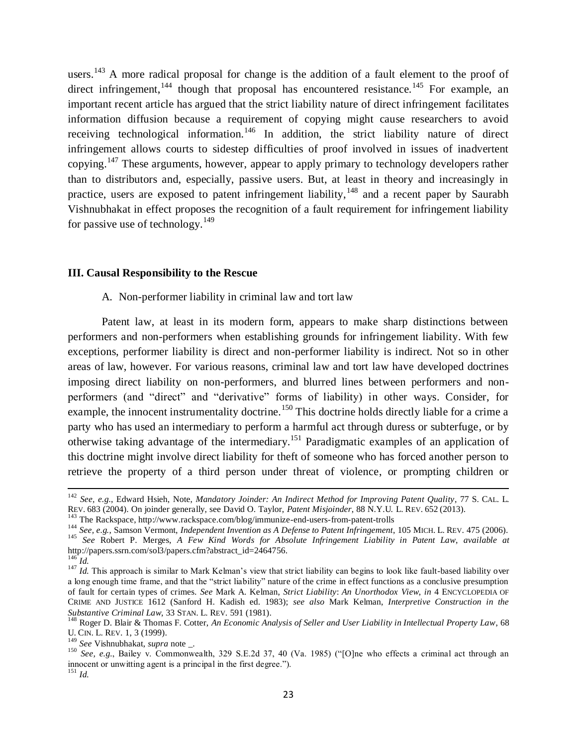users.<sup>143</sup> A more radical proposal for change is the addition of a fault element to the proof of direct infringement,<sup>144</sup> though that proposal has encountered resistance.<sup>145</sup> For example, an important recent article has argued that the strict liability nature of direct infringement facilitates information diffusion because a requirement of copying might cause researchers to avoid receiving technological information.<sup>146</sup> In addition, the strict liability nature of direct infringement allows courts to sidestep difficulties of proof involved in issues of inadvertent copying.<sup>147</sup> These arguments, however, appear to apply primary to technology developers rather than to distributors and, especially, passive users. But, at least in theory and increasingly in practice, users are exposed to patent infringement liability,  $148$  and a recent paper by Saurabh Vishnubhakat in effect proposes the recognition of a fault requirement for infringement liability for passive use of technology.<sup>149</sup>

### **III. Causal Responsibility to the Rescue**

### <span id="page-22-1"></span><span id="page-22-0"></span>A. Non-performer liability in criminal law and tort law

Patent law, at least in its modern form, appears to make sharp distinctions between performers and non-performers when establishing grounds for infringement liability. With few exceptions, performer liability is direct and non-performer liability is indirect. Not so in other areas of law, however. For various reasons, criminal law and tort law have developed doctrines imposing direct liability on non-performers, and blurred lines between performers and nonperformers (and "direct" and "derivative" forms of liability) in other ways. Consider, for example, the innocent instrumentality doctrine.<sup>150</sup> This doctrine holds directly liable for a crime a party who has used an intermediary to perform a harmful act through duress or subterfuge, or by otherwise taking advantage of the intermediary.<sup>151</sup> Paradigmatic examples of an application of this doctrine might involve direct liability for theft of someone who has forced another person to retrieve the property of a third person under threat of violence, or prompting children or

<sup>142</sup> *See, e.g.*, Edward Hsieh, Note, *Mandatory Joinder: An Indirect Method for Improving Patent Quality*, 77 S. CAL. L. REV. 683 (2004). On joinder generally, see David O. Taylor, *Patent Misjoinder*, 88 N.Y.U. L. REV. 652 (2013).

<sup>&</sup>lt;sup>143</sup> The Rackspace, http://www.rackspace.com/blog/immunize-end-users-from-patent-trolls

<sup>144</sup> *See, e.g.*, Samson Vermont, *Independent Invention as A Defense to Patent Infringement*, 105 MICH. L. REV. 475 (2006). <sup>145</sup> *See* Robert P. Merges, *A Few Kind Words for Absolute Infringement Liability in Patent Law*, *available at*  http://papers.ssrn.com/sol3/papers.cfm?abstract\_id=2464756.

 $^{146}$ *Id.* 

<sup>&</sup>lt;sup>147</sup> *Id.* This approach is similar to Mark Kelman's view that strict liability can begins to look like fault-based liability over a long enough time frame, and that the "strict liability" nature of the crime in effect functions as a conclusive presumption of fault for certain types of crimes. *See* Mark A. Kelman, *Strict Liability*: *An Unorthodox View*, *in* 4 ENCYCLOPEDIA OF CRIME AND JUSTICE 1612 (Sanford H. Kadish ed. 1983); *see also* Mark Kelman, *Interpretive Construction in the Substantive Criminal Law*, 33 STAN. L. REV. 591 (1981).

<sup>148</sup> Roger D. Blair & Thomas F. Cotter, *An Economic Analysis of Seller and User Liability in Intellectual Property Law*, 68 U. CIN. L. REV. 1, 3 (1999).

<sup>149</sup> *See* Vishnubhakat, *supra* note \_.

<sup>150</sup> *See, e.g.*, Bailey v. Commonwealth, 329 S.E.2d 37, 40 (Va. 1985) ("[O]ne who effects a criminal act through an innocent or unwitting agent is a principal in the first degree."). <sup>151</sup> *Id.*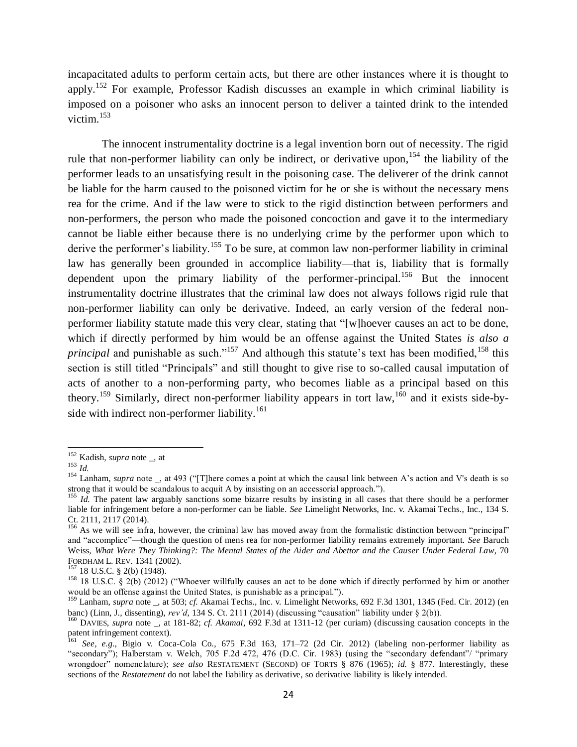incapacitated adults to perform certain acts, but there are other instances where it is thought to apply.<sup>152</sup> For example, Professor Kadish discusses an example in which criminal liability is imposed on a poisoner who asks an innocent person to deliver a tainted drink to the intended victim. 153

The innocent instrumentality doctrine is a legal invention born out of necessity. The rigid rule that non-performer liability can only be indirect, or derivative upon, <sup>154</sup> the liability of the performer leads to an unsatisfying result in the poisoning case. The deliverer of the drink cannot be liable for the harm caused to the poisoned victim for he or she is without the necessary mens rea for the crime. And if the law were to stick to the rigid distinction between performers and non-performers, the person who made the poisoned concoction and gave it to the intermediary cannot be liable either because there is no underlying crime by the performer upon which to derive the performer's liability.<sup>155</sup> To be sure, at common law non-performer liability in criminal law has generally been grounded in accomplice liability—that is, liability that is formally dependent upon the primary liability of the performer-principal.<sup>156</sup> But the innocent instrumentality doctrine illustrates that the criminal law does not always follows rigid rule that non-performer liability can only be derivative. Indeed, an early version of the federal nonperformer liability statute made this very clear, stating that "[w]hoever causes an act to be done, which if directly performed by him would be an offense against the United States *is also a principal* and punishable as such."<sup>157</sup> And although this statute's text has been modified, <sup>158</sup> this section is still titled "Principals" and still thought to give rise to so-called causal imputation of acts of another to a non-performing party, who becomes liable as a principal based on this theory.<sup>159</sup> Similarly, direct non-performer liability appears in tort law,<sup>160</sup> and it exists side-byside with indirect non-performer liability.<sup>161</sup>

<sup>152</sup> Kadish, *supra* note \_, at

<sup>153</sup> *Id.*

<sup>&</sup>lt;sup>154</sup> Lanham, *supra* note , at 493 ("[T]here comes a point at which the causal link between A's action and V's death is so strong that it would be scandalous to acquit A by insisting on an accessorial approach.").

<sup>&</sup>lt;sup>155</sup> *Id.* The patent law arguably sanctions some bizarre results by insisting in all cases that there should be a performer liable for infringement before a non-performer can be liable. *See* Limelight Networks, Inc. v. Akamai Techs., Inc., 134 S. Ct. 2111, 2117 (2014).

 $156$  As we will see infra, however, the criminal law has moved away from the formalistic distinction between "principal" and "accomplice"—though the question of mens rea for non-performer liability remains extremely important. *See* Baruch Weiss, *What Were They Thinking?: The Mental States of the Aider and Abettor and the Causer Under Federal Law*, 70 FORDHAM L. REV. 1341 (2002).

<sup>18</sup> U.S.C. § 2(b) (1948).

<sup>&</sup>lt;sup>158</sup> 18 U.S.C. § 2(b) (2012) ("Whoever willfully causes an act to be done which if directly performed by him or another would be an offense against the United States, is punishable as a principal.").

<sup>159</sup> Lanham, *supra* note \_, at 503; *cf.* Akamai Techs., Inc. v. Limelight Networks, 692 F.3d 1301, 1345 (Fed. Cir. 2012) (en banc) (Linn, J., dissenting), *rev'd*, 134 S. Ct. 2111 (2014) (discussing "causation" liability under § 2(b)).

<sup>160</sup> DAVIES, *supra* note \_, at 181-82; *cf. Akamai*, 692 F.3d at 1311-12 (per curiam) (discussing causation concepts in the patent infringement context).

<sup>161</sup> *See, e.g.*, Bigio v. Coca-Cola Co., 675 F.3d 163, 171–72 (2d Cir. 2012) (labeling non-performer liability as "secondary"); Halberstam v. Welch, 705 F.2d 472, 476 (D.C. Cir. 1983) (using the "secondary defendant"/ "primary wrongdoer" nomenclature); see also RESTATEMENT (SECOND) OF TORTS § 876 (1965); *id.* § 877. Interestingly, these sections of the *Restatement* do not label the liability as derivative, so derivative liability is likely intended.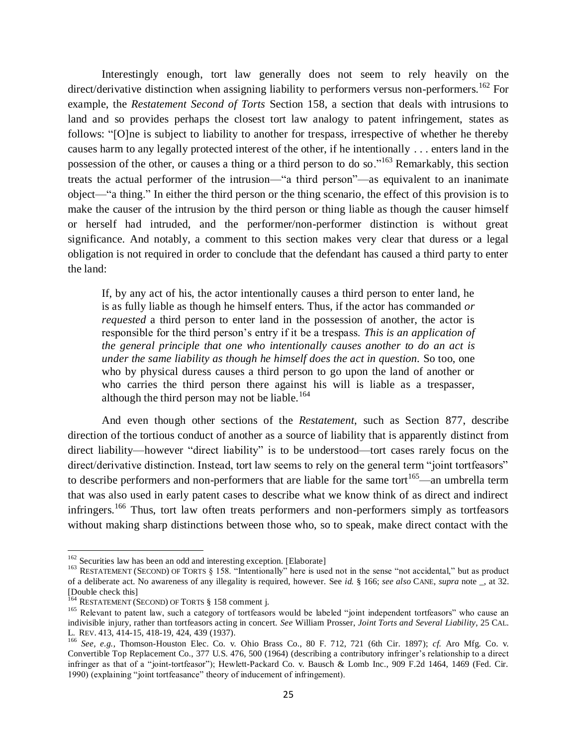Interestingly enough, tort law generally does not seem to rely heavily on the direct/derivative distinction when assigning liability to performers versus non-performers.<sup>162</sup> For example, the *Restatement Second of Torts* Section 158, a section that deals with intrusions to land and so provides perhaps the closest tort law analogy to patent infringement, states as follows: "[O]ne is subject to liability to another for trespass, irrespective of whether he thereby causes harm to any legally protected interest of the other, if he intentionally . . . enters land in the possession of the other, or causes a thing or a third person to do so."<sup>163</sup> Remarkably, this section treats the actual performer of the intrusion—"a third person"—as equivalent to an inanimate object—"a thing." In either the third person or the thing scenario, the effect of this provision is to make the causer of the intrusion by the third person or thing liable as though the causer himself or herself had intruded, and the performer/non-performer distinction is without great significance. And notably, a comment to this section makes very clear that duress or a legal obligation is not required in order to conclude that the defendant has caused a third party to enter the land:

If, by any act of his, the actor intentionally causes a third person to enter land, he is as fully liable as though he himself enters. Thus, if the actor has commanded *or requested* a third person to enter land in the possession of another, the actor is responsible for the third person's entry if it be a trespass. *This is an application of the general principle that one who intentionally causes another to do an act is under the same liability as though he himself does the act in question.* So too, one who by physical duress causes a third person to go upon the land of another or who carries the third person there against his will is liable as a trespasser, although the third person may not be liable.<sup>164</sup>

And even though other sections of the *Restatement*, such as Section 877, describe direction of the tortious conduct of another as a source of liability that is apparently distinct from direct liability—however "direct liability" is to be understood—tort cases rarely focus on the direct/derivative distinction. Instead, tort law seems to rely on the general term "joint tortfeasors" to describe performers and non-performers that are liable for the same tort<sup>165</sup>—an umbrella term that was also used in early patent cases to describe what we know think of as direct and indirect infringers.<sup>166</sup> Thus, tort law often treats performers and non-performers simply as tortfeasors without making sharp distinctions between those who, so to speak, make direct contact with the

<sup>&</sup>lt;sup>162</sup> Securities law has been an odd and interesting exception. [Elaborate]

<sup>&</sup>lt;sup>163</sup> RESTATEMENT (SECOND) OF TORTS § 158. "Intentionally" here is used not in the sense "not accidental," but as product of a deliberate act. No awareness of any illegality is required, however. See *id.* § 166; *see also* CANE, *supra* note \_, at 32. [Double check this]

<sup>&</sup>lt;sup>164</sup> RESTATEMENT (SECOND) OF TORTS § 158 comment j.

<sup>&</sup>lt;sup>165</sup> Relevant to patent law, such a category of tortfeasors would be labeled "joint independent tortfeasors" who cause an indivisible injury, rather than tortfeasors acting in concert. *See* William Prosser, *Joint Torts and Several Liability*, 25 CAL. L. REV. 413, 414-15, 418-19, 424, 439 (1937).

<sup>166</sup> *See, e.g.*, Thomson-Houston Elec. Co. v. Ohio Brass Co., 80 F. 712, 721 (6th Cir. 1897); *cf.* Aro Mfg. Co. v. Convertible Top Replacement Co., 377 U.S. 476, 500 (1964) (describing a contributory infringer's relationship to a direct infringer as that of a "joint-tortfeasor"); Hewlett-Packard Co. v. Bausch & Lomb Inc., 909 F.2d 1464, 1469 (Fed. Cir. 1990) (explaining "joint tortfeasance" theory of inducement of infringement).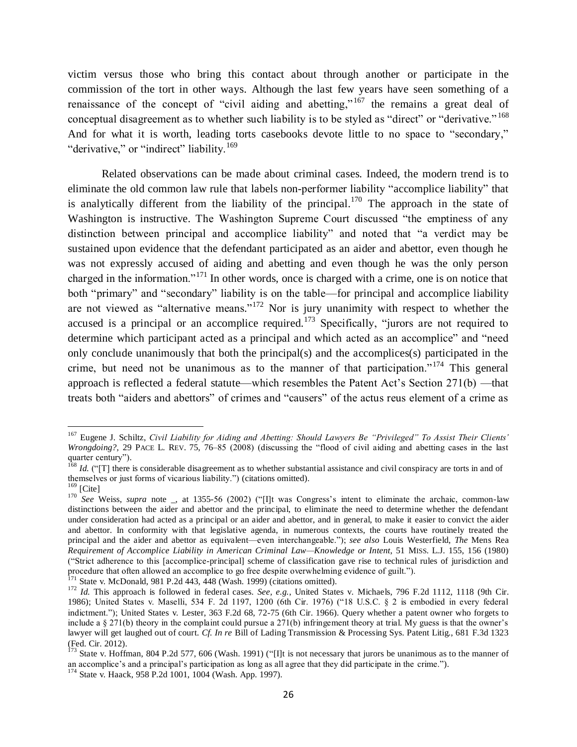victim versus those who bring this contact about through another or participate in the commission of the tort in other ways. Although the last few years have seen something of a renaissance of the concept of "civil aiding and abetting,"  $167$  the remains a great deal of conceptual disagreement as to whether such liability is to be styled as "direct" or "derivative." <sup>168</sup> And for what it is worth, leading torts casebooks devote little to no space to "secondary," "derivative," or "indirect" liability.<sup>169</sup>

Related observations can be made about criminal cases. Indeed, the modern trend is to eliminate the old common law rule that labels non-performer liability "accomplice liability" that is analytically different from the liability of the principal.<sup>170</sup> The approach in the state of Washington is instructive. The Washington Supreme Court discussed "the emptiness of any distinction between principal and accomplice liability" and noted that "a verdict may be sustained upon evidence that the defendant participated as an aider and abettor, even though he was not expressly accused of aiding and abetting and even though he was the only person charged in the information."<sup>171</sup> In other words, once is charged with a crime, one is on notice that both "primary" and "secondary" liability is on the table—for principal and accomplice liability are not viewed as "alternative means."<sup>172</sup> Nor is jury unanimity with respect to whether the accused is a principal or an accomplice required.<sup>173</sup> Specifically, "jurors are not required to determine which participant acted as a principal and which acted as an accomplice" and "need only conclude unanimously that both the principal(s) and the accomplices(s) participated in the crime, but need not be unanimous as to the manner of that participation."<sup>174</sup> This general approach is reflected a federal statute—which resembles the Patent Act's Section 271(b) —that treats both "aiders and abettors" of crimes and "causers" of the actus reus element of a crime as

<span id="page-25-0"></span><sup>167</sup> Eugene J. Schiltz, *Civil Liability for Aiding and Abetting: Should Lawyers Be "Privileged" To Assist Their Clients' Wrongdoing?*, 29 PACE L. REV. 75, 76–85 (2008) (discussing the "flood of civil aiding and abetting cases in the last quarter century").

<sup>&</sup>lt;sup>168</sup> *Id.* ("[T] there is considerable disagreement as to whether substantial assistance and civil conspiracy are torts in and of themselves or just forms of vicarious liability.") (citations omitted).

 $^{169}$  [Cite]

<sup>170</sup> *See* Weiss, *supra* note \_, at 1355-56 (2002) ("[I]t was Congress's intent to eliminate the archaic, common-law distinctions between the aider and abettor and the principal, to eliminate the need to determine whether the defendant under consideration had acted as a principal or an aider and abettor, and in general, to make it easier to convict the aider and abettor. In conformity with that legislative agenda, in numerous contexts, the courts have routinely treated the principal and the aider and abettor as equivalent—even interchangeable."); *see also* Louis Westerfield, *The* Mens Rea *Requirement of Accomplice Liability in American Criminal Law—Knowledge or Intent*, 51 MISS. L.J. 155, 156 (1980) ("Strict adherence to this [accomplice-principal] scheme of classification gave rise to technical rules of jurisdiction and procedure that often allowed an accomplice to go free despite overwhelming evidence of guilt.").

 $171$  State v. McDonald, 981 P.2d 443,  $448$  (Wash. 1999) (citations omitted).

<sup>172</sup> *Id.* This approach is followed in federal cases. *See, e.g.*, United States v. Michaels, 796 F.2d 1112, 1118 (9th Cir. 1986); United States v. Maselli, 534 F. 2d 1197, 1200 (6th Cir. 1976) ("18 U.S.C. § 2 is embodied in every federal indictment."); United States v. Lester, 363 F.2d 68, 72-75 (6th Cir. 1966). Query whether a patent owner who forgets to include a § 271(b) theory in the complaint could pursue a 271(b) infringement theory at trial. My guess is that the owner's lawyer will get laughed out of court. *Cf. In re* Bill of Lading Transmission & Processing Sys. Patent Litig., 681 F.3d 1323 (Fed. Cir. 2012).

 $^{173}$  State v. Hoffman, 804 P.2d 577, 606 (Wash. 1991) ("[I]t is not necessary that jurors be unanimous as to the manner of an accomplice's and a principal's participation as long as all agree that they did participate in the crime.").

<sup>174</sup> State v. Haack, 958 P.2d 1001, 1004 (Wash. App. 1997).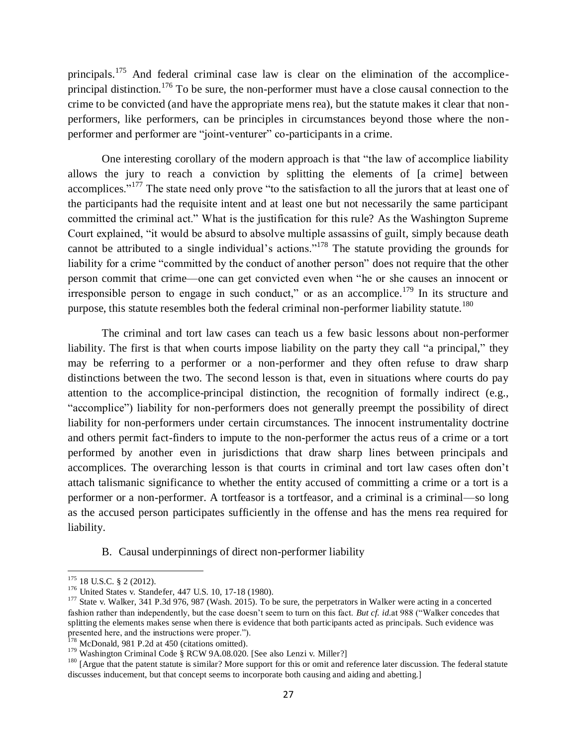principals.<sup>175</sup> And federal criminal case law is clear on the elimination of the accompliceprincipal distinction.<sup>176</sup> To be sure, the non-performer must have a close causal connection to the crime to be convicted (and have the appropriate mens rea), but the statute makes it clear that nonperformers, like performers, can be principles in circumstances beyond those where the nonperformer and performer are "joint-venturer" co-participants in a crime.

One interesting corollary of the modern approach is that "the law of accomplice liability allows the jury to reach a conviction by splitting the elements of [a crime] between accomplices."<sup>177</sup> The state need only prove "to the satisfaction to all the jurors that at least one of the participants had the requisite intent and at least one but not necessarily the same participant committed the criminal act." What is the justification for this rule? As the Washington Supreme Court explained, "it would be absurd to absolve multiple assassins of guilt, simply because death cannot be attributed to a single individual's actions."<sup>178</sup> The statute providing the grounds for liability for a crime "committed by the conduct of another person" does not require that the other person commit that crime—one can get convicted even when "he or she causes an innocent or irresponsible person to engage in such conduct," or as an accomplice.<sup>179</sup> In its structure and purpose, this statute resembles both the federal criminal non-performer liability statute.<sup>180</sup>

The criminal and tort law cases can teach us a few basic lessons about non-performer liability. The first is that when courts impose liability on the party they call "a principal," they may be referring to a performer or a non-performer and they often refuse to draw sharp distinctions between the two. The second lesson is that, even in situations where courts do pay attention to the accomplice-principal distinction, the recognition of formally indirect (e.g., "accomplice") liability for non-performers does not generally preempt the possibility of direct liability for non-performers under certain circumstances. The innocent instrumentality doctrine and others permit fact-finders to impute to the non-performer the actus reus of a crime or a tort performed by another even in jurisdictions that draw sharp lines between principals and accomplices. The overarching lesson is that courts in criminal and tort law cases often don't attach talismanic significance to whether the entity accused of committing a crime or a tort is a performer or a non-performer. A tortfeasor is a tortfeasor, and a criminal is a criminal—so long as the accused person participates sufficiently in the offense and has the mens rea required for liability.

B. Causal underpinnings of direct non-performer liability

l

 $175$  18 U.S.C. § 2 (2012).

<sup>&</sup>lt;sup>176</sup> United States v. Standefer, 447 U.S. 10, 17-18 (1980).

 $177$  State v. Walker, 341 P.3d 976, 987 (Wash. 2015). To be sure, the perpetrators in Walker were acting in a concerted fashion rather than independently, but the case doesn't seem to turn on this fact. *But cf. id.*at 988 ("Walker concedes that splitting the elements makes sense when there is evidence that both participants acted as principals. Such evidence was presented here, and the instructions were proper.").

 $178$  McDonald, 981 P.2d at 450 (citations omitted).

<sup>&</sup>lt;sup>179</sup> Washington Criminal Code § RCW 9A.08.020. [See also Lenzi v. Miller?]

<sup>&</sup>lt;sup>180</sup> [Argue that the patent statute is similar? More support for this or omit and reference later discussion. The federal statute discusses inducement, but that concept seems to incorporate both causing and aiding and abetting.]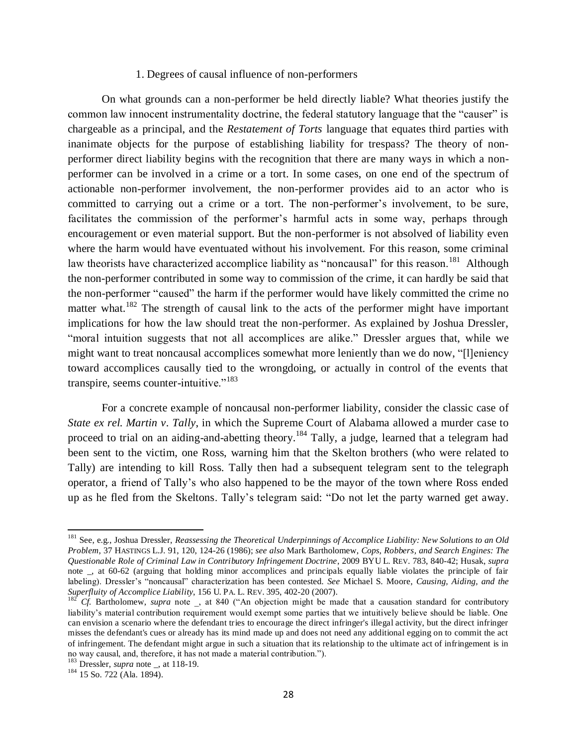### <span id="page-27-0"></span>1. Degrees of causal influence of non-performers

On what grounds can a non-performer be held directly liable? What theories justify the common law innocent instrumentality doctrine, the federal statutory language that the "causer" is chargeable as a principal, and the *Restatement of Torts* language that equates third parties with inanimate objects for the purpose of establishing liability for trespass? The theory of nonperformer direct liability begins with the recognition that there are many ways in which a nonperformer can be involved in a crime or a tort. In some cases, on one end of the spectrum of actionable non-performer involvement, the non-performer provides aid to an actor who is committed to carrying out a crime or a tort. The non-performer's involvement, to be sure, facilitates the commission of the performer's harmful acts in some way, perhaps through encouragement or even material support. But the non-performer is not absolved of liability even where the harm would have eventuated without his involvement. For this reason, some criminal law theorists have characterized accomplice liability as "noncausal" for this reason.<sup>181</sup> Although the non-performer contributed in some way to commission of the crime, it can hardly be said that the non-performer "caused" the harm if the performer would have likely committed the crime no matter what.<sup>182</sup> The strength of causal link to the acts of the performer might have important implications for how the law should treat the non-performer. As explained by Joshua Dressler, "moral intuition suggests that not all accomplices are alike." Dressler argues that, while we might want to treat noncausal accomplices somewhat more leniently than we do now, "[l]eniency toward accomplices causally tied to the wrongdoing, or actually in control of the events that transpire, seems counter-intuitive."<sup>183</sup>

For a concrete example of noncausal non-performer liability, consider the classic case of *State ex rel. Martin v. Tally*, in which the Supreme Court of Alabama allowed a murder case to proceed to trial on an aiding-and-abetting theory.<sup>184</sup> Tally, a judge, learned that a telegram had been sent to the victim, one Ross, warning him that the Skelton brothers (who were related to Tally) are intending to kill Ross. Tally then had a subsequent telegram sent to the telegraph operator, a friend of Tally's who also happened to be the mayor of the town where Ross ended up as he fled from the Skeltons. Tally's telegram said: "Do not let the party warned get away.

<sup>181</sup> See, e.g., Joshua Dressler, *Reassessing the Theoretical Underpinnings of Accomplice Liability: New Solutions to an Old Problem*, 37 HASTINGS L.J. 91, 120, 124-26 (1986); *see also* Mark Bartholomew, *Cops, Robbers, and Search Engines: The Questionable Role of Criminal Law in Contributory Infringement Doctrine*, 2009 BYU L. REV. 783, 840-42; Husak, *supra* note \_, at 60-62 (arguing that holding minor accomplices and principals equally liable violates the principle of fair labeling). Dressler's "noncausal" characterization has been contested. *See* Michael S. Moore, *Causing, Aiding, and the Superfluity of Accomplice Liability*, 156 U. PA. L. REV. 395, 402-20 (2007).

 $182^{\circ}$  *Cf.* Bartholomew, *supra* note , at 840 ("An objection might be made that a causation standard for contributory liability's material contribution requirement would exempt some parties that we intuitively believe should be liable. One can envision a scenario where the defendant tries to encourage the direct infringer's illegal activity, but the direct infringer misses the defendant's cues or already has its mind made up and does not need any additional egging on to commit the act of infringement. The defendant might argue in such a situation that its relationship to the ultimate act of infringement is in no way causal, and, therefore, it has not made a material contribution.").<br><sup>183</sup> Dreashes

Dressler, *supra* note \_, at 118-19.

<sup>184 15</sup> So. 722 (Ala. 1894).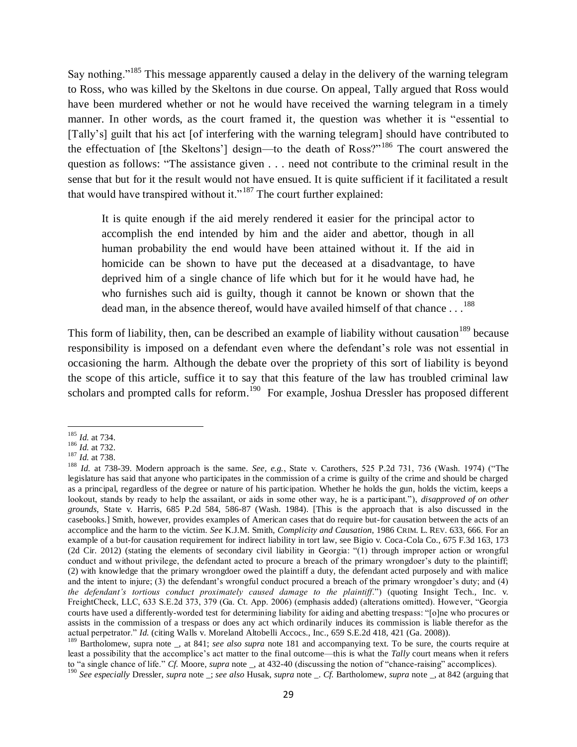Say nothing."<sup>185</sup> This message apparently caused a delay in the delivery of the warning telegram to Ross, who was killed by the Skeltons in due course. On appeal, Tally argued that Ross would have been murdered whether or not he would have received the warning telegram in a timely manner. In other words, as the court framed it, the question was whether it is "essential to [Tally's] guilt that his act [of interfering with the warning telegram] should have contributed to the effectuation of [the Skeltons'] design—to the death of Ross?"<sup>186</sup> The court answered the question as follows: "The assistance given . . . need not contribute to the criminal result in the sense that but for it the result would not have ensued. It is quite sufficient if it facilitated a result that would have transpired without it."<sup>187</sup> The court further explained:

<span id="page-28-0"></span>It is quite enough if the aid merely rendered it easier for the principal actor to accomplish the end intended by him and the aider and abettor, though in all human probability the end would have been attained without it. If the aid in homicide can be shown to have put the deceased at a disadvantage, to have deprived him of a single chance of life which but for it he would have had, he who furnishes such aid is guilty, though it cannot be known or shown that the dead man, in the absence thereof, would have availed himself of that chance  $\dots$ <sup>188</sup>

This form of liability, then, can be described an example of liability without causation<sup>189</sup> because responsibility is imposed on a defendant even where the defendant's role was not essential in occasioning the harm. Although the debate over the propriety of this sort of liability is beyond the scope of this article, suffice it to say that this feature of the law has troubled criminal law scholars and prompted calls for reform.<sup>190</sup> For example, Joshua Dressler has proposed different

 $\overline{a}$ <sup>185</sup> *Id.* at 734.

 $186$  *Id.* at 732.

 $187$  *Id.* at 738.

<sup>188</sup> *Id.* at 738-39. Modern approach is the same. *See, e.g.*, State v. Carothers, 525 P.2d 731, 736 (Wash. 1974) ("The legislature has said that anyone who participates in the commission of a crime is guilty of the crime and should be charged as a principal, regardless of the degree or nature of his participation. Whether he holds the gun, holds the victim, keeps a lookout, stands by ready to help the assailant, or aids in some other way, he is a participant."), *disapproved of on other grounds*, State v. Harris, 685 P.2d 584, 586-87 (Wash. 1984). [This is the approach that is also discussed in the casebooks.] Smith, however, provides examples of American cases that do require but-for causation between the acts of an accomplice and the harm to the victim. *See* K.J.M. Smith, *Complicity and Causation*, 1986 CRIM. L. REV. 633, 666. For an example of a but-for causation requirement for indirect liability in tort law, see Bigio v. Coca-Cola Co., 675 F.3d 163, 173 (2d Cir. 2012) (stating the elements of secondary civil liability in Georgia: "(1) through improper action or wrongful conduct and without privilege, the defendant acted to procure a breach of the primary wrongdoer's duty to the plaintiff; (2) with knowledge that the primary wrongdoer owed the plaintiff a duty, the defendant acted purposely and with malice and the intent to injure; (3) the defendant's wrongful conduct procured a breach of the primary wrongdoer's duty; and (4) *the defendant's tortious conduct proximately caused damage to the plaintiff*.") (quoting Insight Tech., Inc. v. FreightCheck, LLC, 633 S.E.2d 373, 379 (Ga. Ct. App. 2006) (emphasis added) (alterations omitted). However, "Georgia courts have used a differently-worded test for determining liability for aiding and abetting trespass: "[o]ne who procures or assists in the commission of a trespass or does any act which ordinarily induces its commission is liable therefor as the actual perpetrator." *Id.* (citing Walls v. Moreland Altobelli Accocs., Inc., 659 S.E.2d 418, 421 (Ga. 2008)).

<sup>&</sup>lt;sup>189</sup> Bartholomew, supra note \_, at 841; *see also supra* note [181](#page-27-0) and accompanying text. To be sure, the courts require at least a possibility that the accomplice's act matter to the final outcome—this is what the *Tally* court means when it refers to "a single chance of life." *Cf.* Moore, *supra* note \_, at 432-40 (discussing the notion of "chance-raising" accomplices).

<sup>190</sup> *See especially* Dressler, *supra* note \_; *see also* Husak, *supra* note \_. *Cf.* Bartholomew, *supra* note \_, at 842 (arguing that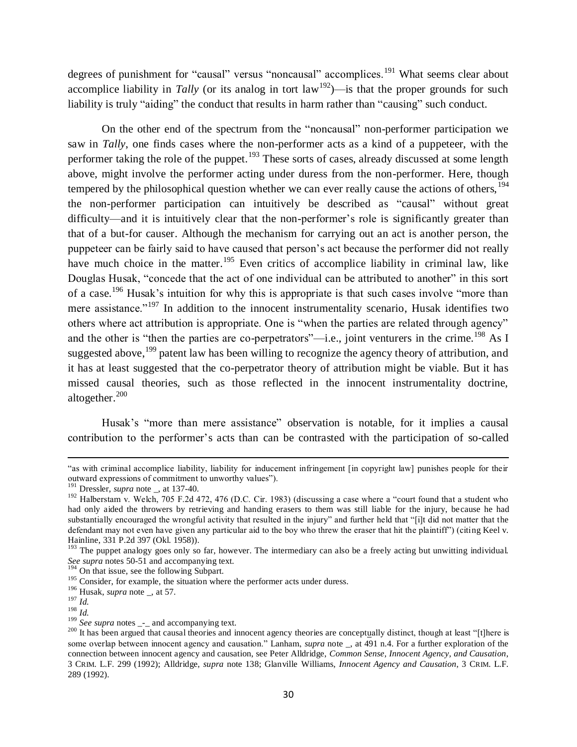degrees of punishment for "causal" versus "noncausal" accomplices.<sup>191</sup> What seems clear about accomplice liability in *Tally* (or its analog in tort  $law<sup>192</sup>$ )—is that the proper grounds for such liability is truly "aiding" the conduct that results in harm rather than "causing" such conduct.

On the other end of the spectrum from the "noncausal" non-performer participation we saw in *Tally*, one finds cases where the non-performer acts as a kind of a puppeteer, with the performer taking the role of the puppet.<sup>193</sup> These sorts of cases, already discussed at some length above, might involve the performer acting under duress from the non-performer. Here, though tempered by the philosophical question whether we can ever really cause the actions of others,  $194$ the non-performer participation can intuitively be described as "causal" without great difficulty—and it is intuitively clear that the non-performer's role is significantly greater than that of a but-for causer. Although the mechanism for carrying out an act is another person, the puppeteer can be fairly said to have caused that person's act because the performer did not really have much choice in the matter.<sup>195</sup> Even critics of accomplice liability in criminal law, like Douglas Husak, "concede that the act of one individual can be attributed to another" in this sort of a case.<sup>196</sup> Husak's intuition for why this is appropriate is that such cases involve "more than mere assistance."<sup>197</sup> In addition to the innocent instrumentality scenario, Husak identifies two others where act attribution is appropriate. One is "when the parties are related through agency" and the other is "then the parties are co-perpetrators"—i.e., joint venturers in the crime.<sup>198</sup> As I suggested above, <sup>199</sup> patent law has been willing to recognize the agency theory of attribution, and it has at least suggested that the co-perpetrator theory of attribution might be viable. But it has missed causal theories, such as those reflected in the innocent instrumentality doctrine, altogether. $200$ 

Husak's "more than mere assistance" observation is notable, for it implies a causal contribution to the performer's acts than can be contrasted with the participation of so-called

<sup>196</sup> Husak, *supra* note \_, at 57.

 $\overline{\phantom{a}}$ 

<sup>&</sup>quot;as with criminal accomplice liability, liability for inducement infringement [in copyright law] punishes people for their outward expressions of commitment to unworthy values").

<sup>191</sup> Dressler, *supra* note \_, at 137-40.

 $192$  Halberstam v. Welch, 705 F.2d 472, 476 (D.C. Cir. 1983) (discussing a case where a "court found that a student who had only aided the throwers by retrieving and handing erasers to them was still liable for the injury, because he had substantially encouraged the wrongful activity that resulted in the injury" and further held that "[i]t did not matter that the defendant may not even have given any particular aid to the boy who threw the eraser that hit the plaintiff") (citing Keel v. Hainline, 331 P.2d 397 (Okl. 1958)).

<sup>&</sup>lt;sup>193</sup> The puppet analogy goes only so far, however. The intermediary can also be a freely acting but unwitting individual. *See supra* notes [50-](#page-9-0)[51](#page-9-1) and accompanying text.

<sup>&</sup>lt;sup>194</sup> On that issue, see the following Subpart.

<sup>&</sup>lt;sup>195</sup> Consider, for example, the situation where the performer acts under duress.

<sup>197</sup> *Id.*  $\frac{198}{Id}$ .

<sup>&</sup>lt;sup>199</sup> *See supra* notes <sub>--</sub> and accompanying text.

<sup>&</sup>lt;sup>200</sup> It has been argued that causal theories and innocent agency theories are conceptually distinct, though at least "[t]here is some overlap between innocent agency and causation." Lanham, *supra* note \_, at 491 n.4. For a further exploration of the connection between innocent agency and causation, see Peter Alldridge, *Common Sense, Innocent Agency, and Causation*, 3 CRIM. L.F. 299 (1992); Alldridge, *supra* note [138;](#page-21-0) Glanville Williams, *Innocent Agency and Causation*, 3 CRIM. L.F. 289 (1992).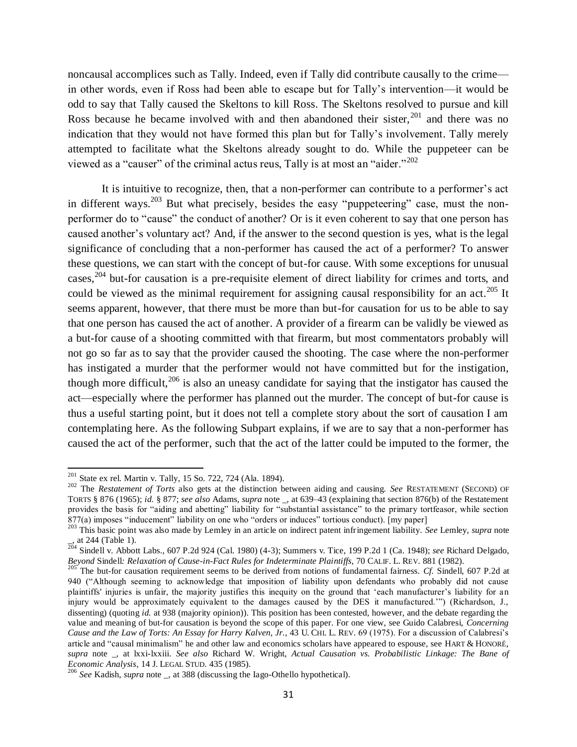noncausal accomplices such as Tally. Indeed, even if Tally did contribute causally to the crime in other words, even if Ross had been able to escape but for Tally's intervention—it would be odd to say that Tally caused the Skeltons to kill Ross. The Skeltons resolved to pursue and kill Ross because he became involved with and then abandoned their sister,  $201$  and there was no indication that they would not have formed this plan but for Tally's involvement. Tally merely attempted to facilitate what the Skeltons already sought to do. While the puppeteer can be viewed as a "causer" of the criminal actus reus, Tally is at most an "aider."<sup>202</sup>

<span id="page-30-0"></span>It is intuitive to recognize, then, that a non-performer can contribute to a performer's act in different ways.<sup>203</sup> But what precisely, besides the easy "puppeteering" case, must the nonperformer do to "cause" the conduct of another? Or is it even coherent to say that one person has caused another's voluntary act? And, if the answer to the second question is yes, what is the legal significance of concluding that a non-performer has caused the act of a performer? To answer these questions, we can start with the concept of but-for cause. With some exceptions for unusual cases,  $204$  but-for causation is a pre-requisite element of direct liability for crimes and torts, and could be viewed as the minimal requirement for assigning causal responsibility for an act.<sup>205</sup> It seems apparent, however, that there must be more than but-for causation for us to be able to say that one person has caused the act of another. A provider of a firearm can be validly be viewed as a but-for cause of a shooting committed with that firearm, but most commentators probably will not go so far as to say that the provider caused the shooting. The case where the non-performer has instigated a murder that the performer would not have committed but for the instigation, though more difficult,  $206$  is also an uneasy candidate for saying that the instigator has caused the act—especially where the performer has planned out the murder. The concept of but-for cause is thus a useful starting point, but it does not tell a complete story about the sort of causation I am contemplating here. As the following Subpart explains, if we are to say that a non-performer has caused the act of the performer, such that the act of the latter could be imputed to the former, the

l

 $201$  State ex rel. Martin v. Tally, 15 So. 722, 724 (Ala. 1894).

<sup>&</sup>lt;sup>202</sup> The *Restatement of Torts* also gets at the distinction between aiding and causing. *See* RESTATEMENT (SECOND) OF TORTS § 876 (1965); *id.* § 877; *see also* Adams, *supra* note \_, at 639–43 (explaining that section 876(b) of the Restatement provides the basis for "aiding and abetting" liability for "substantial assistance" to the primary tortfeasor, while section 877(a) imposes "inducement" liability on one who "orders or induces" tortious conduct). [my paper]

<sup>203</sup> This basic point was also made by Lemley in an article on indirect patent infringement liability. *See* Lemley, *supra* note \_, at 244 (Table 1).

<sup>204</sup> Sindell v. Abbott Labs., 607 P.2d 924 (Cal. 1980) (4-3); Summers v. Tice, 199 P.2d 1 (Ca. 1948); *see* Richard Delgado, *Beyond* Sindell*: Relaxation of Cause-in-Fact Rules for Indeterminate Plaintiffs*, 70 CALIF. L. REV. 881 (1982).

<sup>&</sup>lt;sup>205</sup> The but-for causation requirement seems to be derived from notions of fundamental fairness. *Cf.* Sindell, 607 P.2d at 940 ("Although seeming to acknowledge that imposition of liability upon defendants who probably did not cause plaintiffs' injuries is unfair, the majority justifies this inequity on the ground that 'each manufacturer's liability for an injury would be approximately equivalent to the damages caused by the DES it manufactured.'") (Richardson, J., dissenting) (quoting *id.* at 938 (majority opinion)). This position has been contested, however, and the debate regarding the value and meaning of but-for causation is beyond the scope of this paper. For one view, see Guido Calabresi, *Concerning Cause and the Law of Torts: An Essay for Harry Kalven, Jr.*, 43 U. CHI. L. REV. 69 (1975). For a discussion of Calabresi's article and "causal minimalism" he and other law and economics scholars have appeared to espouse, see HART & HONORÉ, *supra* note \_, at lxxi-lxxiii. *See also* Richard W. Wright, *Actual Causation vs. Probabilistic Linkage: The Bane of Economic Analysis*, 14 J. LEGAL STUD. 435 (1985).<br>
<sup>206</sup> S<sub>2</sub> *V<sub>2</sub> V<sub>2</sub> V<sub>2</sub> V<sub>2</sub>* 

<sup>&</sup>lt;sup>5</sup> See Kadish, *supra* note \_, at 388 (discussing the Iago-Othello hypothetical).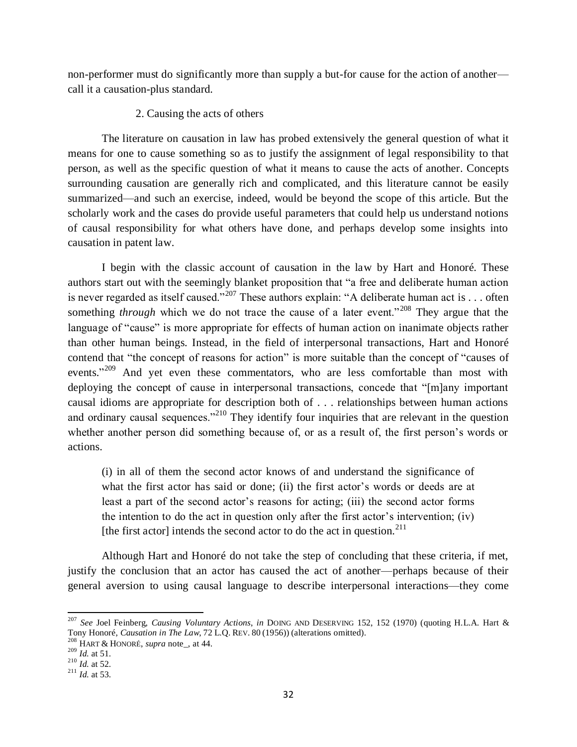non-performer must do significantly more than supply a but-for cause for the action of another call it a causation-plus standard.

# 2. Causing the acts of others

The literature on causation in law has probed extensively the general question of what it means for one to cause something so as to justify the assignment of legal responsibility to that person, as well as the specific question of what it means to cause the acts of another. Concepts surrounding causation are generally rich and complicated, and this literature cannot be easily summarized—and such an exercise, indeed, would be beyond the scope of this article. But the scholarly work and the cases do provide useful parameters that could help us understand notions of causal responsibility for what others have done, and perhaps develop some insights into causation in patent law.

I begin with the classic account of causation in the law by Hart and Honoré. These authors start out with the seemingly blanket proposition that "a free and deliberate human action is never regarded as itself caused."<sup>207</sup> These authors explain: "A deliberate human act is . . . often something *through* which we do not trace the cause of a later event."<sup>208</sup> They argue that the language of "cause" is more appropriate for effects of human action on inanimate objects rather than other human beings. Instead, in the field of interpersonal transactions, Hart and Honoré contend that "the concept of reasons for action" is more suitable than the concept of "causes of events."<sup>209</sup> And yet even these commentators, who are less comfortable than most with deploying the concept of cause in interpersonal transactions, concede that "[m]any important causal idioms are appropriate for description both of . . . relationships between human actions and ordinary causal sequences."<sup>210</sup> They identify four inquiries that are relevant in the question whether another person did something because of, or as a result of, the first person's words or actions.

(i) in all of them the second actor knows of and understand the significance of what the first actor has said or done; (ii) the first actor's words or deeds are at least a part of the second actor's reasons for acting; (iii) the second actor forms the intention to do the act in question only after the first actor's intervention; (iv) [the first actor] intends the second actor to do the act in question. $^{211}$ 

Although Hart and Honoré do not take the step of concluding that these criteria, if met, justify the conclusion that an actor has caused the act of another—perhaps because of their general aversion to using causal language to describe interpersonal interactions—they come

 $\overline{\phantom{a}}$ 

<sup>207</sup> *See* Joel Feinberg, *Causing Voluntary Actions*, *in* DOING AND DESERVING 152, 152 (1970) (quoting H.L.A. Hart & Tony Honoré, *Causation in The Law*, 72 L.Q. REV. 80 (1956)) (alterations omitted).

<sup>208</sup> HART & HONORÉ, *supra* note\_, at 44.

 $^{209}$  *Id.* at 51.

<sup>&</sup>lt;sup>210</sup> *Id.* at 52.

<sup>&</sup>lt;sup>211</sup> *Id.* at 53.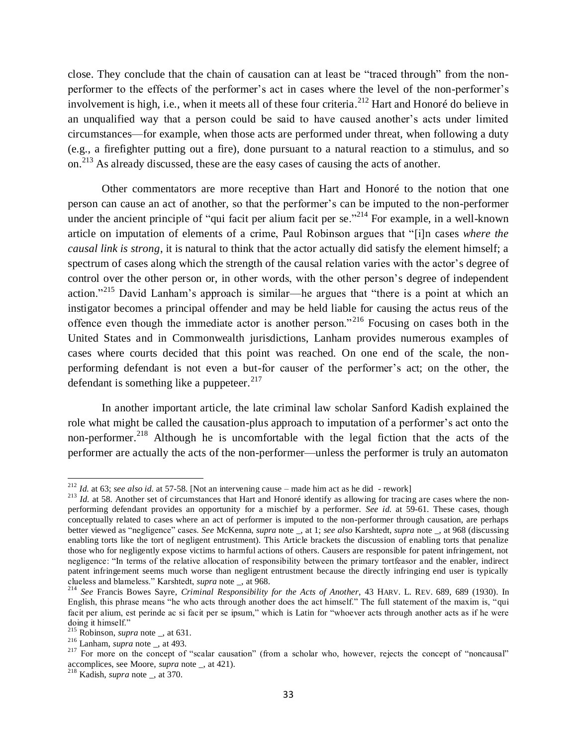close. They conclude that the chain of causation can at least be "traced through" from the nonperformer to the effects of the performer's act in cases where the level of the non-performer's involvement is high, i.e., when it meets all of these four criteria. <sup>212</sup> Hart and Honoré do believe in an unqualified way that a person could be said to have caused another's acts under limited circumstances—for example, when those acts are performed under threat, when following a duty (e.g., a firefighter putting out a fire), done pursuant to a natural reaction to a stimulus, and so on.<sup>213</sup> As already discussed, these are the easy cases of causing the acts of another.

Other commentators are more receptive than Hart and Honoré to the notion that one person can cause an act of another, so that the performer's can be imputed to the non-performer under the ancient principle of "qui facit per alium facit per se."<sup> $214$ </sup> For example, in a well-known article on imputation of elements of a crime, Paul Robinson argues that "[i]n cases *where the causal link is strong*, it is natural to think that the actor actually did satisfy the element himself; a spectrum of cases along which the strength of the causal relation varies with the actor's degree of control over the other person or, in other words, with the other person's degree of independent action."<sup>215</sup> David Lanham's approach is similar—he argues that "there is a point at which an instigator becomes a principal offender and may be held liable for causing the actus reus of the offence even though the immediate actor is another person." <sup>216</sup> Focusing on cases both in the United States and in Commonwealth jurisdictions, Lanham provides numerous examples of cases where courts decided that this point was reached. On one end of the scale, the nonperforming defendant is not even a but-for causer of the performer's act; on the other, the defendant is something like a puppeteer.  $217$ 

In another important article, the late criminal law scholar Sanford Kadish explained the role what might be called the causation-plus approach to imputation of a performer's act onto the non-performer.<sup>218</sup> Although he is uncomfortable with the legal fiction that the acts of the performer are actually the acts of the non-performer—unless the performer is truly an automaton

 $\overline{a}$ <sup>212</sup> *Id.* at 63; *see also id.* at 57-58. [Not an intervening cause – made him act as he did - rework]

<sup>&</sup>lt;sup>213</sup> *Id.* at 58. Another set of circumstances that Hart and Honoré identify as allowing for tracing are cases where the nonperforming defendant provides an opportunity for a mischief by a performer. *See id.* at 59-61. These cases, though conceptually related to cases where an act of performer is imputed to the non-performer through causation, are perhaps better viewed as "negligence" cases. *See* McKenna, *supra* note \_, at 1; *see also* Karshtedt, *supra* note \_, at 968 (discussing enabling torts like the tort of negligent entrustment). This Article brackets the discussion of enabling torts that penalize those who for negligently expose victims to harmful actions of others. Causers are responsible for patent infringement, not negligence: "In terms of the relative allocation of responsibility between the primary tortfeasor and the enabler, indirect patent infringement seems much worse than negligent entrustment because the directly infringing end user is typically clueless and blameless." Karshtedt, *supra* note \_, at 968.

<sup>214</sup> *See* Francis Bowes Sayre, *Criminal Responsibility for the Acts of Another*, 43 HARV. L. REV. 689, 689 (1930). In English, this phrase means "he who acts through another does the act himself." The full statement of the maxim is, "qui facit per alium, est perinde ac si facit per se ipsum," which is Latin for "whoever acts through another acts as if he were doing it himself."

 $^{215}$  Robinson, *supra* note \_, at 631.

<sup>216</sup> Lanham, *supra* note \_, at 493.

<sup>&</sup>lt;sup>217</sup> For more on the concept of "scalar causation" (from a scholar who, however, rejects the concept of "noncausal" accomplices, see Moore, *supra* note \_, at 421).

<sup>218</sup> Kadish, *supra* note \_, at 370.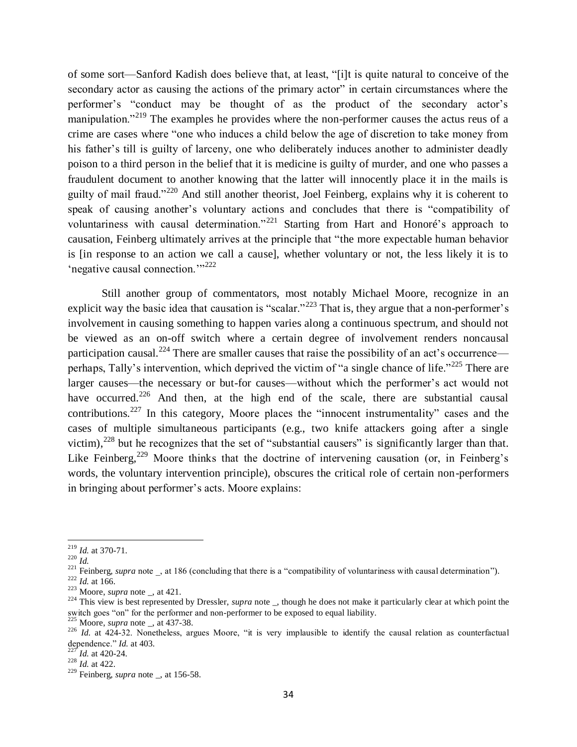of some sort—Sanford Kadish does believe that, at least, "[i]t is quite natural to conceive of the secondary actor as causing the actions of the primary actor" in certain circumstances where the performer's "conduct may be thought of as the product of the secondary actor's manipulation."<sup>219</sup> The examples he provides where the non-performer causes the actus reus of a crime are cases where "one who induces a child below the age of discretion to take money from his father's till is guilty of larceny, one who deliberately induces another to administer deadly poison to a third person in the belief that it is medicine is guilty of murder, and one who passes a fraudulent document to another knowing that the latter will innocently place it in the mails is guilty of mail fraud."<sup>220</sup> And still another theorist, Joel Feinberg, explains why it is coherent to speak of causing another's voluntary actions and concludes that there is "compatibility of voluntariness with causal determination."<sup>221</sup> Starting from Hart and Honoré's approach to causation, Feinberg ultimately arrives at the principle that "the more expectable human behavior is [in response to an action we call a cause], whether voluntary or not, the less likely it is to 'negative causal connection.'"<sup>222</sup>

<span id="page-33-0"></span>Still another group of commentators, most notably Michael Moore, recognize in an explicit way the basic idea that causation is "scalar."<sup>223</sup> That is, they argue that a non-performer's involvement in causing something to happen varies along a continuous spectrum, and should not be viewed as an on-off switch where a certain degree of involvement renders noncausal participation causal.<sup>224</sup> There are smaller causes that raise the possibility of an act's occurrence perhaps, Tally's intervention, which deprived the victim of "a single chance of life."<sup>225</sup> There are larger causes—the necessary or but-for causes—without which the performer's act would not have occurred.<sup>226</sup> And then, at the high end of the scale, there are substantial causal contributions.<sup>227</sup> In this category, Moore places the "innocent instrumentality" cases and the cases of multiple simultaneous participants (e.g., two knife attackers going after a single victim), $^{228}$  but he recognizes that the set of "substantial causers" is significantly larger than that. Like Feinberg,<sup>229</sup> Moore thinks that the doctrine of intervening causation (or, in Feinberg's words, the voluntary intervention principle), obscures the critical role of certain non-performers in bringing about performer's acts. Moore explains:

<sup>219</sup> *Id.* at 370-71.

 $^{220}$  *Id.* 

<sup>&</sup>lt;sup>221</sup> Feinberg, *supra* note  $\overline{\phantom{a}}$ , at 186 (concluding that there is a "compatibility of voluntariness with causal determination").

 $^{222}$  *Id.* at 166.

<sup>223</sup> Moore, *supra* note \_, at 421.

<sup>&</sup>lt;sup>224</sup> This view is best represented by Dressler, *supra* note \_, though he does not make it particularly clear at which point the switch goes "on" for the performer and non-performer to be exposed to equal liability.

Moore, *supra* note \_, at 437-38.

<sup>226</sup> *Id.* at 424-32. Nonetheless, argues Moore, "it is very implausible to identify the causal relation as counterfactual dependence."  $Id$ . at 403.

 $^{227}$ *Id.* at 420-24.

<sup>228</sup> *Id.* at 422.

<sup>229</sup> Feinberg, *supra* note \_, at 156-58.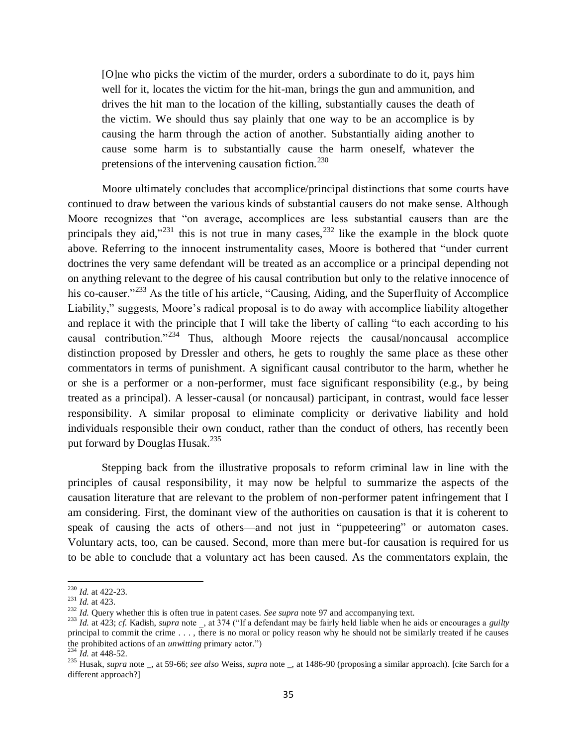[O]ne who picks the victim of the murder, orders a subordinate to do it, pays him well for it, locates the victim for the hit-man, brings the gun and ammunition, and drives the hit man to the location of the killing, substantially causes the death of the victim. We should thus say plainly that one way to be an accomplice is by causing the harm through the action of another. Substantially aiding another to cause some harm is to substantially cause the harm oneself, whatever the pretensions of the intervening causation fiction.<sup>230</sup>

Moore ultimately concludes that accomplice/principal distinctions that some courts have continued to draw between the various kinds of substantial causers do not make sense. Although Moore recognizes that "on average, accomplices are less substantial causers than are the principals they aid,"<sup>231</sup> this is not true in many cases,<sup>232</sup> like the example in the block quote above. Referring to the innocent instrumentality cases, Moore is bothered that "under current doctrines the very same defendant will be treated as an accomplice or a principal depending not on anything relevant to the degree of his causal contribution but only to the relative innocence of his co-causer."<sup>233</sup> As the title of his article, "Causing, Aiding, and the Superfluity of Accomplice Liability," suggests, Moore's radical proposal is to do away with accomplice liability altogether and replace it with the principle that I will take the liberty of calling "to each according to his causal contribution."<sup>234</sup> Thus, although Moore rejects the causal/noncausal accomplice distinction proposed by Dressler and others, he gets to roughly the same place as these other commentators in terms of punishment. A significant causal contributor to the harm, whether he or she is a performer or a non-performer, must face significant responsibility (e.g., by being treated as a principal). A lesser-causal (or noncausal) participant, in contrast, would face lesser responsibility. A similar proposal to eliminate complicity or derivative liability and hold individuals responsible their own conduct, rather than the conduct of others, has recently been put forward by Douglas Husak.<sup>235</sup>

<span id="page-34-0"></span>Stepping back from the illustrative proposals to reform criminal law in line with the principles of causal responsibility, it may now be helpful to summarize the aspects of the causation literature that are relevant to the problem of non-performer patent infringement that I am considering. First, the dominant view of the authorities on causation is that it is coherent to speak of causing the acts of others—and not just in "puppeteering" or automaton cases. Voluntary acts, too, can be caused. Second, more than mere but-for causation is required for us to be able to conclude that a voluntary act has been caused. As the commentators explain, the

<sup>230</sup> *Id.* at 422-23.

 $^{231}$  *Id.* at 423.

<sup>&</sup>lt;sup>232</sup> *Id.* Query whether this is often true in patent cases. *See supra* not[e 97](#page-15-0) and accompanying text.

<sup>233</sup> *Id.* at 423; *cf.* Kadish, *supra* note \_, at 374 ("If a defendant may be fairly held liable when he aids or encourages a *guilty* principal to commit the crime . . . , there is no moral or policy reason why he should not be similarly treated if he causes the prohibited actions of an *unwitting* primary actor.")

*Id.* at 448-52.

<sup>235</sup> Husak, *supra* note \_, at 59-66; *see also* Weiss, *supra* note \_, at 1486-90 (proposing a similar approach). [cite Sarch for a different approach?]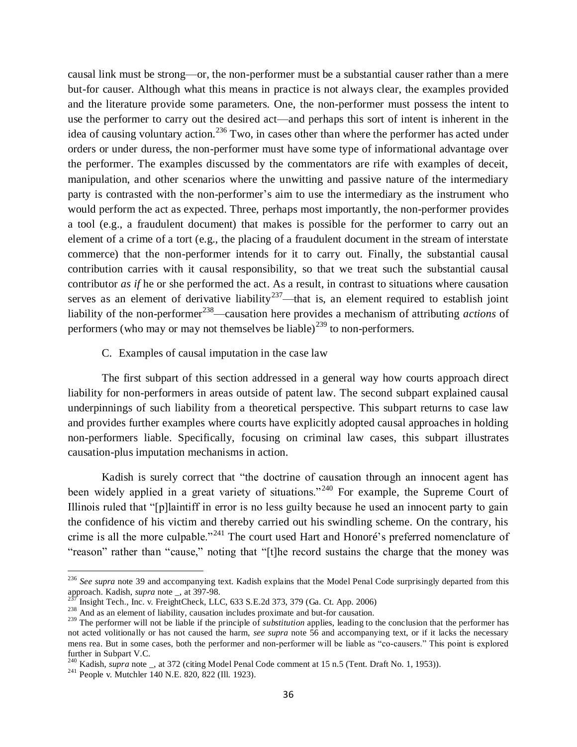causal link must be strong—or, the non-performer must be a substantial causer rather than a mere but-for causer. Although what this means in practice is not always clear, the examples provided and the literature provide some parameters. One, the non-performer must possess the intent to use the performer to carry out the desired act—and perhaps this sort of intent is inherent in the idea of causing voluntary action.<sup>236</sup> Two, in cases other than where the performer has acted under orders or under duress, the non-performer must have some type of informational advantage over the performer. The examples discussed by the commentators are rife with examples of deceit, manipulation, and other scenarios where the unwitting and passive nature of the intermediary party is contrasted with the non-performer's aim to use the intermediary as the instrument who would perform the act as expected. Three, perhaps most importantly, the non-performer provides a tool (e.g., a fraudulent document) that makes is possible for the performer to carry out an element of a crime of a tort (e.g., the placing of a fraudulent document in the stream of interstate commerce) that the non-performer intends for it to carry out. Finally, the substantial causal contribution carries with it causal responsibility, so that we treat such the substantial causal contributor *as if* he or she performed the act. As a result, in contrast to situations where causation serves as an element of derivative liability<sup>237</sup>—that is, an element required to establish joint liability of the non-performer<sup>238</sup>—causation here provides a mechanism of attributing *actions* of performers (who may or may not themselves be liable)<sup>239</sup> to non-performers.

C. Examples of causal imputation in the case law

The first subpart of this section addressed in a general way how courts approach direct liability for non-performers in areas outside of patent law. The second subpart explained causal underpinnings of such liability from a theoretical perspective. This subpart returns to case law and provides further examples where courts have explicitly adopted causal approaches in holding non-performers liable. Specifically, focusing on criminal law cases, this subpart illustrates causation-plus imputation mechanisms in action.

Kadish is surely correct that "the doctrine of causation through an innocent agent has been widely applied in a great variety of situations."<sup>240</sup> For example, the Supreme Court of Illinois ruled that "[p]laintiff in error is no less guilty because he used an innocent party to gain the confidence of his victim and thereby carried out his swindling scheme. On the contrary, his crime is all the more culpable."<sup>241</sup> The court used Hart and Honoré's preferred nomenclature of "reason" rather than "cause," noting that "[t]he record sustains the charge that the money was

l

<sup>&</sup>lt;sup>236</sup> See supra not[e 39](#page-7-0) and accompanying text. Kadish explains that the Model Penal Code surprisingly departed from this approach. Kadish, *supra* note \_, at 397-98.

Insight Tech., Inc. v. FreightCheck, LLC,  $633$  S.E.2d  $373$ ,  $379$  (Ga. Ct. App. 2006)

<sup>&</sup>lt;sup>238</sup> And as an element of liability, causation includes proximate and but-for causation.

<sup>&</sup>lt;sup>239</sup> The performer will not be liable if the principle of *substitution* applies, leading to the conclusion that the performer has not acted volitionally or has not caused the harm, *see supra* note [56](#page-10-0) and accompanying text, or if it lacks the necessary mens rea. But in some cases, both the performer and non-performer will be liable as "co-causers." This point is explored further in Subpart V.C.

<sup>&</sup>lt;sup>240</sup> Kadish, *supra* note \_, at 372 (citing Model Penal Code comment at 15 n.5 (Tent. Draft No. 1, 1953)).

<sup>&</sup>lt;sup>241</sup> People v. Mutchler 140 N.E. 820, 822 (Ill. 1923).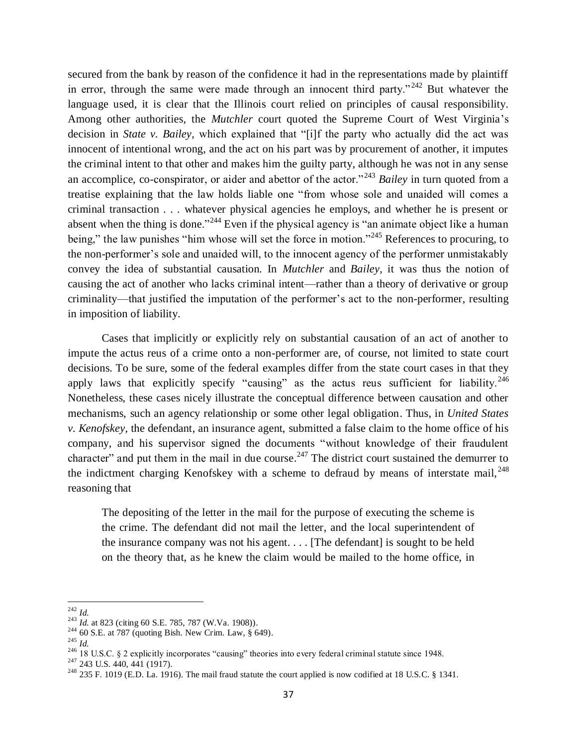secured from the bank by reason of the confidence it had in the representations made by plaintiff in error, through the same were made through an innocent third party."  $242$  But whatever the language used, it is clear that the Illinois court relied on principles of causal responsibility. Among other authorities, the *Mutchler* court quoted the Supreme Court of West Virginia's decision in *State v. Bailey*, which explained that "[i]f the party who actually did the act was innocent of intentional wrong, and the act on his part was by procurement of another, it imputes the criminal intent to that other and makes him the guilty party, although he was not in any sense an accomplice, co-conspirator, or aider and abettor of the actor."<sup>243</sup> *Bailey* in turn quoted from a treatise explaining that the law holds liable one "from whose sole and unaided will comes a criminal transaction . . . whatever physical agencies he employs, and whether he is present or absent when the thing is done."<sup>244</sup> Even if the physical agency is "an animate object like a human being," the law punishes "him whose will set the force in motion."<sup>245</sup> References to procuring, to the non-performer's sole and unaided will, to the innocent agency of the performer unmistakably convey the idea of substantial causation. In *Mutchler* and *Bailey*, it was thus the notion of causing the act of another who lacks criminal intent—rather than a theory of derivative or group criminality—that justified the imputation of the performer's act to the non-performer, resulting in imposition of liability.

Cases that implicitly or explicitly rely on substantial causation of an act of another to impute the actus reus of a crime onto a non-performer are, of course, not limited to state court decisions. To be sure, some of the federal examples differ from the state court cases in that they apply laws that explicitly specify "causing" as the actus reus sufficient for liability.<sup>246</sup> Nonetheless, these cases nicely illustrate the conceptual difference between causation and other mechanisms, such an agency relationship or some other legal obligation. Thus, in *United States v. Kenofskey*, the defendant, an insurance agent, submitted a false claim to the home office of his company, and his supervisor signed the documents "without knowledge of their fraudulent character" and put them in the mail in due course.<sup>247</sup> The district court sustained the demurrer to the indictment charging Kenofskey with a scheme to defraud by means of interstate mail,  $^{248}$ reasoning that

The depositing of the letter in the mail for the purpose of executing the scheme is the crime. The defendant did not mail the letter, and the local superintendent of the insurance company was not his agent. . . . [The defendant] is sought to be held on the theory that, as he knew the claim would be mailed to the home office, in

 $\overline{a}$ <sup>242</sup> *Id.*

<sup>&</sup>lt;sup>243</sup> *Id.* at 823 (citing 60 S.E. 785, 787 (W.Va. 1908)).

<sup>244</sup> 60 S.E. at 787 (quoting Bish. New Crim. Law, § 649).

<sup>245</sup> *Id.*

<sup>&</sup>lt;sup>246</sup> 18 U.S.C. § 2 explicitly incorporates "causing" theories into every federal criminal statute since 1948.

 $^{247}$  243 U.S. 440, 441 (1917).

<sup>&</sup>lt;sup>248</sup> 235 F. 1019 (E.D. La. 1916). The mail fraud statute the court applied is now codified at 18 U.S.C. § 1341.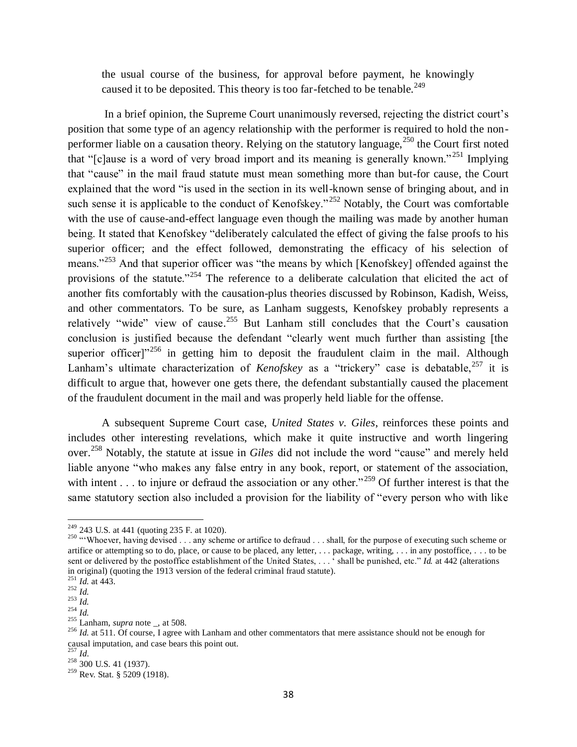the usual course of the business, for approval before payment, he knowingly caused it to be deposited. This theory is too far-fetched to be tenable.<sup>249</sup>

In a brief opinion, the Supreme Court unanimously reversed, rejecting the district court's position that some type of an agency relationship with the performer is required to hold the nonperformer liable on a causation theory. Relying on the statutory language,  $250$  the Court first noted that "[c]ause is a word of very broad import and its meaning is generally known." <sup>251</sup> Implying that "cause" in the mail fraud statute must mean something more than but-for cause, the Court explained that the word "is used in the section in its well-known sense of bringing about, and in such sense it is applicable to the conduct of Kenofskey."<sup>252</sup> Notably, the Court was comfortable with the use of cause-and-effect language even though the mailing was made by another human being. It stated that Kenofskey "deliberately calculated the effect of giving the false proofs to his superior officer; and the effect followed, demonstrating the efficacy of his selection of means."<sup>253</sup> And that superior officer was "the means by which [Kenofskey] offended against the provisions of the statute."<sup>254</sup> The reference to a deliberate calculation that elicited the act of another fits comfortably with the causation-plus theories discussed by Robinson, Kadish, Weiss, and other commentators. To be sure, as Lanham suggests, Kenofskey probably represents a relatively "wide" view of cause.<sup>255</sup> But Lanham still concludes that the Court's causation conclusion is justified because the defendant "clearly went much further than assisting [the superior officer] $1256$  in getting him to deposit the fraudulent claim in the mail. Although Lanham's ultimate characterization of *Kenofskey* as a "trickery" case is debatable, <sup>257</sup> it is difficult to argue that, however one gets there, the defendant substantially caused the placement of the fraudulent document in the mail and was properly held liable for the offense.

<span id="page-37-0"></span>A subsequent Supreme Court case, *United States v. Giles*, reinforces these points and includes other interesting revelations, which make it quite instructive and worth lingering over. <sup>258</sup> Notably, the statute at issue in *Giles* did not include the word "cause" and merely held liable anyone "who makes any false entry in any book, report, or statement of the association, with intent . . . to injure or defraud the association or any other."<sup>259</sup> Of further interest is that the same statutory section also included a provision for the liability of "every person who with like

 $\overline{a}$  $2^{249}$  243 U.S. at 441 (quoting 235 F. at 1020).

<sup>&</sup>lt;sup>250</sup> "Whoever, having devised . . . any scheme or artifice to defraud . . . shall, for the purpose of executing such scheme or artifice or attempting so to do, place, or cause to be placed, any letter, . . . package, writing, . . . in any postoffice, . . . to be sent or delivered by the postoffice establishment of the United States, . . . ' shall be punished, etc." *Id.* at 442 (alterations in original) (quoting the 1913 version of the federal criminal fraud statute).

<sup>251</sup> *Id.* at 443.  $\frac{1}{252}$  *Id.* 

 $rac{1}{253}$  *Iu.*<br>*Id.* 

 $\frac{254}{10}$  *Iu.* 

 $^{255}$  Lanham, *supra* note \_, at 508.

<sup>&</sup>lt;sup>256</sup> *Id.* at 511. Of course, I agree with Lanham and other commentators that mere assistance should not be enough for causal imputation, and case bears this point out.

<sup>257</sup> *Id*.

<sup>&</sup>lt;sup>258</sup> 300 U.S. 41 (1937).

<sup>&</sup>lt;sup>259</sup> Rev. Stat. § 5209 (1918).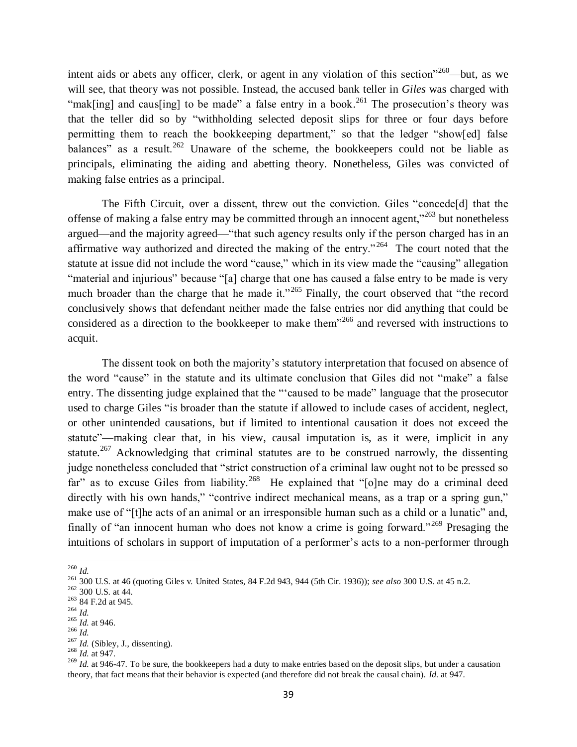intent aids or abets any officer, clerk, or agent in any violation of this section<sup> $260$ </sup>—but, as we will see, that theory was not possible. Instead, the accused bank teller in *Giles* was charged with "mak[ing] and caus[ing] to be made" a false entry in a book.<sup>261</sup> The prosecution's theory was that the teller did so by "withholding selected deposit slips for three or four days before permitting them to reach the bookkeeping department," so that the ledger "show[ed] false balances" as a result.<sup>262</sup> Unaware of the scheme, the bookkeepers could not be liable as principals, eliminating the aiding and abetting theory. Nonetheless, Giles was convicted of making false entries as a principal.

The Fifth Circuit, over a dissent, threw out the conviction. Giles "concede[d] that the offense of making a false entry may be committed through an innocent agent,<sup>"263</sup> but nonetheless argued—and the majority agreed—"that such agency results only if the person charged has in an affirmative way authorized and directed the making of the entry."<sup>264</sup> The court noted that the statute at issue did not include the word "cause," which in its view made the "causing" allegation "material and injurious" because "[a] charge that one has caused a false entry to be made is very much broader than the charge that he made it."<sup>265</sup> Finally, the court observed that "the record conclusively shows that defendant neither made the false entries nor did anything that could be considered as a direction to the bookkeeper to make them"<sup>266</sup> and reversed with instructions to acquit.

The dissent took on both the majority's statutory interpretation that focused on absence of the word "cause" in the statute and its ultimate conclusion that Giles did not "make" a false entry. The dissenting judge explained that the "'caused to be made" language that the prosecutor used to charge Giles "is broader than the statute if allowed to include cases of accident, neglect, or other unintended causations, but if limited to intentional causation it does not exceed the statute"—making clear that, in his view, causal imputation is, as it were, implicit in any statute.<sup>267</sup> Acknowledging that criminal statutes are to be construed narrowly, the dissenting judge nonetheless concluded that "strict construction of a criminal law ought not to be pressed so far" as to excuse Giles from liability.<sup>268</sup> He explained that "[o]ne may do a criminal deed directly with his own hands," "contrive indirect mechanical means, as a trap or a spring gun," make use of "[t]he acts of an animal or an irresponsible human such as a child or a lunatic" and, finally of "an innocent human who does not know a crime is going forward."<sup>269</sup> Presaging the intuitions of scholars in support of imputation of a performer's acts to a non-performer through

 $\overline{\phantom{a}}$ <sup>260</sup> *Id.*

<sup>261</sup> 300 U.S. at 46 (quoting Giles v. United States, 84 F.2d 943, 944 (5th Cir. 1936)); *see also* 300 U.S. at 45 n.2.

 $262$  300 U.S. at 44.

<sup>263</sup> 84 F.2d at 945.

<sup>264</sup> *Id.*

<sup>265</sup> *Id.* at 946.

<sup>266</sup> *Id.*

 $^{267}$  *Id.* (Sibley, J., dissenting).

<sup>268</sup> *Id.* at 947.

<sup>269</sup> *Id.* at 946-47. To be sure, the bookkeepers had a duty to make entries based on the deposit slips, but under a causation theory, that fact means that their behavior is expected (and therefore did not break the causal chain). *Id.* at 947.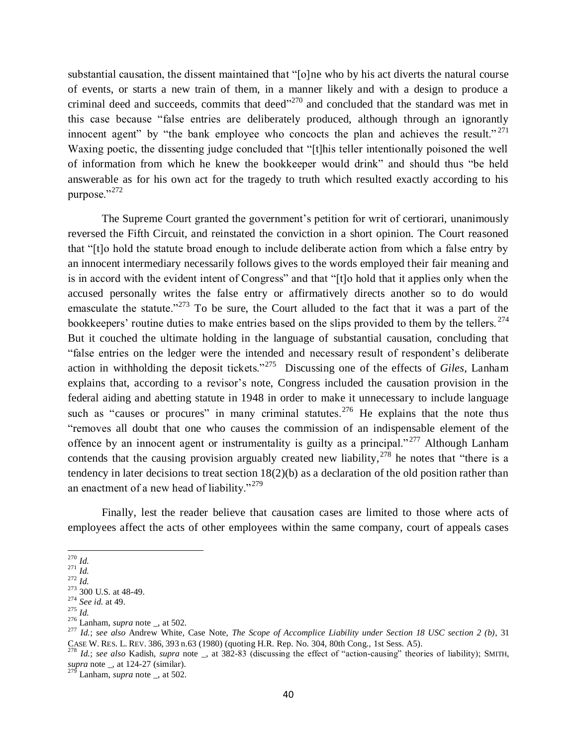substantial causation, the dissent maintained that "[o]ne who by his act diverts the natural course of events, or starts a new train of them, in a manner likely and with a design to produce a criminal deed and succeeds, commits that deed"<sup>270</sup> and concluded that the standard was met in this case because "false entries are deliberately produced, although through an ignorantly innocent agent" by "the bank employee who concocts the plan and achieves the result."  $271$ Waxing poetic, the dissenting judge concluded that "[t]his teller intentionally poisoned the well of information from which he knew the bookkeeper would drink" and should thus "be held answerable as for his own act for the tragedy to truth which resulted exactly according to his purpose."<sup>272</sup>

The Supreme Court granted the government's petition for writ of certiorari, unanimously reversed the Fifth Circuit, and reinstated the conviction in a short opinion. The Court reasoned that "[t]o hold the statute broad enough to include deliberate action from which a false entry by an innocent intermediary necessarily follows gives to the words employed their fair meaning and is in accord with the evident intent of Congress" and that "[t]o hold that it applies only when the accused personally writes the false entry or affirmatively directs another so to do would emasculate the statute."<sup>273</sup> To be sure, the Court alluded to the fact that it was a part of the bookkeepers' routine duties to make entries based on the slips provided to them by the tellers.<sup>274</sup> But it couched the ultimate holding in the language of substantial causation, concluding that "false entries on the ledger were the intended and necessary result of respondent's deliberate action in withholding the deposit tickets."<sup>275</sup> Discussing one of the effects of *Giles*, Lanham explains that, according to a revisor's note, Congress included the causation provision in the federal aiding and abetting statute in 1948 in order to make it unnecessary to include language such as "causes or procures" in many criminal statutes.<sup>276</sup> He explains that the note thus "removes all doubt that one who causes the commission of an indispensable element of the offence by an innocent agent or instrumentality is guilty as a principal." <sup>277</sup> Although Lanham contends that the causing provision arguably created new liability,  $278$  he notes that "there is a tendency in later decisions to treat section  $18(2)(b)$  as a declaration of the old position rather than an enactment of a new head of liability."<sup>279</sup>

<span id="page-39-0"></span>Finally, lest the reader believe that causation cases are limited to those where acts of employees affect the acts of other employees within the same company, court of appeals cases

 $\overline{a}$ <sup>270</sup> *Id.*

<sup>271</sup> *Id.*

<sup>272</sup> *Id.*

 $^{273}$  300 U.S. at 48-49.

<sup>274</sup> *See id.* at 49.

<sup>275</sup> *Id.*

<sup>&</sup>lt;sup>276</sup> Lanham, *supra* note \_, at 502.

<sup>277</sup> *Id.*; *see also* Andrew White, Case Note, *The Scope of Accomplice Liability under Section 18 USC section 2 (b)*, 31 CASE W. RES. L. REV. 386, 393 n.63 (1980) (quoting H.R. Rep. No. 304, 80th Cong., 1st Sess. A5).

<sup>278</sup> *Id.*; *see also* Kadish, *supra* note \_, at 382-83 (discussing the effect of "action-causing" theories of liability); SMITH, *supra* note \_, at 124-27 (similar).

Lanham, *supra* note \_, at 502.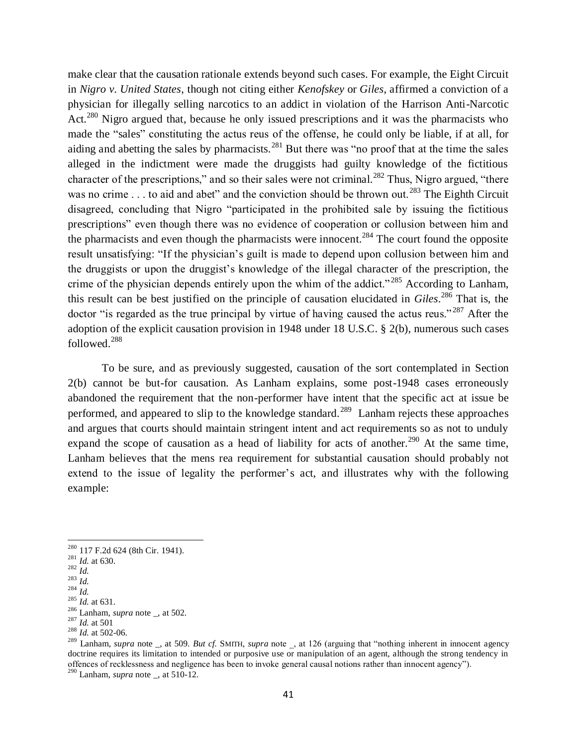make clear that the causation rationale extends beyond such cases. For example, the Eight Circuit in *Nigro v. United States*, though not citing either *Kenofskey* or *Giles*, affirmed a conviction of a physician for illegally selling narcotics to an addict in violation of the Harrison Anti-Narcotic Act.<sup>280</sup> Nigro argued that, because he only issued prescriptions and it was the pharmacists who made the "sales" constituting the actus reus of the offense, he could only be liable, if at all, for aiding and abetting the sales by pharmacists.<sup>281</sup> But there was "no proof that at the time the sales alleged in the indictment were made the druggists had guilty knowledge of the fictitious character of the prescriptions," and so their sales were not criminal.<sup>282</sup> Thus, Nigro argued, "there was no crime . . . to aid and abet" and the conviction should be thrown out.<sup>283</sup> The Eighth Circuit disagreed, concluding that Nigro "participated in the prohibited sale by issuing the fictitious prescriptions" even though there was no evidence of cooperation or collusion between him and the pharmacists and even though the pharmacists were innocent.<sup>284</sup> The court found the opposite result unsatisfying: "If the physician's guilt is made to depend upon collusion between him and the druggists or upon the druggist's knowledge of the illegal character of the prescription, the crime of the physician depends entirely upon the whim of the addict."<sup>285</sup> According to Lanham, this result can be best justified on the principle of causation elucidated in *Giles*. <sup>286</sup> That is, the doctor "is regarded as the true principal by virtue of having caused the actus reus."<sup>287</sup> After the adoption of the explicit causation provision in 1948 under 18 U.S.C. § 2(b), numerous such cases followed.<sup>288</sup>

To be sure, and as previously suggested, causation of the sort contemplated in Section 2(b) cannot be but-for causation. As Lanham explains, some post-1948 cases erroneously abandoned the requirement that the non-performer have intent that the specific act at issue be performed, and appeared to slip to the knowledge standard.<sup>289</sup> Lanham rejects these approaches and argues that courts should maintain stringent intent and act requirements so as not to unduly expand the scope of causation as a head of liability for acts of another.<sup>290</sup> At the same time, Lanham believes that the mens rea requirement for substantial causation should probably not extend to the issue of legality the performer's act, and illustrates why with the following example:

 $\overline{a}$ 

<sup>290</sup> Lanham, *supra* note \_, at 510-12.

<sup>&</sup>lt;sup>280</sup> 117 F.2d 624 (8th Cir. 1941).

<sup>281</sup> *Id.* at 630.

<sup>282</sup> *Id.*  $^{283}$  *Id.* 

 $284 \frac{I_{\text{u}}}{Id}$ .

 $^{285}$  *Id.* at 631.

<sup>286</sup> Lanham, *supra* note \_, at 502.  $^{287}$  *Id.* at 501

 $^{288}$  *Id.* at 502-06.

<sup>289</sup> Lanham, *supra* note \_, at 509. *But cf.* SMITH, *supra* note \_, at 126 (arguing that "nothing inherent in innocent agency doctrine requires its limitation to intended or purposive use or manipulation of an agent, although the strong tendency in offences of recklessness and negligence has been to invoke general causal notions rather than innocent agency").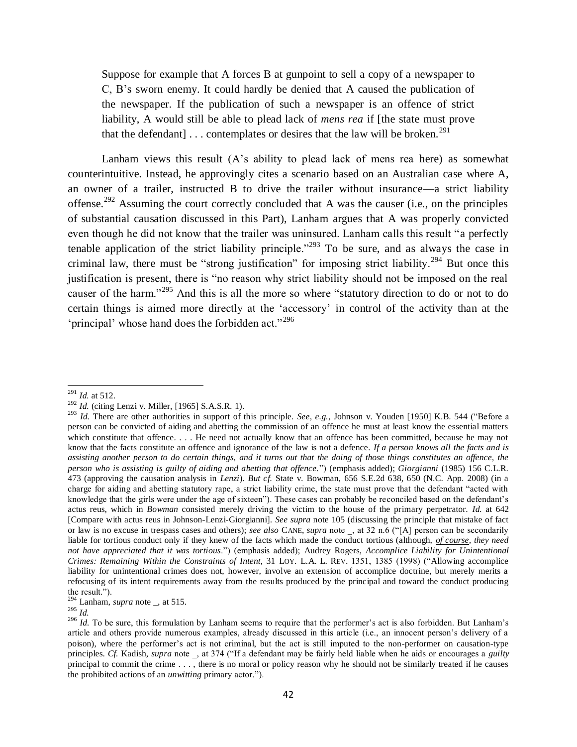Suppose for example that A forces B at gunpoint to sell a copy of a newspaper to C, B's sworn enemy. It could hardly be denied that A caused the publication of the newspaper. If the publication of such a newspaper is an offence of strict liability, A would still be able to plead lack of *mens rea* if [the state must prove that the defendant]  $\ldots$  contemplates or desires that the law will be broken.<sup>291</sup>

<span id="page-41-1"></span>Lanham views this result (A's ability to plead lack of mens rea here) as somewhat counterintuitive. Instead, he approvingly cites a scenario based on an Australian case where A, an owner of a trailer, instructed B to drive the trailer without insurance—a strict liability offense.<sup>292</sup> Assuming the court correctly concluded that A was the causer (i.e., on the principles of substantial causation discussed in this Part), Lanham argues that A was properly convicted even though he did not know that the trailer was uninsured. Lanham calls this result "a perfectly tenable application of the strict liability principle."<sup>293</sup> To be sure, and as always the case in criminal law, there must be "strong justification" for imposing strict liability.<sup>294</sup> But once this justification is present, there is "no reason why strict liability should not be imposed on the real causer of the harm."<sup>295</sup> And this is all the more so where "statutory direction to do or not to do certain things is aimed more directly at the 'accessory' in control of the activity than at the 'principal' whose hand does the forbidden act."<sup>296</sup>

<span id="page-41-0"></span><sup>291</sup> *Id.* at 512.

<sup>292</sup> *Id.* (citing Lenzi v. Miller, [1965] S.A.S.R. 1).

<sup>&</sup>lt;sup>293</sup> *Id.* There are other authorities in support of this principle. *See, e.g.*, Johnson v. Youden [1950] K.B. 544 ("Before a person can be convicted of aiding and abetting the commission of an offence he must at least know the essential matters which constitute that offence. . . . He need not actually know that an offence has been committed, because he may not know that the facts constitute an offence and ignorance of the law is not a defence. *If a person knows all the facts and is assisting another person to do certain things, and it turns out that the doing of those things constitutes an offence, the person who is assisting is guilty of aiding and abetting that offence.*") (emphasis added); *Giorgianni* (1985) 156 C.L.R. 473 (approving the causation analysis in *Lenzi*). *But cf.* State v. Bowman, 656 S.E.2d 638, 650 (N.C. App. 2008) (in a charge for aiding and abetting statutory rape, a strict liability crime, the state must prove that the defendant "acted with knowledge that the girls were under the age of sixteen"). These cases can probably be reconciled based on the defendant's actus reus, which in *Bowman* consisted merely driving the victim to the house of the primary perpetrator. *Id.* at 642 [Compare with actus reus in Johnson-Lenzi-Giorgianni]. *See supra* note [105](#page-16-0) (discussing the principle that mistake of fact or law is no excuse in trespass cases and others); *see also* CANE, *supra* note \_, at 32 n.6 ("[A] person can be secondarily liable for tortious conduct only if they knew of the facts which made the conduct tortious (although, *of course, they need not have appreciated that it was tortious*.") (emphasis added); Audrey Rogers, *Accomplice Liability for Unintentional Crimes: Remaining Within the Constraints of Intent*, 31 LOY. L.A. L. REV. 1351, 1385 (1998) ("Allowing accomplice liability for unintentional crimes does not, however, involve an extension of accomplice doctrine, but merely merits a refocusing of its intent requirements away from the results produced by the principal and toward the conduct producing the result.").

 $294$  Lanham, *supra* note \_, at 515.

 $^{295}$  *Id.* 

 $\frac{296}{1}$  *Id.* To be sure, this formulation by Lanham seems to require that the performer's act is also forbidden. But Lanham's article and others provide numerous examples, already discussed in this article (i.e., an innocent person's delivery of a poison), where the performer's act is not criminal, but the act is still imputed to the non-performer on causation-type principles. *Cf.* Kadish, *supra* note \_, at 374 ("If a defendant may be fairly held liable when he aids or encourages a *guilty* principal to commit the crime . . . , there is no moral or policy reason why he should not be similarly treated if he causes the prohibited actions of an *unwitting* primary actor.").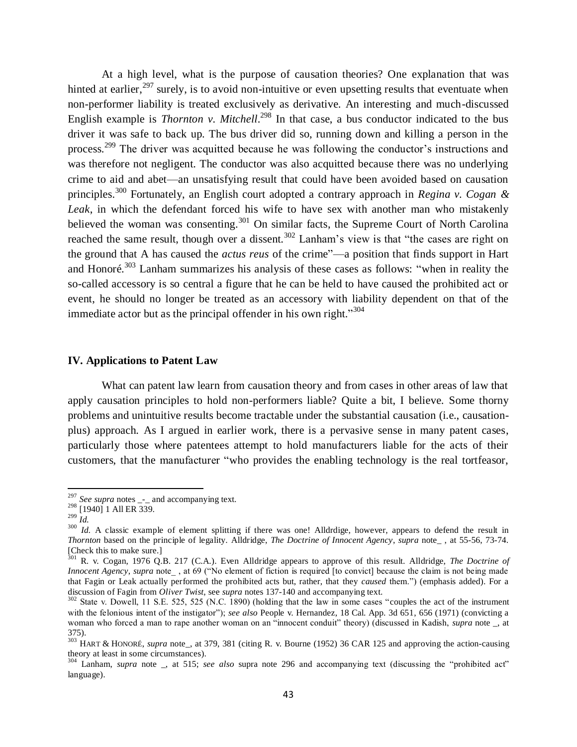At a high level, what is the purpose of causation theories? One explanation that was hinted at earlier,<sup>297</sup> surely, is to avoid non-intuitive or even upsetting results that eventuate when non-performer liability is treated exclusively as derivative. An interesting and much-discussed English example is *Thornton v. Mitchell*.<sup>298</sup> In that case, a bus conductor indicated to the bus driver it was safe to back up. The bus driver did so, running down and killing a person in the process.<sup>299</sup> The driver was acquitted because he was following the conductor's instructions and was therefore not negligent. The conductor was also acquitted because there was no underlying crime to aid and abet—an unsatisfying result that could have been avoided based on causation principles.<sup>300</sup> Fortunately, an English court adopted a contrary approach in *Regina v. Cogan & Leak*, in which the defendant forced his wife to have sex with another man who mistakenly believed the woman was consenting.<sup>301</sup> On similar facts, the Supreme Court of North Carolina reached the same result, though over a dissent.<sup>302</sup> Lanham's view is that "the cases are right on the ground that A has caused the *actus reus* of the crime"—a position that finds support in Hart and Honoré.<sup>303</sup> Lanham summarizes his analysis of these cases as follows: "when in reality the so-called accessory is so central a figure that he can be held to have caused the prohibited act or event, he should no longer be treated as an accessory with liability dependent on that of the immediate actor but as the principal offender in his own right."<sup>304</sup>

#### **IV. Applications to Patent Law**

What can patent law learn from causation theory and from cases in other areas of law that apply causation principles to hold non-performers liable? Quite a bit, I believe. Some thorny problems and unintuitive results become tractable under the substantial causation (i.e., causationplus) approach. As I argued in earlier work, there is a pervasive sense in many patent cases, particularly those where patentees attempt to hold manufacturers liable for the acts of their customers, that the manufacturer "who provides the enabling technology is the real tortfeasor,

<sup>&</sup>lt;sup>297</sup> *See supra* notes <sub>-</sub>- and accompanying text.

 $298$  [1940] 1 All ER 339.  $\frac{1}{299}$   $\frac{1}{1}$ .

<sup>&</sup>lt;sup>300</sup> *Id.* A classic example of element splitting if there was one! Alldrdige, however, appears to defend the result in *Thornton* based on the principle of legality. Alldridge, *The Doctrine of Innocent Agency*, *supra* note\_ , at 55-56, 73-74. [Check this to make sure.]

<sup>301</sup> R. v. Cogan, 1976 Q.B. 217 (C.A.). Even Alldridge appears to approve of this result. Alldridge, *The Doctrine of Innocent Agency*, *supra* note\_ , at 69 ("No element of fiction is required [to convict] because the claim is not being made that Fagin or Leak actually performed the prohibited acts but, rather, that they *caused* them.") (emphasis added). For a discussion of Fagin from *Oliver Twist*, see *supra* notes [137-](#page-21-1)[140](#page-21-2) and accompanying text.

 $302$  State v. Dowell, 11 S.E. 525, 525 (N.C. 1890) (holding that the law in some cases "couples the act of the instrument with the felonious intent of the instigator"); *see also* People v. Hernandez, 18 Cal. App. 3d 651, 656 (1971) (convicting a woman who forced a man to rape another woman on an "innocent conduit" theory) (discussed in Kadish, *supra* note \_, at 375).

<sup>&</sup>lt;sup>303</sup> HART & HONORÉ, *supra* note<sub>—</sub>, at 379, 381 (citing R. v. Bourne (1952) 36 CAR 125 and approving the action-causing theory at least in some circumstances).

<sup>304</sup> Lanham, *supra* note \_, at 515; *see also* supra note [296](#page-41-0) and accompanying text (discussing the "prohibited act" language).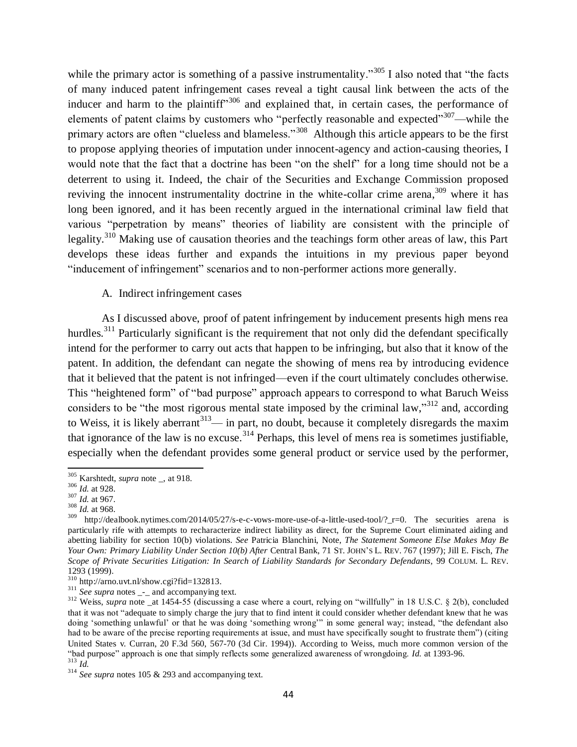while the primary actor is something of a passive instrumentality."<sup>305</sup> I also noted that "the facts" of many induced patent infringement cases reveal a tight causal link between the acts of the inducer and harm to the plaintiff<sup> $306$ </sup> and explained that, in certain cases, the performance of elements of patent claims by customers who "perfectly reasonable and expected"<sup>307</sup>—while the primary actors are often "clueless and blameless."<sup>308</sup> Although this article appears to be the first to propose applying theories of imputation under innocent-agency and action-causing theories, I would note that the fact that a doctrine has been "on the shelf" for a long time should not be a deterrent to using it. Indeed, the chair of the Securities and Exchange Commission proposed reviving the innocent instrumentality doctrine in the white-collar crime arena,<sup>309</sup> where it has long been ignored, and it has been recently argued in the international criminal law field that various "perpetration by means" theories of liability are consistent with the principle of legality.<sup>310</sup> Making use of causation theories and the teachings form other areas of law, this Part develops these ideas further and expands the intuitions in my previous paper beyond "inducement of infringement" scenarios and to non-performer actions more generally.

## <span id="page-43-0"></span>A. Indirect infringement cases

As I discussed above, proof of patent infringement by inducement presents high mens rea hurdles.<sup>311</sup> Particularly significant is the requirement that not only did the defendant specifically intend for the performer to carry out acts that happen to be infringing, but also that it know of the patent. In addition, the defendant can negate the showing of mens rea by introducing evidence that it believed that the patent is not infringed—even if the court ultimately concludes otherwise. This "heightened form" of "bad purpose" approach appears to correspond to what Baruch Weiss considers to be "the most rigorous mental state imposed by the criminal law," $312$  and, according to Weiss, it is likely aberrant<sup>313</sup>— in part, no doubt, because it completely disregards the maxim that ignorance of the law is no excuse.<sup>314</sup> Perhaps, this level of mens rea is sometimes justifiable, especially when the defendant provides some general product or service used by the performer,

l <sup>305</sup> Karshtedt, *supra* note \_, at 918.

<sup>306</sup> *Id.* at 928.

<sup>307</sup> *Id.* at 967.

<sup>308</sup> *Id.* at 968.

http://dealbook.nytimes.com/2014/05/27/s-e-c-vows-more-use-of-a-little-used-tool/?\_r=0. The securities arena is particularly rife with attempts to recharacterize indirect liability as direct, for the Supreme Court eliminated aiding and abetting liability for section 10(b) violations. *See* Patricia Blanchini, Note, *The Statement Someone Else Makes May Be Your Own: Primary Liability Under Section 10(b) After* Central Bank, 71 ST. JOHN'S L. REV. 767 (1997); Jill E. Fisch*, The Scope of Private Securities Litigation: In Search of Liability Standards for Secondary Defendants*, 99 COLUM. L. REV. 1293 (1999).

 $\frac{12}{310}$  http://arno.uvt.nl/show.cgi?fid=132813.

 $311$  *See supra* notes  $\frac{1}{2}$  and accompanying text.

 $312$  Weiss, *supra* note \_at 1454-55 (discussing a case where a court, relying on "willfully" in 18 U.S.C. § 2(b), concluded that it was not "adequate to simply charge the jury that to find intent it could consider whether defendant knew that he was doing 'something unlawful' or that he was doing 'something wrong'" in some general way; instead, "the defendant also had to be aware of the precise reporting requirements at issue, and must have specifically sought to frustrate them") (citing United States v. Curran, 20 F.3d 560, 567-70 (3d Cir. 1994)). According to Weiss, much more common version of the "bad purpose" approach is one that simply reflects some generalized awareness of wrongdoing. *Id.* at 1393-96. <sup>313</sup> *Id.*

<sup>&</sup>lt;sup>314</sup> *See supra* note[s 105](#page-16-0) [& 293](#page-41-1) and accompanying text.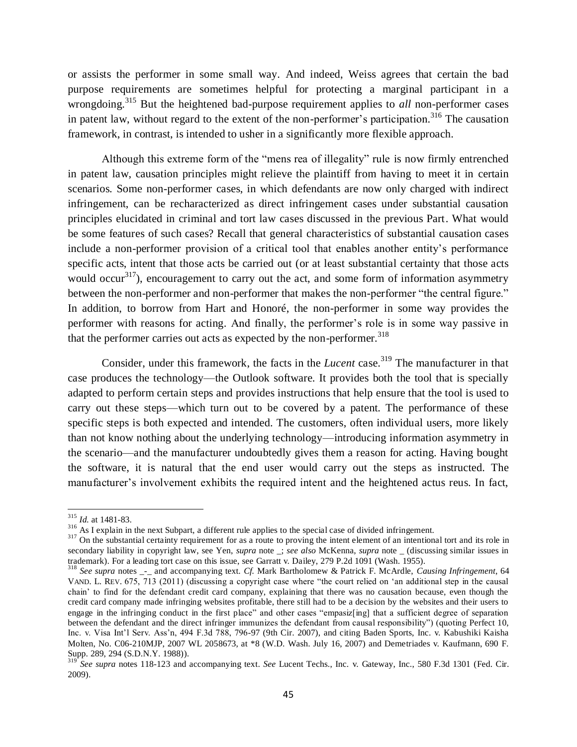or assists the performer in some small way. And indeed, Weiss agrees that certain the bad purpose requirements are sometimes helpful for protecting a marginal participant in a wrongdoing.<sup>315</sup> But the heightened bad-purpose requirement applies to *all* non-performer cases in patent law, without regard to the extent of the non-performer's participation.<sup>316</sup> The causation framework, in contrast, is intended to usher in a significantly more flexible approach.

<span id="page-44-0"></span>Although this extreme form of the "mens rea of illegality" rule is now firmly entrenched in patent law, causation principles might relieve the plaintiff from having to meet it in certain scenarios. Some non-performer cases, in which defendants are now only charged with indirect infringement, can be recharacterized as direct infringement cases under substantial causation principles elucidated in criminal and tort law cases discussed in the previous Part. What would be some features of such cases? Recall that general characteristics of substantial causation cases include a non-performer provision of a critical tool that enables another entity's performance specific acts, intent that those acts be carried out (or at least substantial certainty that those acts would occur<sup>317</sup>), encouragement to carry out the act, and some form of information asymmetry between the non-performer and non-performer that makes the non-performer "the central figure." In addition, to borrow from Hart and Honoré, the non-performer in some way provides the performer with reasons for acting. And finally, the performer's role is in some way passive in that the performer carries out acts as expected by the non-performer.<sup>318</sup>

Consider, under this framework, the facts in the *Lucent* case.<sup>319</sup> The manufacturer in that case produces the technology—the Outlook software. It provides both the tool that is specially adapted to perform certain steps and provides instructions that help ensure that the tool is used to carry out these steps—which turn out to be covered by a patent. The performance of these specific steps is both expected and intended. The customers, often individual users, more likely than not know nothing about the underlying technology—introducing information asymmetry in the scenario—and the manufacturer undoubtedly gives them a reason for acting. Having bought the software, it is natural that the end user would carry out the steps as instructed. The manufacturer's involvement exhibits the required intent and the heightened actus reus. In fact,

 $\overline{\phantom{a}}$ 

<sup>315</sup> *Id.* at 1481-83.

<sup>&</sup>lt;sup>316</sup> As I explain in the next Subpart, a different rule applies to the special case of divided infringement.

<sup>&</sup>lt;sup>317</sup> On the substantial certainty requirement for as a route to proving the intent element of an intentional tort and its role in secondary liability in copyright law, see Yen, *supra* note \_; *see also* McKenna, *supra* note \_ (discussing similar issues in trademark). For a leading tort case on this issue, see Garratt v. Dailey, 279 P.2d 1091 (Wash. 1955).

<sup>318</sup> *See supra* notes \_-\_ and accompanying text. *Cf.* Mark Bartholomew & Patrick F. McArdle, *Causing Infringement*, 64 VAND. L. REV. 675, 713 (2011) (discussing a copyright case where "the court relied on 'an additional step in the causal chain' to find for the defendant credit card company, explaining that there was no causation because, even though the credit card company made infringing websites profitable, there still had to be a decision by the websites and their users to engage in the infringing conduct in the first place" and other cases "empasiz[ing] that a sufficient degree of separation between the defendant and the direct infringer immunizes the defendant from causal responsibility") (quoting Perfect 10, Inc. v. Visa Int'l Serv. Ass'n, 494 F.3d 788, 796-97 (9th Cir. 2007), and citing Baden Sports, Inc. v. Kabushiki Kaisha Molten, No. C06-210MJP, 2007 WL 2058673, at \*8 (W.D. Wash. July 16, 2007) and [Demetriades v. Kaufmann, 690 F.](https://a.next.westlaw.com/Link/Document/FullText?findType=Y&serNum=1988101963&pubNum=345&originatingDoc=I229b18ce92cf11e08b05fdf15589d8e8&refType=RP&fi=co_pp_sp_345_294&originationContext=document&transitionType=DocumentItem&contextData=%28sc.Search%29#co_pp_sp_345_294)  [Supp. 289, 294 \(S.D.N.Y. 1988\)\)](https://a.next.westlaw.com/Link/Document/FullText?findType=Y&serNum=1988101963&pubNum=345&originatingDoc=I229b18ce92cf11e08b05fdf15589d8e8&refType=RP&fi=co_pp_sp_345_294&originationContext=document&transitionType=DocumentItem&contextData=%28sc.Search%29#co_pp_sp_345_294).

See supra notes [118](#page-18-0)[-123](#page-18-1) and accompanying text. See Lucent Techs., Inc. v. Gateway, Inc., 580 F.3d 1301 (Fed. Cir. 2009).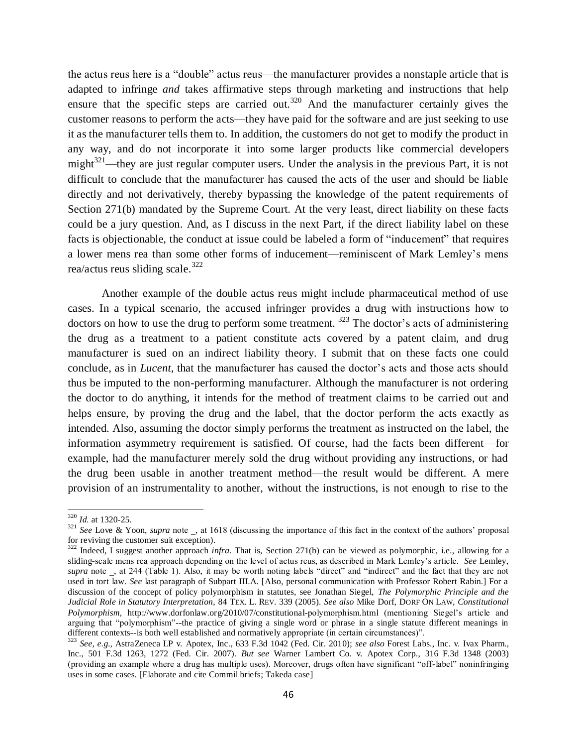the actus reus here is a "double" actus reus—the manufacturer provides a nonstaple article that is adapted to infringe *and* takes affirmative steps through marketing and instructions that help ensure that the specific steps are carried out.<sup>320</sup> And the manufacturer certainly gives the customer reasons to perform the acts—they have paid for the software and are just seeking to use it as the manufacturer tells them to. In addition, the customers do not get to modify the product in any way, and do not incorporate it into some larger products like commercial developers might<sup>321</sup>—they are just regular computer users. Under the analysis in the previous Part, it is not difficult to conclude that the manufacturer has caused the acts of the user and should be liable directly and not derivatively, thereby bypassing the knowledge of the patent requirements of Section 271(b) mandated by the Supreme Court. At the very least, direct liability on these facts could be a jury question. And, as I discuss in the next Part, if the direct liability label on these facts is objectionable, the conduct at issue could be labeled a form of "inducement" that requires a lower mens rea than some other forms of inducement—reminiscent of Mark Lemley's mens rea/actus reus sliding scale. $322$ 

Another example of the double actus reus might include pharmaceutical method of use cases. In a typical scenario, the accused infringer provides a drug with instructions how to doctors on how to use the drug to perform some treatment.  $323$  The doctor's acts of administering the drug as a treatment to a patient constitute acts covered by a patent claim, and drug manufacturer is sued on an indirect liability theory. I submit that on these facts one could conclude, as in *Lucent*, that the manufacturer has caused the doctor's acts and those acts should thus be imputed to the non-performing manufacturer. Although the manufacturer is not ordering the doctor to do anything, it intends for the method of treatment claims to be carried out and helps ensure, by proving the drug and the label, that the doctor perform the acts exactly as intended. Also, assuming the doctor simply performs the treatment as instructed on the label, the information asymmetry requirement is satisfied. Of course, had the facts been different—for example, had the manufacturer merely sold the drug without providing any instructions, or had the drug been usable in another treatment method—the result would be different. A mere provision of an instrumentality to another, without the instructions, is not enough to rise to the

 $\overline{\phantom{a}}$ 

<sup>320</sup> *Id.* at 1320-25.

<sup>&</sup>lt;sup>321</sup> See Love & Yoon, *supra* note, at 1618 (discussing the importance of this fact in the context of the authors' proposal for reviving the customer suit exception).

<sup>&</sup>lt;sup>322</sup> Indeed, I suggest another approach *infra*. That is, Section 271(b) can be viewed as polymorphic, i.e., allowing for a sliding-scale mens rea approach depending on the level of actus reus, as described in Mark Lemley's article. *See* Lemley, *supra* note \_, at 244 (Table 1). Also, it may be worth noting labels "direct" and "indirect" and the fact that they are not used in tort law. *See* last paragraph of Subpart III.A. [Also, personal communication with Professor Robert Rabin.] For a discussion of the concept of policy polymorphism in statutes, see Jonathan Siegel, *The Polymorphic Principle and the Judicial Role in Statutory Interpretation*, 84 TEX. L. REV. 339 (2005). *See also* Mike Dorf, DORF ON LAW, *Constitutional Polymorphism*, http://www.dorfonlaw.org/2010/07/constitutional-polymorphism.html (mentioning Siegel's article and arguing that "polymorphism"--the practice of giving a single word or phrase in a single statute different meanings in different contexts--is both well established and normatively appropriate (in certain circumstances)".

<sup>323</sup> *See, e.g.*, AstraZeneca LP v. Apotex, Inc., 633 F.3d 1042 (Fed. Cir. 2010); *see also* Forest Labs., Inc. v. Ivax Pharm., Inc., 501 F.3d 1263, 1272 (Fed. Cir. 2007). *But see* Warner Lambert Co. v. Apotex Corp., 316 F.3d 1348 (2003) (providing an example where a drug has multiple uses). Moreover, drugs often have significant "off-label" noninfringing uses in some cases. [Elaborate and cite Commil briefs; Takeda case]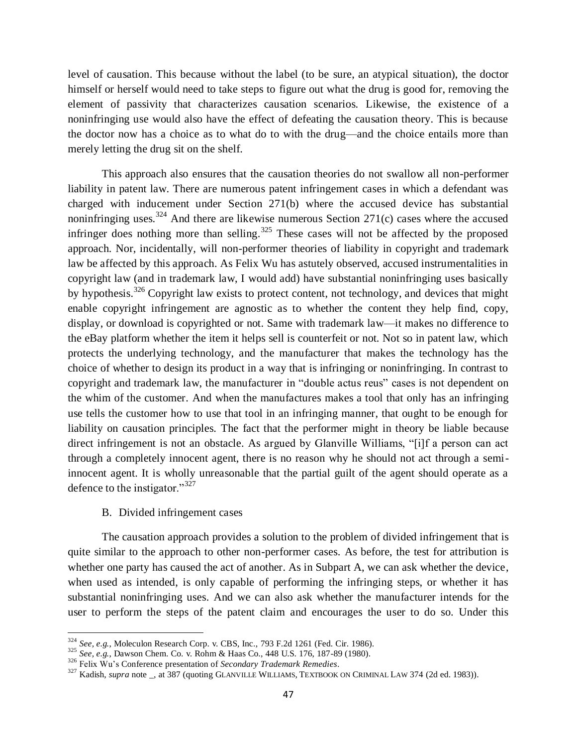level of causation. This because without the label (to be sure, an atypical situation), the doctor himself or herself would need to take steps to figure out what the drug is good for, removing the element of passivity that characterizes causation scenarios. Likewise, the existence of a noninfringing use would also have the effect of defeating the causation theory. This is because the doctor now has a choice as to what do to with the drug—and the choice entails more than merely letting the drug sit on the shelf.

This approach also ensures that the causation theories do not swallow all non-performer liability in patent law. There are numerous patent infringement cases in which a defendant was charged with inducement under Section 271(b) where the accused device has substantial noninfringing uses.<sup>324</sup> And there are likewise numerous Section 271(c) cases where the accused infringer does nothing more than selling.<sup>325</sup> These cases will not be affected by the proposed approach. Nor, incidentally, will non-performer theories of liability in copyright and trademark law be affected by this approach. As Felix Wu has astutely observed, accused instrumentalities in copyright law (and in trademark law, I would add) have substantial noninfringing uses basically by hypothesis.<sup>326</sup> Copyright law exists to protect content, not technology, and devices that might enable copyright infringement are agnostic as to whether the content they help find, copy, display, or download is copyrighted or not. Same with trademark law—it makes no difference to the eBay platform whether the item it helps sell is counterfeit or not. Not so in patent law, which protects the underlying technology, and the manufacturer that makes the technology has the choice of whether to design its product in a way that is infringing or noninfringing. In contrast to copyright and trademark law, the manufacturer in "double actus reus" cases is not dependent on the whim of the customer. And when the manufactures makes a tool that only has an infringing use tells the customer how to use that tool in an infringing manner, that ought to be enough for liability on causation principles. The fact that the performer might in theory be liable because direct infringement is not an obstacle. As argued by Glanville Williams, "[i]f a person can act through a completely innocent agent, there is no reason why he should not act through a semiinnocent agent. It is wholly unreasonable that the partial guilt of the agent should operate as a defence to the instigator." $327$ 

### B. Divided infringement cases

 $\overline{a}$ 

The causation approach provides a solution to the problem of divided infringement that is quite similar to the approach to other non-performer cases. As before, the test for attribution is whether one party has caused the act of another. As in Subpart A, we can ask whether the device, when used as intended, is only capable of performing the infringing steps, or whether it has substantial noninfringing uses. And we can also ask whether the manufacturer intends for the user to perform the steps of the patent claim and encourages the user to do so. Under this

<sup>324</sup> *See, e.g.*, Moleculon Research Corp. v. CBS, Inc., 793 F.2d 1261 (Fed. Cir. 1986).

<sup>325</sup> *See, e.g.*, Dawson Chem. Co. v. Rohm & Haas Co., 448 U.S. 176, 187-89 (1980).

<sup>326</sup> Felix Wu's Conference presentation of *Secondary Trademark Remedies*.

<sup>&</sup>lt;sup>327</sup> Kadish, *supra* note \_, at 387 (quoting GLANVILLE WILLIAMS, TEXTBOOK ON CRIMINAL LAW 374 (2d ed. 1983)).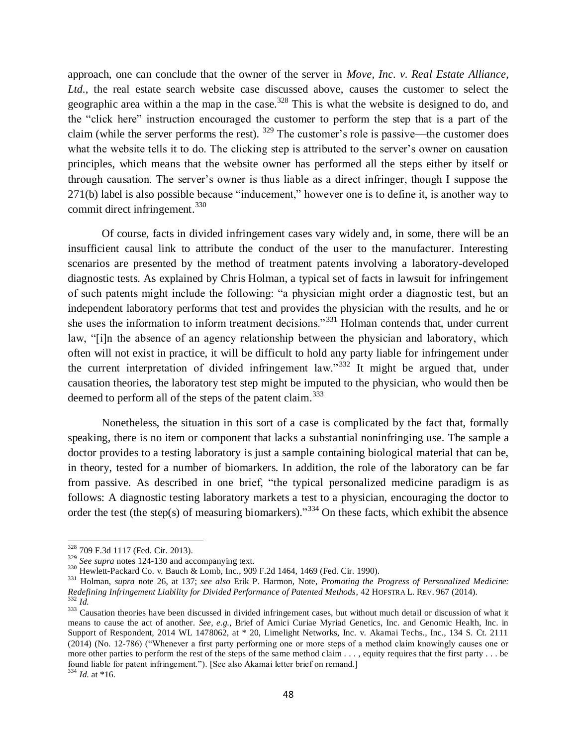approach, one can conclude that the owner of the server in *Move, Inc. v. Real Estate Alliance, Ltd.*, the real estate search website case discussed above, causes the customer to select the geographic area within a the map in the case.<sup>328</sup> This is what the website is designed to do, and the "click here" instruction encouraged the customer to perform the step that is a part of the claim (while the server performs the rest).  $329$  The customer's role is passive—the customer does what the website tells it to do. The clicking step is attributed to the server's owner on causation principles, which means that the website owner has performed all the steps either by itself or through causation. The server's owner is thus liable as a direct infringer, though I suppose the 271(b) label is also possible because "inducement," however one is to define it, is another way to commit direct infringement.<sup>330</sup>

Of course, facts in divided infringement cases vary widely and, in some, there will be an insufficient causal link to attribute the conduct of the user to the manufacturer. Interesting scenarios are presented by the method of treatment patents involving a laboratory-developed diagnostic tests. As explained by Chris Holman, a typical set of facts in lawsuit for infringement of such patents might include the following: "a physician might order a diagnostic test, but an independent laboratory performs that test and provides the physician with the results, and he or she uses the information to inform treatment decisions."<sup>331</sup> Holman contends that, under current law, "[i]n the absence of an agency relationship between the physician and laboratory, which often will not exist in practice, it will be difficult to hold any party liable for infringement under the current interpretation of divided infringement law."<sup>332</sup> It might be argued that, under causation theories, the laboratory test step might be imputed to the physician, who would then be deemed to perform all of the steps of the patent claim.<sup>333</sup>

Nonetheless, the situation in this sort of a case is complicated by the fact that, formally speaking, there is no item or component that lacks a substantial noninfringing use. The sample a doctor provides to a testing laboratory is just a sample containing biological material that can be, in theory, tested for a number of biomarkers. In addition, the role of the laboratory can be far from passive. As described in one brief, "the typical personalized medicine paradigm is as follows: A diagnostic testing laboratory markets a test to a physician, encouraging the doctor to order the test (the step(s) of measuring biomarkers)."<sup>334</sup> On these facts, which exhibit the absence

<sup>328</sup> 709 F.3d 1117 (Fed. Cir. 2013).

<sup>&</sup>lt;sup>329</sup> *See supra* note[s 124](#page-19-0)[-130](#page-20-0) and accompanying text.

<sup>330</sup> Hewlett-Packard Co. v. Bauch & Lomb, Inc., 909 F.2d 1464, 1469 (Fed. Cir. 1990).

<sup>331</sup> Holman, *supra* note [26,](#page-5-0) at 137; *see also* Erik P. Harmon, Note, *Promoting the Progress of Personalized Medicine: Redefining Infringement Liability for Divided Performance of Patented Methods*, 42 HOFSTRA L. REV. 967 (2014).

<sup>332</sup> *Id.*

 $\frac{1}{333}$  Causation theories have been discussed in divided infringement cases, but without much detail or discussion of what it means to cause the act of another. *See, e.g.*, Brief of Amici Curiae Myriad Genetics, Inc. and Genomic Health, Inc. in Support of Respondent, 2014 WL 1478062, at \* 20, Limelight Networks, Inc. v. Akamai Techs., Inc., 134 S. Ct. 2111 (2014) (No. 12-786) ("Whenever a first party performing one or more steps of a method claim knowingly causes one or more other parties to perform the rest of the steps of the same method claim . . . , equity requires that the first party . . . be found liable for patent infringement."). [See also Akamai letter brief on remand.]

 $334$  *Id.* at \*16.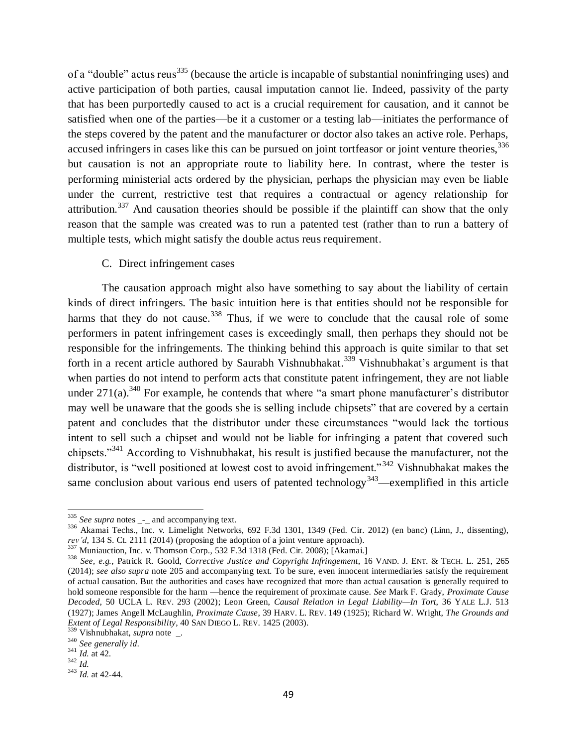of a "double" actus reus<sup>335</sup> (because the article is incapable of substantial noninfringing uses) and active participation of both parties, causal imputation cannot lie. Indeed, passivity of the party that has been purportedly caused to act is a crucial requirement for causation, and it cannot be satisfied when one of the parties—be it a customer or a testing lab—initiates the performance of the steps covered by the patent and the manufacturer or doctor also takes an active role. Perhaps, accused infringers in cases like this can be pursued on joint tortfeasor or joint venture theories,  $336$ but causation is not an appropriate route to liability here. In contrast, where the tester is performing ministerial acts ordered by the physician, perhaps the physician may even be liable under the current, restrictive test that requires a contractual or agency relationship for attribution.<sup>337</sup> And causation theories should be possible if the plaintiff can show that the only reason that the sample was created was to run a patented test (rather than to run a battery of multiple tests, which might satisfy the double actus reus requirement.

## C. Direct infringement cases

The causation approach might also have something to say about the liability of certain kinds of direct infringers. The basic intuition here is that entities should not be responsible for harms that they do not cause.<sup>338</sup> Thus, if we were to conclude that the causal role of some performers in patent infringement cases is exceedingly small, then perhaps they should not be responsible for the infringements. The thinking behind this approach is quite similar to that set forth in a recent article authored by Saurabh Vishnubhakat.<sup>339</sup> Vishnubhakat's argument is that when parties do not intend to perform acts that constitute patent infringement, they are not liable under  $271(a)$ .<sup>340</sup> For example, he contends that where "a smart phone manufacturer's distributor may well be unaware that the goods she is selling include chipsets" that are covered by a certain patent and concludes that the distributor under these circumstances "would lack the tortious intent to sell such a chipset and would not be liable for infringing a patent that covered such chipsets."<sup>341</sup> According to Vishnubhakat, his result is justified because the manufacturer, not the distributor, is "well positioned at lowest cost to avoid infringement."<sup>342</sup> Vishnubhakat makes the same conclusion about various end users of patented technology<sup>343</sup>—exemplified in this article

 $\overline{\phantom{a}}$ 

<sup>&</sup>lt;sup>335</sup> *See supra* notes <sub>-</sub>- and accompanying text.

<sup>&</sup>lt;sup>336</sup> Akamai Techs., Inc. v. Limelight Networks, 692 F.3d 1301, 1349 (Fed. Cir. 2012) (en banc) (Linn, J., dissenting), *rev'd*, 134 S. Ct. 2111 (2014) (proposing the adoption of a joint venture approach).

<sup>&</sup>lt;sup>337</sup> Muniauction, Inc. v. Thomson Corp., 532 F.3d 1318 (Fed. Cir. 2008); [Akamai.]

<sup>338</sup> *See, e.g.*, Patrick R. Goold, *Corrective Justice and Copyright Infringement*, 16 VAND. J. ENT. & TECH. L. 251, 265 (2014); *see also supra* note [205](#page-30-0) and accompanying text. To be sure, even innocent intermediaries satisfy the requirement of actual causation. But the authorities and cases have recognized that more than actual causation is generally required to hold someone responsible for the harm —hence the requirement of proximate cause. *See* Mark F. Grady, *Proximate Cause Decoded*, 50 UCLA L. REV. 293 (2002); Leon Green, *Causal Relation in Legal Liability—In Tort*, 36 YALE L.J. 513 (1927); James Angell McLaughlin, *Proximate Cause*, 39 HARV. L. REV. 149 (1925); Richard W. Wright, *The Grounds and Extent of Legal Responsibility*, 40 SAN DIEGO L. REV. 1425 (2003).

<sup>339</sup> Vishnubhakat, *supra* note \_.

<sup>340</sup> *See generally id*.

 $341$  *Id.* at 42.

<sup>342</sup> *Id.*

<sup>343</sup> *Id.* at 42-44.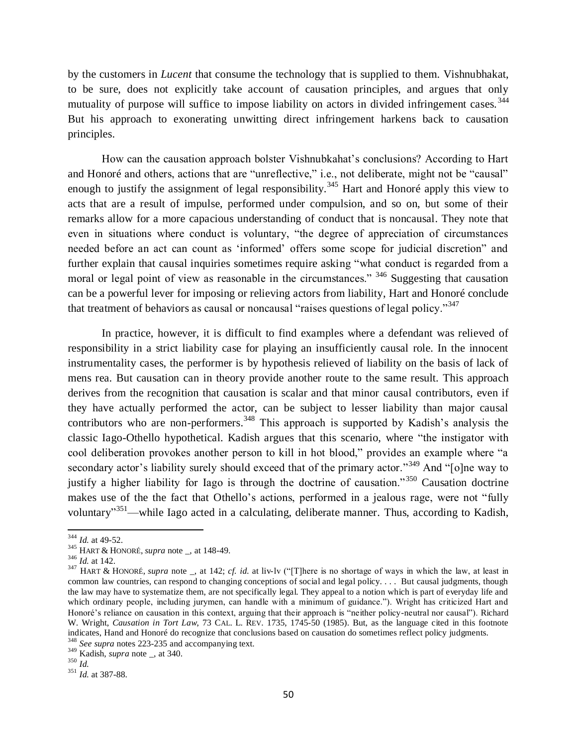by the customers in *Lucent* that consume the technology that is supplied to them. Vishnubhakat, to be sure, does not explicitly take account of causation principles, and argues that only mutuality of purpose will suffice to impose liability on actors in divided infringement cases.<sup>344</sup> But his approach to exonerating unwitting direct infringement harkens back to causation principles.

How can the causation approach bolster Vishnubkahat's conclusions? According to Hart and Honoré and others, actions that are "unreflective," i.e., not deliberate, might not be "causal" enough to justify the assignment of legal responsibility.<sup>345</sup> Hart and Honoré apply this view to acts that are a result of impulse, performed under compulsion, and so on, but some of their remarks allow for a more capacious understanding of conduct that is noncausal. They note that even in situations where conduct is voluntary, "the degree of appreciation of circumstances needed before an act can count as 'informed' offers some scope for judicial discretion" and further explain that causal inquiries sometimes require asking "what conduct is regarded from a moral or legal point of view as reasonable in the circumstances." <sup>346</sup> Suggesting that causation can be a powerful lever for imposing or relieving actors from liability, Hart and Honoré conclude that treatment of behaviors as causal or noncausal "raises questions of legal policy."<sup>347</sup>

In practice, however, it is difficult to find examples where a defendant was relieved of responsibility in a strict liability case for playing an insufficiently causal role. In the innocent instrumentality cases, the performer is by hypothesis relieved of liability on the basis of lack of mens rea. But causation can in theory provide another route to the same result. This approach derives from the recognition that causation is scalar and that minor causal contributors, even if they have actually performed the actor, can be subject to lesser liability than major causal contributors who are non-performers.<sup>348</sup> This approach is supported by Kadish's analysis the classic Iago-Othello hypothetical. Kadish argues that this scenario, where "the instigator with cool deliberation provokes another person to kill in hot blood," provides an example where "a secondary actor's liability surely should exceed that of the primary actor."<sup>349</sup> And "[o]ne way to justify a higher liability for Iago is through the doctrine of causation."<sup>350</sup> Causation doctrine makes use of the the fact that Othello's actions, performed in a jealous rage, were not "fully voluntary"<sup>351</sup>—while Iago acted in a calculating, deliberate manner. Thus, according to Kadish,

<sup>344</sup> *Id.* at 49-52.

<sup>345</sup> HART & HONORÉ, *supra* note \_, at 148-49.

 $346$  *Id.* at 142.

<sup>&</sup>lt;sup>347</sup> HART & HONORÉ, *supra* note \_, at 142; *cf. id.* at liv-lv ("[T]here is no shortage of ways in which the law, at least in common law countries, can respond to changing conceptions of social and legal policy. . . . But causal judgments, though the law may have to systematize them, are not specifically legal. They appeal to a notion which is part of everyday life and which ordinary people, including jurymen, can handle with a minimum of guidance."). Wright has criticized Hart and Honoré's reliance on causation in this context, arguing that their approach is "neither policy-neutral nor causal"). Richard W. Wright, *Causation in Tort Law*, 73 CAL. L. REV. 1735, 1745-50 (1985). But, as the language cited in this footnote indicates, Hand and Honoré do recognize that conclusions based on causation do sometimes reflect policy judgments.

<sup>348</sup> *See supra* note[s 223](#page-33-0)[-235](#page-34-0) and accompanying text.

<sup>349</sup> Kadish, *supra* note \_, at 340.  $350$   $\frac{1}{1}$ .

<sup>351</sup> *Id.* at 387-88.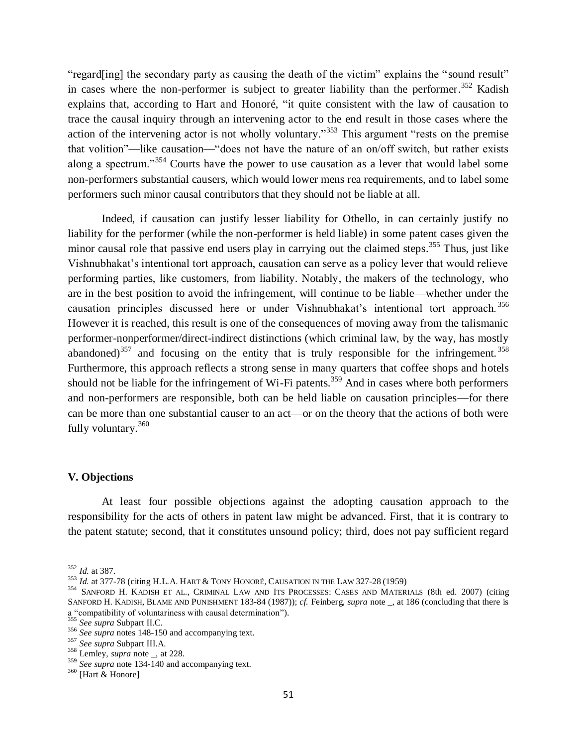"regard[ing] the secondary party as causing the death of the victim" explains the "sound result" in cases where the non-performer is subject to greater liability than the performer.<sup>352</sup> Kadish explains that, according to Hart and Honoré, "it quite consistent with the law of causation to trace the causal inquiry through an intervening actor to the end result in those cases where the action of the intervening actor is not wholly voluntary.<sup>353</sup> This argument "rests on the premise" that volition"—like causation—"does not have the nature of an on/off switch, but rather exists along a spectrum."<sup>354</sup> Courts have the power to use causation as a lever that would label some non-performers substantial causers, which would lower mens rea requirements, and to label some performers such minor causal contributors that they should not be liable at all.

Indeed, if causation can justify lesser liability for Othello, in can certainly justify no liability for the performer (while the non-performer is held liable) in some patent cases given the minor causal role that passive end users play in carrying out the claimed steps.<sup>355</sup> Thus, just like Vishnubhakat's intentional tort approach, causation can serve as a policy lever that would relieve performing parties, like customers, from liability. Notably, the makers of the technology, who are in the best position to avoid the infringement, will continue to be liable—whether under the causation principles discussed here or under Vishnubhakat's intentional tort approach. <sup>356</sup> However it is reached, this result is one of the consequences of moving away from the talismanic performer-nonperformer/direct-indirect distinctions (which criminal law, by the way, has mostly abandoned)<sup>357</sup> and focusing on the entity that is truly responsible for the infringement.<sup>358</sup> Furthermore, this approach reflects a strong sense in many quarters that coffee shops and hotels should not be liable for the infringement of Wi-Fi patents.<sup>359</sup> And in cases where both performers and non-performers are responsible, both can be held liable on causation principles—for there can be more than one substantial causer to an act—or on the theory that the actions of both were fully voluntary.<sup>360</sup>

## **V. Objections**

At least four possible objections against the adopting causation approach to the responsibility for the acts of others in patent law might be advanced. First, that it is contrary to the patent statute; second, that it constitutes unsound policy; third, does not pay sufficient regard

 $\overline{\phantom{a}}$ <sup>352</sup> *Id.* at 387.

<sup>353</sup> *Id.* at 377-78 (citing H.L.A. HART & TONY HONORÉ, CAUSATION IN THE LAW 327-28 (1959)

<sup>354</sup> SANFORD H. KADISH ET AL., CRIMINAL LAW AND ITS PROCESSES: CASES AND MATERIALS (8th ed. 2007) (citing SANFORD H. KADISH, BLAME AND PUNISHMENT 183-84 (1987)); *cf.* Feinberg, *supra* note \_, at 186 (concluding that there is a "compatibility of voluntariness with causal determination").

<sup>355</sup> *See supra* Subpart II.C.

<sup>&</sup>lt;sup>356</sup> *See supra* note[s 148](#page-22-0)[-150](#page-22-1) and accompanying text.

<sup>357</sup> *See supra* Subpart III.A.

<sup>358</sup> Lemley, *supra* note \_, at 228.

<sup>&</sup>lt;sup>359</sup> *See supra* not[e 134](#page-20-1)[-140](#page-21-2) and accompanying text.

 $360$  [Hart & Honore]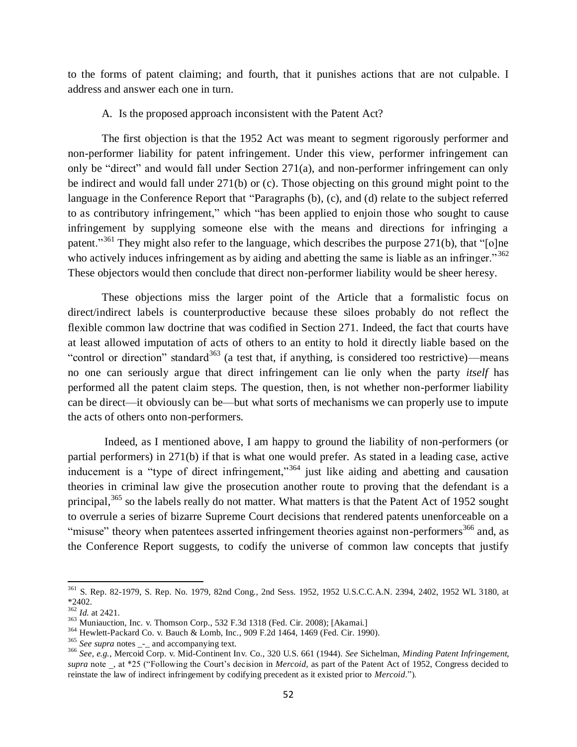to the forms of patent claiming; and fourth, that it punishes actions that are not culpable. I address and answer each one in turn.

A. Is the proposed approach inconsistent with the Patent Act?

The first objection is that the 1952 Act was meant to segment rigorously performer and non-performer liability for patent infringement. Under this view, performer infringement can only be "direct" and would fall under Section 271(a), and non-performer infringement can only be indirect and would fall under 271(b) or (c). Those objecting on this ground might point to the language in the Conference Report that "Paragraphs (b), (c), and (d) relate to the subject referred to as contributory infringement," which "has been applied to enjoin those who sought to cause infringement by supplying someone else with the means and directions for infringing a patent."<sup>361</sup> They might also refer to the language, which describes the purpose 271(b), that "[o]ne who actively induces infringement as by aiding and abetting the same is liable as an infringer."<sup>362</sup> These objectors would then conclude that direct non-performer liability would be sheer heresy.

These objections miss the larger point of the Article that a formalistic focus on direct/indirect labels is counterproductive because these siloes probably do not reflect the flexible common law doctrine that was codified in Section 271. Indeed, the fact that courts have at least allowed imputation of acts of others to an entity to hold it directly liable based on the "control or direction" standard<sup>363</sup> (a test that, if anything, is considered too restrictive)—means no one can seriously argue that direct infringement can lie only when the party *itself* has performed all the patent claim steps. The question, then, is not whether non-performer liability can be direct—it obviously can be—but what sorts of mechanisms we can properly use to impute the acts of others onto non-performers.

Indeed, as I mentioned above, I am happy to ground the liability of non-performers (or partial performers) in 271(b) if that is what one would prefer. As stated in a leading case, active inducement is a "type of direct infringement,"<sup>364</sup> just like aiding and abetting and causation theories in criminal law give the prosecution another route to proving that the defendant is a principal,<sup>365</sup> so the labels really do not matter. What matters is that the Patent Act of 1952 sought to overrule a series of bizarre Supreme Court decisions that rendered patents unenforceable on a "misuse" theory when patentees asserted infringement theories against non-performers<sup>366</sup> and, as the Conference Report suggests, to codify the universe of common law concepts that justify

<sup>361</sup> S. Rep. 82-1979, S. Rep. No. 1979, 82nd Cong., 2nd Sess. 1952, 1952 U.S.C.C.A.N. 2394, 2402, 1952 WL 3180, at \*2402.

<sup>362</sup> *Id.* at 2421.

<sup>&</sup>lt;sup>363</sup> Muniauction, Inc. v. Thomson Corp., 532 F.3d 1318 (Fed. Cir. 2008); [Akamai.]

<sup>364</sup> Hewlett-Packard Co. v. Bauch & Lomb, Inc., 909 F.2d 1464, 1469 (Fed. Cir. 1990).

<sup>&</sup>lt;sup>365</sup> See supra notes \_-\_ and accompanying text.

<sup>366</sup> *See, e.g.*, Mercoid Corp. v. Mid-Continent Inv. Co., 320 U.S. 661 (1944). *See* Sichelman, *Minding Patent Infringement*, *supra* note \_, at \*25 ("Following the Court's decision in *Mercoid*, as part of the Patent Act of 1952, Congress decided to reinstate the law of indirect infringement by codifying precedent as it existed prior to *Mercoid*.").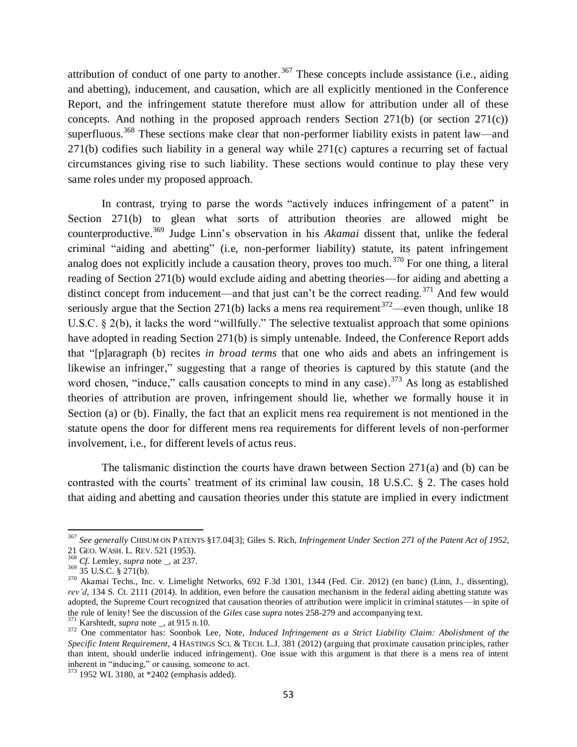attribution of conduct of one party to another.<sup>367</sup> These concepts include assistance (i.e., aiding and abetting), inducement, and causation, which are all explicitly mentioned in the Conference Report, and the infringement statute therefore must allow for attribution under all of these concepts. And nothing in the proposed approach renders Section 271(b) (or section 271(c)) superfluous.<sup>368</sup> These sections make clear that non-performer liability exists in patent law—and 271(b) codifies such liability in a general way while 271(c) captures a recurring set of factual circumstances giving rise to such liability. These sections would continue to play these very same roles under my proposed approach.

In contrast, trying to parse the words "actively induces infringement of a patent" in Section 271(b) to glean what sorts of attribution theories are allowed might be counterproductive.<sup>369</sup> Judge Linn's observation in his *Akamai* dissent that, unlike the federal criminal "aiding and abetting" (i.e, non-performer liability) statute, its patent infringement analog does not explicitly include a causation theory, proves too much.<sup>370</sup> For one thing, a literal reading of Section 271(b) would exclude aiding and abetting theories—for aiding and abetting a distinct concept from inducement—and that just can't be the correct reading.<sup>371</sup> And few would seriously argue that the Section 271(b) lacks a mens rea requirement  $372$ —even though, unlike 18 U.S.C. § 2(b), it lacks the word "willfully." The selective textualist approach that some opinions have adopted in reading Section 271(b) is simply untenable. Indeed, the Conference Report adds that "[p]aragraph (b) recites *in broad terms* that one who aids and abets an infringement is likewise an infringer," suggesting that a range of theories is captured by this statute (and the word chosen, "induce," calls causation concepts to mind in any case).<sup>373</sup> As long as established theories of attribution are proven, infringement should lie, whether we formally house it in Section (a) or (b). Finally, the fact that an explicit mens rea requirement is not mentioned in the statute opens the door for different mens rea requirements for different levels of non-performer involvement, i.e., for different levels of actus reus.

The talismanic distinction the courts have drawn between Section  $271(a)$  and (b) can be contrasted with the courts' treatment of its criminal law cousin, 18 U.S.C. § 2. The cases hold that aiding and abetting and causation theories under this statute are implied in every indictment

<sup>367</sup> *See generally* CHISUM ON PATENTS §17.04[3]; Giles S. Rich, *Infringement Under Section 271 of the Patent Act of 1952*,

<sup>21</sup> GEO. WASH. L. REV. 521 (1953).

<sup>368</sup> *Cf.* Lemley, *supra* note \_, at 237.

 $369 \overline{35}$  U.S.C. § 271(b).

 $370$  Akamai Techs., Inc. v. Limelight Networks, 692 F.3d 1301, 1344 (Fed. Cir. 2012) (en banc) (Linn, J., dissenting), *rev'd*, 134 S. Ct. 2111 (2014). In addition, even before the causation mechanism in the federal aiding abetting statute was adopted, the Supreme Court recognized that causation theories of attribution were implicit in criminal statutes—in spite of the rule of lenity! See the discussion of the *Giles* case *supra* note[s 258-](#page-37-0)[279](#page-39-0) and accompanying text.

<sup>371</sup> Karshtedt, *supra* note \_, at 915 n.10.

<sup>372</sup> One commentator has: Soonbok Lee, Note, *Induced Infringement as a Strict Liability Claim: Abolishment of the Specific Intent Requirement*, 4 HASTINGS SCI. & TECH. L.J. 381 (2012) (arguing that proximate causation principles, rather than intent, should underlie induced infringement). One issue with this argument is that there is a mens rea of intent inherent in "inducing," or causing, someone to act.

<sup>373</sup> 1952 WL 3180, at \*2402 (emphasis added).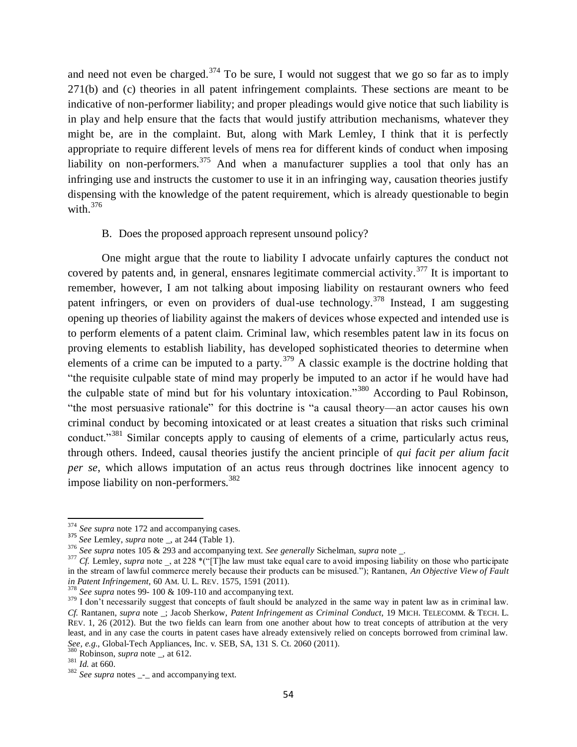and need not even be charged.<sup>374</sup> To be sure, I would not suggest that we go so far as to imply 271(b) and (c) theories in all patent infringement complaints. These sections are meant to be indicative of non-performer liability; and proper pleadings would give notice that such liability is in play and help ensure that the facts that would justify attribution mechanisms, whatever they might be, are in the complaint. But, along with Mark Lemley, I think that it is perfectly appropriate to require different levels of mens rea for different kinds of conduct when imposing liability on non-performers.<sup>375</sup> And when a manufacturer supplies a tool that only has an infringing use and instructs the customer to use it in an infringing way, causation theories justify dispensing with the knowledge of the patent requirement, which is already questionable to begin with. $376$ 

## B. Does the proposed approach represent unsound policy?

One might argue that the route to liability I advocate unfairly captures the conduct not covered by patents and, in general, ensnares legitimate commercial activity.<sup>377</sup> It is important to remember, however, I am not talking about imposing liability on restaurant owners who feed patent infringers, or even on providers of dual-use technology.<sup>378</sup> Instead, I am suggesting opening up theories of liability against the makers of devices whose expected and intended use is to perform elements of a patent claim. Criminal law, which resembles patent law in its focus on proving elements to establish liability, has developed sophisticated theories to determine when elements of a crime can be imputed to a party. $379$  A classic example is the doctrine holding that "the requisite culpable state of mind may properly be imputed to an actor if he would have had the culpable state of mind but for his voluntary intoxication."<sup>380</sup> According to Paul Robinson, "the most persuasive rationale" for this doctrine is "a causal theory—an actor causes his own criminal conduct by becoming intoxicated or at least creates a situation that risks such criminal conduct."<sup>381</sup> Similar concepts apply to causing of elements of a crime, particularly actus reus, through others. Indeed, causal theories justify the ancient principle of *qui facit per alium facit per se*, which allows imputation of an actus reus through doctrines like innocent agency to impose liability on non-performers.<sup>382</sup>

 $\overline{\phantom{a}}$ 

<sup>&</sup>lt;sup>374</sup> *See supra* not[e 172](#page-25-0) and accompanying cases.

<sup>375</sup> *See* Lemley, *supra* note \_, at 244 (Table 1).

<sup>376</sup> *See supra* note[s 105](#page-16-0) [& 293](#page-41-1) and accompanying text. *See generally* Sichelman, *supra* note \_.

<sup>&</sup>lt;sup>377</sup> *Cf.* Lemley, *supra* note \_, at 228 \*("[T]he law must take equal care to avoid imposing liability on those who participate in the stream of lawful commerce merely because their products can be misused."); Rantanen, *An Objective View of Fault in Patent Infringement*, 60 AM. U. L. REV. 1575, 1591 (2011).

<sup>378</sup> *See supra* note[s 99-](#page-15-1) [100](#page-15-2) [& 109](#page-16-1)[-110](#page-17-0) and accompanying text.

<sup>&</sup>lt;sup>379</sup> I don't necessarily suggest that concepts of fault should be analyzed in the same way in patent law as in criminal law. *Cf.* Rantanen, *supra* note \_; Jacob Sherkow, *Patent Infringement as Criminal Conduct*, 19 MICH. TELECOMM. & TECH. L. REV. 1, 26 (2012). But the two fields can learn from one another about how to treat concepts of attribution at the very least, and in any case the courts in patent cases have already extensively relied on concepts borrowed from criminal law. *See, e.g.*, Global-Tech Appliances, Inc. v. SEB, SA, 131 S. Ct. 2060 (2011).

Robinson, *supra* note \_, at 612.

 $381$   $\frac{\text{Noom}}{Id}$ . at 660.

<sup>&</sup>lt;sup>382</sup> *See supra* notes \_-\_ and accompanying text.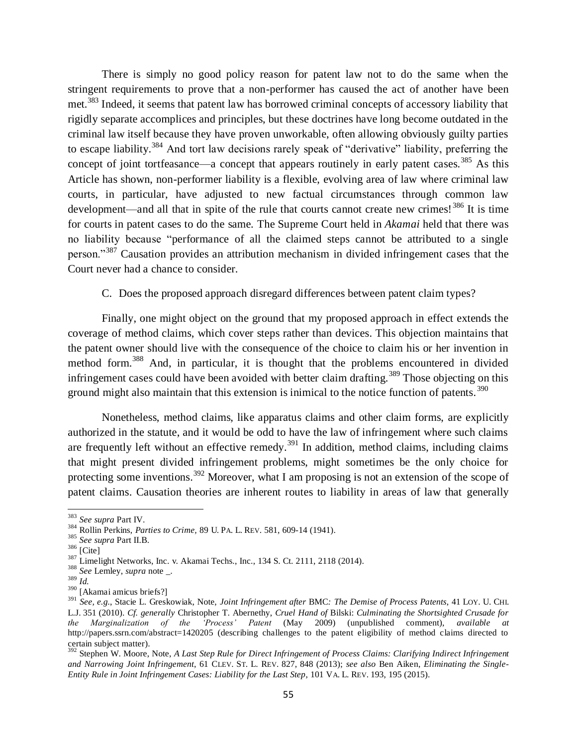There is simply no good policy reason for patent law not to do the same when the stringent requirements to prove that a non-performer has caused the act of another have been met.<sup>383</sup> Indeed, it seems that patent law has borrowed criminal concepts of accessory liability that rigidly separate accomplices and principles, but these doctrines have long become outdated in the criminal law itself because they have proven unworkable, often allowing obviously guilty parties to escape liability.<sup>384</sup> And tort law decisions rarely speak of "derivative" liability, preferring the concept of joint tortfeasance—a concept that appears routinely in early patent cases.<sup>385</sup> As this Article has shown, non-performer liability is a flexible, evolving area of law where criminal law courts, in particular, have adjusted to new factual circumstances through common law development—and all that in spite of the rule that courts cannot create new crimes!<sup>386</sup> It is time for courts in patent cases to do the same. The Supreme Court held in *Akamai* held that there was no liability because "performance of all the claimed steps cannot be attributed to a single person."<sup>387</sup> Causation provides an attribution mechanism in divided infringement cases that the Court never had a chance to consider.

## C. Does the proposed approach disregard differences between patent claim types?

Finally, one might object on the ground that my proposed approach in effect extends the coverage of method claims, which cover steps rather than devices. This objection maintains that the patent owner should live with the consequence of the choice to claim his or her invention in method form.<sup>388</sup> And, in particular, it is thought that the problems encountered in divided infringement cases could have been avoided with better claim drafting.<sup>389</sup> Those objecting on this ground might also maintain that this extension is inimical to the notice function of patents.<sup>390</sup>

Nonetheless, method claims, like apparatus claims and other claim forms, are explicitly authorized in the statute, and it would be odd to have the law of infringement where such claims are frequently left without an effective remedy.<sup>391</sup> In addition, method claims, including claims that might present divided infringement problems, might sometimes be the only choice for protecting some inventions.<sup>392</sup> Moreover, what I am proposing is not an extension of the scope of patent claims. Causation theories are inherent routes to liability in areas of law that generally

<sup>389</sup> *Id.*

 $\overline{\phantom{a}}$ 

<sup>383</sup> *See supra* Part IV.

<sup>384</sup> Rollin Perkins, *Parties to Crime,* 89 U. PA. L. REV. 581, 609-14 (1941).

<sup>385</sup> *See supra* Part II.B.

 $386$  [Cite]

<sup>&</sup>lt;sup>387</sup> Limelight Networks, Inc. v. Akamai Techs., Inc., 134 S. Ct. 2111, 2118 (2014).

<sup>388</sup> *See* Lemley, *supra* note \_.

<sup>390</sup> [Akamai amicus briefs?]

<sup>391</sup> *See, e.g.*, Stacie L. Greskowiak, Note, *Joint Infringement after* BMC*: The Demise of Process Patents*, 41 LOY. U. CHI. L.J. 351 (2010). *Cf. generally* Christopher T. Abernethy, *Cruel Hand of* Bilski: *Culminating the Shortsighted Crusade for the Marginalization of the 'Process' Patent* (May 2009) (unpublished comment), *available at* http://papers.ssrn.com/abstract=1420205 (describing challenges to the patent eligibility of method claims directed to certain subject matter).

<sup>392</sup> Stephen W. Moore, Note, *A Last Step Rule for Direct Infringement of Process Claims: Clarifying Indirect Infringement and Narrowing Joint Infringement*, 61 CLEV. ST. L. REV. 827, 848 (2013); *see also* Ben Aiken, *Eliminating the Single-Entity Rule in Joint Infringement Cases: Liability for the Last Step*, 101 VA. L. REV. 193, 195 (2015).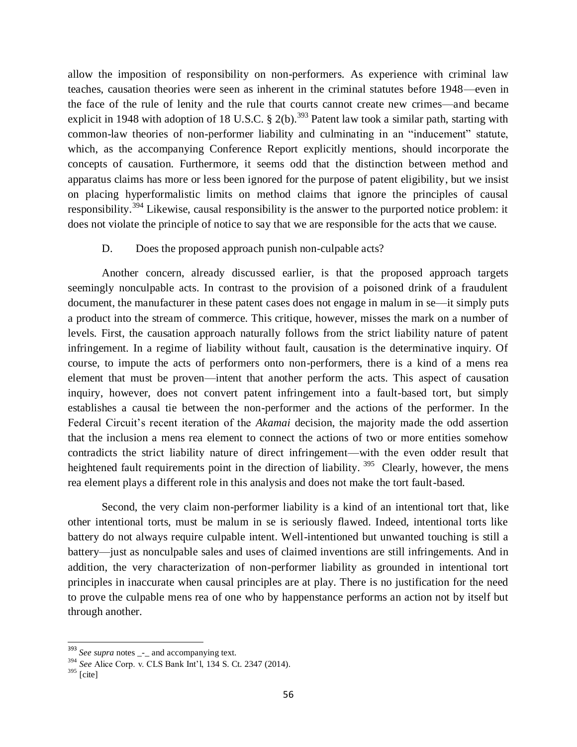allow the imposition of responsibility on non-performers. As experience with criminal law teaches, causation theories were seen as inherent in the criminal statutes before 1948—even in the face of the rule of lenity and the rule that courts cannot create new crimes—and became explicit in 1948 with adoption of 18 U.S.C.  $\S$  2(b).<sup>393</sup> Patent law took a similar path, starting with common-law theories of non-performer liability and culminating in an "inducement" statute, which, as the accompanying Conference Report explicitly mentions, should incorporate the concepts of causation. Furthermore, it seems odd that the distinction between method and apparatus claims has more or less been ignored for the purpose of patent eligibility, but we insist on placing hyperformalistic limits on method claims that ignore the principles of causal responsibility.<sup>394</sup> Likewise, causal responsibility is the answer to the purported notice problem: it does not violate the principle of notice to say that we are responsible for the acts that we cause.

## D. Does the proposed approach punish non-culpable acts?

Another concern, already discussed earlier, is that the proposed approach targets seemingly nonculpable acts. In contrast to the provision of a poisoned drink of a fraudulent document, the manufacturer in these patent cases does not engage in malum in se—it simply puts a product into the stream of commerce. This critique, however, misses the mark on a number of levels. First, the causation approach naturally follows from the strict liability nature of patent infringement. In a regime of liability without fault, causation is the determinative inquiry. Of course, to impute the acts of performers onto non-performers, there is a kind of a mens rea element that must be proven—intent that another perform the acts. This aspect of causation inquiry, however, does not convert patent infringement into a fault-based tort, but simply establishes a causal tie between the non-performer and the actions of the performer. In the Federal Circuit's recent iteration of the *Akamai* decision, the majority made the odd assertion that the inclusion a mens rea element to connect the actions of two or more entities somehow contradicts the strict liability nature of direct infringement—with the even odder result that heightened fault requirements point in the direction of liability. <sup>395</sup> Clearly, however, the mens rea element plays a different role in this analysis and does not make the tort fault-based.

Second, the very claim non-performer liability is a kind of an intentional tort that, like other intentional torts, must be malum in se is seriously flawed. Indeed, intentional torts like battery do not always require culpable intent. Well-intentioned but unwanted touching is still a battery—just as nonculpable sales and uses of claimed inventions are still infringements. And in addition, the very characterization of non-performer liability as grounded in intentional tort principles in inaccurate when causal principles are at play. There is no justification for the need to prove the culpable mens rea of one who by happenstance performs an action not by itself but through another.

<sup>&</sup>lt;sup>393</sup> *See supra* notes <sub>-</sub>- and accompanying text.

<sup>394</sup> *See* Alice Corp. v. CLS Bank Int'l, 134 S. Ct. 2347 (2014).

 $395$  [cite]